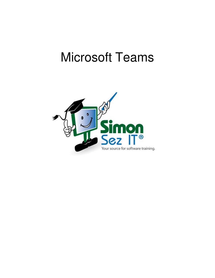# Microsoft Teams

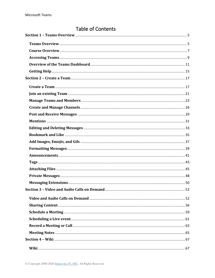## **Table of Contents**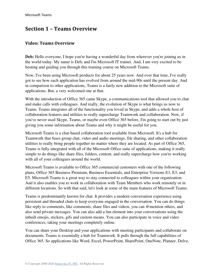## <span id="page-4-0"></span>**Section 1 – Teams Overview**

#### <span id="page-4-1"></span>**Video: Teams Overview**

**Deb:** Hello everyone, I hope you're having a wonderful day from wherever you're joining us in the world today. My name is Deb, and I'm Microsoft IT trainer. And, I am very excited to be hosting and guiding you through this training course on Microsoft Teams.

Now, I've been using Microsoft products for about 25 years now. And over that time, I've really got to see how each application has evolved from around the mid-90s until the present day. And in comparison to other applications, Teams is a fairly new addition to the Microsoft suite of applications. But, a very welcomed one at that.

With the introduction of Office 365 came Skype, a communications tool that allowed you to chat and make calls with colleagues. And really, the evolution of Skype is what brings us now to Teams. Teams integrates all of the functionality you loved in Skype, and adds a whole host of collaboration features and utilities to really supercharge Teamwork and collaboration. Now, if you've never used Skype, Teams, or maybe even Office 365 before, I'm going to start out by just giving you some information about Teams and why it might be useful for you.

Microsoft Teams is a chat-based collaboration tool available from Microsoft. It's a hub for Teamwork that fuses group chat, video and audio meetings, file sharing, and other collaboration utilities to really bring people together no matter where they are located. As part of Office 365, Teams is fully integrated with all of the Microsoft Office suite of applications, making it really simple to do things like share files, folders, content, and really supercharge how you're working with all of your colleagues around the world.

Microsoft Teams is available to Office 365 commercial customers with one of the following plans, Office 365 Business Premium, Business Essentials, and Enterprise Versions E1, E3, and E5. Microsoft Teams is a great way to stay connected to colleagues within your organization. And it also enables you to work in collaboration with Team Members who work remotely or in different locations. So with that said, let's look at some of the main features of Microsoft Teams.

Teams is predominantly known for chat. It provides a modern conversation experience using persistent and threaded chats to keep everyone engaged in the conversation. You can do things like reply to comments, like comments, share files and videos, you can @mention others, and also send private messages. You can also add a fun element into your conversations using the inbuilt emojis, stickers, gifs and custom means. You can also participate in voice and video conferences, taking your meetings completely online.

You can share your Desktop and your applications with meeting participants and collaborate on documents. Teams is essentially a hub for Teamwork. It pulls through the full capabilities of Office 365. So applications like Word, Excel, PowerPoint, SharePoint, OneNote, Planner, Delve,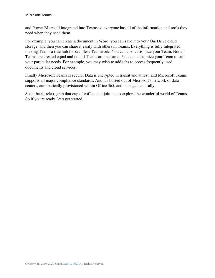and Power BI are all integrated into Teams so everyone has all of the information and tools they need when they need them.

For example, you can create a document in Word, you can save it to your OneDrive cloud storage, and then you can share it easily with others in Teams. Everything is fully integrated making Teams a true hub for seamless Teamwork. You can also customize your Team. Not all Teams are created equal and not all Teams are the same. You can customize your Team to suit your particular needs. For example, you may wish to add tabs to access frequently used documents and cloud services.

Finally Microsoft Teams is secure. Data is encrypted in transit and at rest, and Microsoft Teams supports all major compliance standards. And it's hosted out of Microsoft's network of data centers, automatically provisioned within Office 365, and managed centrally.

So sit back, relax, grab that cup of coffee, and join me to explore the wonderful world of Teams. So if you're ready, let's get started.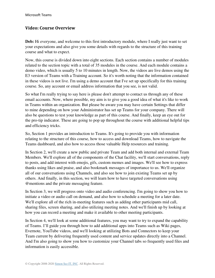#### <span id="page-6-0"></span>**Video: Course Overview**

**Deb:** Hi everyone, and welcome to this first introductory module, where I really just want to set your expectations and also give you some details with regards to the structure of this training course and what to expect.

Now, this course is divided down into eight sections. Each section contains a number of modules related to the section topic with a total of 35 modules in the course. And each module contains a demo video, which is usually 5 to 10 minutes in length. Now, the videos are live demos using the E3 version of Teams with a Training account. So it's worth noting that the information contained in these videos is not live. I'm using a demo account that I've set up specifically for this training course. So, any account or email address information that you see, is not valid.

So what I'm really trying to say here is please don't attempt to contact us through any of these email accounts. Now, where possible, my aim is to give you a good idea of what it's like to work in Teams within an organization. But please be aware you may have certain Settings that differ to mine depending on how your Administrator has set up Teams for your company. There will also be questions to test your knowledge as part of this course. And finally, keep an eye out for the pro-tip indicator. These are going to pop up throughout the course with additional helpful tips and efficiency tricks.

So, Section 1 provides an introduction to Teams. It's going to provide you with information relating to the structure of this course, how to access and download Teams, how to navigate the Teams dashboard, and also how to access those valuable Help resources and training.

In Section 2, we'll create a new public and private Team and add both internal and external Team Members. We'll explore all of the components of the Chat facility, we'll start conversations, reply to posts, and add interest with emojis, gifs, custom memes and images. We'll see how to express thanks using likes and praise, and also bookmark messages of importance to us. We'll organize all of our conversations using Channels, and also see how to join existing Teams set up by others. And finally, in this section, we will learn how to have targeted conversations using @mentions and the private messaging feature.

In Section 3, we will progress onto video and audio conferencing. I'm going to show you how to initiate a video or audio call on demand, and also how to schedule a meeting for a later date. We'll explore all of the rich in-meeting features such as adding other participants mid call, sharing files, screen sharing, and also utilizing meeting notes. And we'll finish up by looking at how you can record a meeting and make it available to other meeting participants.

In Section 4, we'll look at some additional features, you may want to try to expand the capability of Teams. I'll guide you through how to add additional apps into Teams such as Wiki pages, Evernote, YouTube videos, and we'll looking at utilizing Bots and Connectors to keep your Team current by delivering frequently used content and service updates directly into a Channel. And I'm also going to show you how to customize your Channel tabs so frequently used files and information is easily accessible.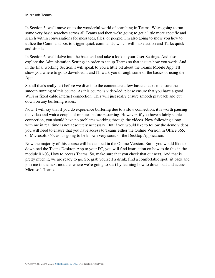In Section 5, we'll move on to the wonderful world of searching in Teams. We're going to run some very basic searches across all Teams and then we're going to get a little more specific and search within conversations for messages, files, or people. I'm also going to show you how to utilize the Command box to trigger quick commands, which will make action and Tasks quick and simple.

In Section 6, we'll delve into the back end and take a look at your User Settings. And also explore the Administration Settings in order to set up Teams so that it suits how you work. And in the final working Section, I will speak to you a little bit about the Teams Mobile App. I'll show you where to go to download it and I'll walk you through some of the basics of using the App.

So, all that's really left before we dive into the content are a few basic checks to ensure the smooth running of this course. As this course is video-led, please ensure that you have a good WiFi or fixed cable internet connection. This will just really ensure smooth playback and cut down on any buffering issues.

Now, I will say that if you do experience buffering due to a slow connection, it is worth pausing the video and wait a couple of minutes before restarting. However, if you have a fairly stable connection, you should have no problems working through the videos. Now following along with me in real time is not absolutely necessary. But if you would like to follow the demo videos, you will need to ensure that you have access to Teams either the Online Version in Office 365, or Microsoft 365, as it's going to be known very soon, or the Desktop Application.

Now the majority of this course will be demoed in the Online Version. But if you would like to download the Teams Desktop App to your PC, you will find instruction on how to do this in the module 01-03, How to access Teams. So, make sure that you check that out next. And that is pretty much it, we are ready to go. So, grab yourself a drink, find a comfortable spot, sit back and join me in the next module, where we're going to start by learning how to download and access Microsoft Teams.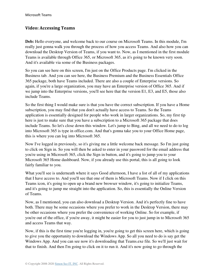#### <span id="page-8-0"></span>**Video: Accessing Teams**

**Deb:** Hello everyone, and welcome back to our course on Microsoft Teams. In this module, I'm really just gonna walk you through the process of how you access Teams. And also how you can download the Desktop Version of Teams, if you want to. Now, as I mentioned in the first module Teams is available through Office 365, or Microsoft 365, as it's going to be known very soon. And it's available via some of the Business packages.

So you can see here on this screen, I'm just on the Office Products page. I'm clicked in the Business tab. And you can see here, the Business Premium and the Business Essentials Office 365 package, both have Teams included. There are also a couple of Enterprise versions. So again, if you're a large organization, you may have an Enterprise version of Office 365. And if we jump into the Enterprise versions, you'll see here that the version E1, E3, and E5, those also include Teams.

So the first thing I would make sure is that you have the correct subscription. If you have a Home subscription, you may find that you don't actually have access to Teams. So the Teams application is essentially designed for people who work in larger organizations. So, my first tip here is just to make sure that you have a subscription to a Microsoft 365 package that does include Teams. So let's close down this window. Let's jump to Bing, and all we need to do to log into Microsoft 365 is type in office.com. And that's gonna take you to your Office Home page, this is where you can log into Microsoft 365.

Now I've logged in previously, so it's giving me a little welcome back message. So I'm just going to click on Sign in. So you will then be asked to enter in your password for the email address that you're using in Microsoft 365, click the Sign in button, and it's going to jump you to your Microsoft 365 Home dashboard. Now, if you already use this portal, this is all going to look fairly familiar to you.

What you'll see is underneath where it says Good afternoon, I have a list of all of my applications that I have access to. And you'll see that one of them is Microsoft Teams. Now if I click on this Teams icon, it's going to open up a brand new browser window, it's going to initialize Teams, and it's going to jump me straight into the application. So, this is essentially the Online Version of Teams.

Now, as I mentioned, you can also download a Desktop Version. And it's perfectly fine to have both. There may be some occasions where you prefer to work in the Desktop Version, there may be other occasions where you prefer the convenience of working Online. So for example, if you're out of the office, if you're away, it might be easier for you to just jump in to Microsoft 365 and access Teams that way.

Now, if this is the first time you're logging in, you're going to get this screen here, which is going to give you the opportunity to download the Windows App. So all you need to do is say get the Windows App. And you can see now it's downloading that Teams.exe file. So we'll just wait for that to finish. And then I'm going to click on it to run it. And it's now going to go through the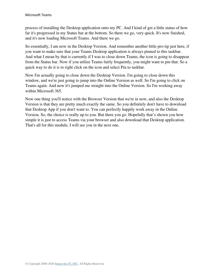process of installing the Desktop application onto my PC. And I kind of get a little status of how far it's progressed in my Status bar at the bottom. So there we go, very quick. It's now finished, and it's now loading Microsoft Teams. And there we go.

So essentially, I am now in the Desktop Version. And remember another little pro-tip just here, if you want to make sure that your Teams Desktop application is always pinned to this taskbar. And what I mean by that is currently if I was to close down Teams, the icon is going to disappear from the Status bar. Now if you utilize Teams fairly frequently, you might want to pin that. So a quick way to do it is to right click on the icon and select Pin to taskbar.

Now I'm actually going to close down the Desktop Version. I'm going to close down this window, and we're just going to jump into the Online Version as well. So I'm going to click on Teams again. And now it's jumped me straight into the Online Version. So I'm working away within Microsoft 365.

Now one thing you'll notice with the Browser Version that we're in now, and also the Desktop Version is that they are pretty much exactly the same. So you definitely don't have to download that Desktop App if you don't want to. You can perfectly happily work away in the Online Version. So, the choice is really up to you. But there you go. Hopefully that's shown you how simple it is just to access Teams via your browser and also download that Desktop application. That's all for this module, I will see you in the next one.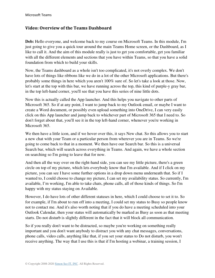#### <span id="page-10-0"></span>**Video: Overview of the Teams Dashboard**

**Deb:** Hello everyone, and welcome back to my course on Microsoft Teams. In this module, I'm just going to give you a quick tour around the main Teams Home screen, or the Dashboard, as I like to call it. And the aim of this module really is just to get you comfortable, get you familiar with all the different elements and sections that you have within Teams, so that you have a solid foundation from which to build your skills.

Now, the Teams dashboard as a whole isn't too complicated, it's not overly complex. We don't have lots of things like ribbons like we do in a lot of the other Microsoft applications. But there's probably some things in here which you aren't 100% sure of. So let's take a look at those. Now, let's start at the top with this bar, we have running across the top, this kind of purple-y gray bar, in the top left-hand corner, you'll see that you have this series of nine little dots.

Now this is actually called the App launcher. And this helps you navigate to other parts of Microsoft 365. So if at any point, I want to jump back to my Outlook email, or maybe I want to create a Word document, or possibly even upload something into OneDrive, I can very easily click on this App launcher and jump back to whichever part of Microsoft 365 that I need to. So don't forget about that, you'll see it in the top left-hand corner, whenever you're working in Microsoft 365.

We then have a little icon, and if we hover over this, it says New chat. So this allows you to start a new chat with your Team or a particular person from wherever you are in Teams. So we're going to come back to that in a moment. We then have our Search bar. So this is a universal Search bar, which will search across everything in Teams. And again, we have a whole section on searching so I'm going to leave that for now.

And then all the way over on the right-hand side, you can see my little picture, there's a green circle on top of my picture, which lets everybody know that I'm available. And if I click on my picture, you can see I have some further options in a drop down menu underneath that. So if I wanted to, I could choose to change my picture, I can set my availability status. So currently, I'm available, I'm working, I'm able to take chats, phone calls, all of those kinds of things. So I'm happy with my status staying on Available.

However, I do have lots of other different statuses in here, which I could choose to set it to. So for example, if I'm about to run off into a meeting, I could set my status to Busy so people know not to contact me. And it's also worth noting that if you do have a meeting scheduled into your Outlook Calendar, then your status will automatically be marked as Busy as soon as that meeting starts. Do not disturb is slightly different in the fact that it will block all communication.

So if you really don't want to be distracted, so maybe you're working on something really important and you don't want anybody to distract you with any chat messages, conversations, phone calls, video calls, anything like that, if you set your status to Do not disturb, you won't receive anything. The way that I use this is that if I'm hosting a webinar, a training session, I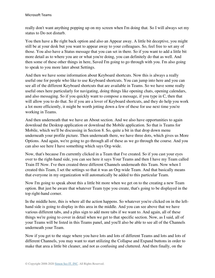really don't want anything popping up on my screen when I'm doing that. So I will always set my status to Do not disturb.

You then have a Be right back option and also an Appear away. A little bit deceptive, you might still be at your desk but you want to appear away to your colleagues. So, feel free to set any of those. You also have a Status message that you can set in there. So if you want to add a little bit more detail as to where you are or what you're doing, you can definitely do that as well. And then some of these other things in here, Saved I'm going to go through with you. I'm also going to speak to you more later about Settings.

And then we have some information about Keyboard shortcuts. Now this is always a really useful one for people who like to use Keyboard shortcuts. You can jump into here and you can see all of the different Keyboard shortcuts that are available in Teams. So we have some really useful ones here particularly for navigating, doing things like opening chats, opening calendars, and also messaging. So if you quickly want to compose a message, if you type in C, then that will allow you to do that. So if you are a lover of Keyboard shortcuts, and they do help you work a lot more efficiently, it might be worth jotting down a few of these for use next time you're working in Teams.

And then underneath that we have an About section. And we also have opportunities to again download the Desktop application or download the Mobile application. So that is Teams for Mobile, which we'll be discussing in Section 8. So, quite a bit in that drop down menu underneath your profile picture. Then underneath there, we have three dots, which gives us More Options. And again, we're going to go through all of these as we go through the course. And you can also see here I have something which says Org-wide.

Now, that's because I'm currently clicked in a Team that I've created. So if you cast your eyes over to the right-hand side, you can see here it says Your Teams and then I have my Team called Train IT Now. I've then created three different Channels underneath this Team. Now when I created this Team, I set the settings so that it was an Org-wide Team. And that basically means that everyone in my organization will automatically be added to this particular Team.

Now I'm going to speak about this a little bit more when we get on to the creating a new Team option. But just be aware that whatever Team type you create, that's going to be displayed in the top right-hand corner.

In the middle here, this is where all the action happens. So whatever you're clicked on in the lefthand side is going to display in this area in the middle. And you can see above that we have various different tabs, and a plus sign to add more tabs if we want to. And again, all of these things we're going to cover in detail when we get to that specific section. Now, as I said, all of your Teams will be listed in this Teams panel, and you'll also be able to see all of the Channels underneath your Team.

Now if you get to the stage where you have lots and lots of different Teams and lots and lots of different Channels, you may want to start utilizing the Collapse and Expand buttons in order to make that area a little bit cleaner, and not as confusing and cluttered. And then finally, on the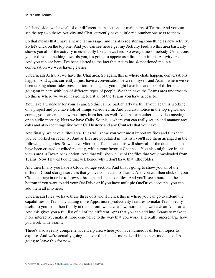left-hand side, we have all of our different main sections or main parts of Teams. And you can see the top two there; Activity and Chat, currently have a little red number one next to them.

So that means that I have a new chat message, and it's also registering something as new activity. So let's click on the top one. And you can see here I get my Activity feed. So this area basically shows you all of the activity in essentially like a news feed. So every time somebody @mentions you or direct something towards you, it's going to appear as a little alert in this Activity area. And you can see here, I've been alerted to the fact that Adam has @mentioned me in a conversation we were having earlier.

Underneath Activity, we have the Chat area. So again, this is where chats happen, conversations happen. And again, currently, I just have a conversation between myself and Adam, where we've been talking about sales presentation. And again, you might have lots and lots of different chats going on in here with lots of different types of people. We then have the Teams area underneath. So this is where we were, it's going to list all of the Teams you have access to.

You have a Calendar for your Team. So this can be particularly useful if your Team is working on a project and you have lots of things scheduled in. And you also notice in the top right-hand corner, you can create new meetings from here as well. And that can either be a video meeting, or an audio meeting. Next we have Calls. So this is where you can really set up and manage any calls and also see things like your Call history and any Contacts that you have.

And finally, we have a Files area. Files will show you your most important files and files that you've worked on recently. And as files are populated in this list, you'll see them arranged in the following categories. So we have Microsoft Teams, and this will show all of the documents that have been created or edited recently, within your favorite Channels. You also might see in this views area, a Downloads option. And that will show a list of the files that you downloaded from Teams. Now I haven't done that yet, hence why I don't have that little folder.

And then finally you have a Cloud storage section. And this is going to show you all of the different Cloud storage services that you've connected to Teams. And you can then click on your Cloud storage in order to browse through and see those files. And you'll see a button at the bottom if you want to add your OneDrive or if you have multiple OneDrive accounts, you can add them all into here.

Underneath Files we have these three dots and if I click this is where you can go to extend the capabilities of Teams by adding more Apps, more productivity features to make Teams really useful to you. And then finally at the bottom, we have a few more icons, we have an Apps area. And this gives you a full list of all of the different Apps that you can add into Teams to make it more interactive, make it more conducive to the way that you work, and really supercharge how you work with Teams.

There's also a really comprehensive Help area where you have numerous different topics to explore. And we're actually going to cover this in a bit more detail in the next module so I'm going to leave this for now.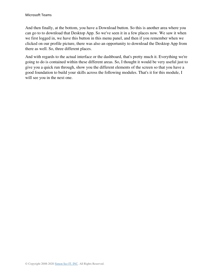And then finally, at the bottom, you have a Download button. So this is another area where you can go to to download that Desktop App. So we've seen it in a few places now. We saw it when we first logged in, we have this button in this menu panel, and then if you remember when we clicked on our profile picture, there was also an opportunity to download the Desktop App from there as well. So, three different places.

And with regards to the actual interface or the dashboard, that's pretty much it. Everything we're going to do is contained within these different areas. So, I thought it would be very useful just to give you a quick run through, show you the different elements of the screen so that you have a good foundation to build your skills across the following modules. That's it for this module, I will see you in the next one.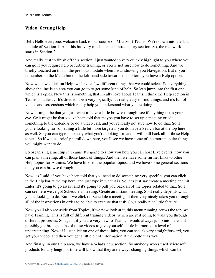### <span id="page-14-0"></span>**Video: Getting Help**

**Deb:** Hello everyone, welcome back to our course on Microsoft Teams. We're down into the last module of Section 1. And this has very much been an introductory section. So, the real work starts in Section 2.

And really, just to finish off this section, I just wanted to very quickly highlight to you where you can go if you require help or further training, or you're not sure how to do something. And we briefly touched on this in the previous module when I was showing you Navigation. But if you remember, in the Menu bar on the left-hand side towards the bottom, you have a Help option.

Now when we click on Help, we have a few different things that we could select. So everything above the line is an area you can go to to get some kind of help. So let's jump into the first one, which is Topics. Now this is something that I really love about Teams, I think the Help section in Teams is fantastic. It's divided down very logically, it's really easy to find things, and it's full of videos and screenshots which really help you understand what you're doing.

Now, it might be that you just want to have a little browse through, see if anything takes your eye. Or it might be that you've been told that maybe you have to set up a meeting or add something to the Calendar or do a video call, and you're really not sure how to do that. So if you're looking for something a little bit more targeted, you do have a Search bar at the top here as well. So you can type in exactly what you're looking for, and it will pull back all of those Help topics. So if we just briefly scroll down here, you'll see we have some of the more popular things you might want to do.

So organizing a meetup in Teams. It's going to show you how you can host Live events, how you can plan a meeting, all of those kinds of things. And then we have some further links to other Help topics for Admins. We have links to the popular topics, and we have some general sections that you can browse through.

Now, as I said, if you have been told that you need to do something very specific, you can click in the Help bar at the top here, and just type in what it is. So let's just say create a meeting and hit Enter. It's going to go away, and it's going to pull you back all of the topics related to that. So I can see here we've got Schedule a meeting, Create an instant meeting. So it really depends what you're looking to do. But if we click on Schedule a meeting, it then very nicely takes you through all of the instructions in order to be able to execute that task. So, a really nice little feature.

Now you'll also see aside from Topics, if we now look at it, this menu running across the top, we have Training. This is full of different training videos, which are just going to walk you through different processes. So again, if you are very new to Teams, I would always jump into here and possibly go through some of these videos to give yourself a little bit more of a level of understanding. Now if I just click on one of these links, you can see it's very straightforward, you get your video, and then you get a little bit of information at the bottom as well.

And finally, in our Help area, we have a What's new section. So anybody who's used Microsoft products for any length of time will know that they are always changing things which can be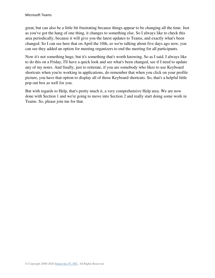great, but can also be a little bit frustrating because things appear to be changing all the time. Just as you've got the hang of one thing, it changes to something else. So I always like to check this area periodically, because it will give you the latest updates to Teams, and exactly what's been changed. So I can see here that on April the 10th, so we're talking about five days ago now, you can see they added an option for meeting organizers to end the meeting for all participants.

Now it's not something huge, but it's something that's worth knowing. So as I said, I always like to do this on a Friday, I'll have a quick look and see what's been changed, see if I need to update any of my notes. And finally, just to reiterate, if you are somebody who likes to use Keyboard shortcuts when you're working in applications, do remember that when you click on your profile picture, you have that option to display all of those Keyboard shortcuts. So, that's a helpful little pop out box as well for you.

But with regards to Help, that's pretty much it, a very comprehensive Help area. We are now done with Section 1 and we're going to move into Section 2 and really start doing some work in Teams. So, please join me for that.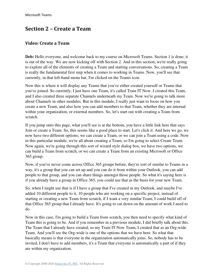## <span id="page-16-0"></span>**Section 2 – Create a Team**

#### <span id="page-16-1"></span>**Video: Create a Team**

**Deb:** Hello everyone, and welcome back to my course on Microsoft Teams. Section 1 is done; it is out of the way. We are now kicking off with Section 2. And in this section, we're really going to explore all of the elements of creating a Team and starting conversations. So, creating a Team is really the fundamental first step when it comes to working in Teams. Now, you'll see that currently, in that left-hand menu bar, I'm clicked on the Teams icon.

Now this is where it will display any Teams that you've either created yourself or Teams that you've joined. So currently, I just have one Team, it's called Train IT Now. I created this Team, and I also created three separate Channels underneath my Team. Now we're going to talk more about Channels in other modules. But in this module, I really just want to focus on how you create a new Team, and also how you can add members to that Team, whether they are internal within your organization, or external members. So, let's start out with creating a Team from scratch.

If you jump onto this page, what you'll see is at the bottom, you have a little link here that says Join or create a Team. So, this seems like a good place to start. Let's click it. And here we go, we now have two different options; we can create a Team, or we can join a Team using a code. Now in this particular module, we're all about creating a Team, so I'm going to select Create Team. Now again, we're going through this sort of wizard style dialog box, we have two options, we can build a Team from scratch, or we can create a Team from an existing Microsoft or Office 365 group.

Now, if you've never come across Office 365 groups before, they're sort of similar to Teams in a way, it's a group that you can set up and you can do it from within your Outlook, you can add people to that group, and you can share things amongst those people. So what it's saying here is if you already have a group in Office 365, you could use that as the basis for your new Team.

So, when I might use that is if I have a group that I've created in my Outlook, and maybe I've added 10 different people to it, 10 people who are working on a specific project, instead of starting or creating a new Team from scratch, if I want a very similar Team, I could build off of that Office 365 group that I already have. It's going to cut down on the amount of work I need to do.

Now in this case, I'm going to build a Team from scratch, you then need to specify what kind of Team this is going to be. And if you remember in a previous module, I did briefly talk about this. The Team that I already have created, so my Train IT Now Team, I created that as an Org-wide Team. And you'll see the Org-wide is one of the options that we have here. So what that basically means is that everyone in the organization automatically joins. So, nobody has to be invited, I don't have to add members, it's a Team that everyone is automatically a part of if they are within my organization.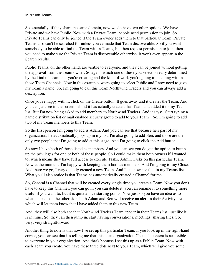So essentially, if they share the same domain, now we do have two other options. We have Private and we have Public. Now with a Private Team, people need permission to join. So Private Teams can only be joined if the Team owner adds them to that particular Team. Private Teams also can't be searched for unless you've made that Team discoverable. So if you want somebody to be able to find the Team within Teams, but then request permission to join, then you need to make sure the Private Team is discoverable otherwise, it won't even appear in the Search results.

Public Teams, on the other hand, are visible to everyone, and they can be joined without getting the approval from the Team owner. So again, which one of these you select is really determined by the kind of Team that you're creating and the kind of work you're going to be doing within those Team Channels. Now in this example, we're going to select Public and I now need to give my Team a name. So, I'm going to call this Team Northwind Traders and you can always add a description.

Once you're happy with it, click on the Create button. It goes away and it creates the Team. And you can just see in the screen behind it has actually created that Team and added it to my Teams list. But I'm now being asked to add members to Northwind Traders. And it says; "Start typing a name distribution list or mail enabled security group to add to your Team". So, I'm going to add two of my Team members to this Team.

So the first person I'm going to add is Adam. And you can see that because he's part of my organization, he automatically pops up in my list. I'm also going to add Ben, and those are the only two people that I'm going to add at this stage. And I'm going to click the Add button.

So now I have both of those listed as members. And you can see you do get the option to bump up the privileges for one or both of these people. So I could make them both owners if I wanted to, which means they have full access to execute Tasks, Admin Tasks on this particular Team. Now at the moment, I'm happy with keeping them both as members. And I'm going to say Close. And there we go, I very quickly created a new Team. And I can now see that in my Teams list. What you'll also notice is that Teams has automatically created a Channel for me.

So, General is a Channel that will be created every single time you create a Team. Now you don't have to keep this Channel, you can go in you can delete it, you can rename it to something more useful if you want to, but it is quite a nice starting points. Now just so you have an idea as to what happens on the other side, both Adam and Ben will receive an alert in their Activity area, which will let them know that I have added them to this new Team.

And, they will also both see that Northwind Traders Team appear in their Teams list, just like it is in mine. So, they can then jump in, start having conversations, meetings, sharing files. So, very, very straightforward.

Another thing to note is that now I've set up this particular Team, if you look up in the right-hand corner, you can see that it's telling me that this is an organization Channel, content is accessible to everyone in your organization. And that's because I set this up as a Public Team. Now with each Team you create, you have these three dots next to your Team, which will give you some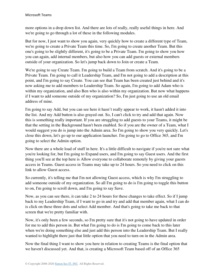more options in a drop down list. And there are lots of really, really useful things in here. And we're going to go through a lot of these in the following modules.

But for now, I just want to show you again, very quickly how to create a different type of Team, we're going to create a Private Team this time. So, I'm going to create another Team. But this one's going to be slightly different, it's going to be a Private Team. I'm going to show you how you can again, add internal members, but also how you can add guests or external members outside of your organization. So let's jump back down to Join or create a Team.

We're going to say Create Team. I'm going to build a Team from scratch. And it's going to be a Private Team. I'm going to call it Leadership Team, and I'm not going to add a description at this point, and I'm going to say Create. You can see that Team has been created just behind and it's now asking me to add members to Leadership Team. So again, I'm going to add Adam who is within my organization, and also Ben who is also within my organization. But now what happens if I want to add someone outside of my organization? So, I'm just going to use an old email address of mine.

I'm going to say Add, but you can see here it hasn't really appear to work, it hasn't added it into the list. And my Add button is also grayed out. So, I can't click to try and add that again. Now this is something really important. If you are struggling to add guests to your Teams, it might be that the setting in the Background hasn't been enabled. So if you are the owner of a Team, what I would suggest you do is jump into the Admin area. So I'm going to show you very quickly. Let's close this down, let's go up to our application launcher. I'm going to go to Office 365, and I'm going to select the Admin option.

Now there are a whole load of stuff in here. It's a little difficult to navigate if you're not sure what you're looking for, but I'm going to Expand users, and I'm going to say Guest users. And the first thing you'll see at the top here is Allow everyone to collaborate remotely by giving your guests access in Teams. Guest access in Teams may take up to 24 hours. So you need to click on this link to allow Guest access.

So currently, it's telling me that I'm not allowing Guest access, which is why I'm struggling to add someone outside of my organization. So all I'm going to do is I'm going to toggle this button to on, I'm going to scroll down, and I'm going to say Save.

Now, as you can see there, it can take 2 to 24 hours for these changes to take effect. So if I jump back to my Leadership Team, if I want to go in and try and add that member again, what I can do is click on these three dots and select Add member. And that's going to take me back to that screen that we're pretty familiar with.

Now, it's only been a few seconds, so I'm pretty sure that it's not going to have updated in order for me to add this person in. But what I'm going to do is I'm going to come back to this later when we're doing something else and just add this person into the Leadership Team. But I really wanted to highlight there just that little option that you need to turn on in the Admin area.

Now the final thing I want to show you here in relation to creating Teams is the final option that we haven't discussed yet. And that, is creating a Microsoft Team based off of an Office 365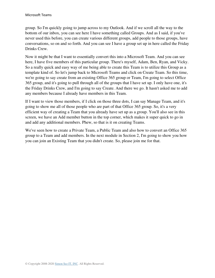group. So I'm quickly going to jump across to my Outlook. And if we scroll all the way to the bottom of our inbox, you can see here I have something called Groups. And as I said, if you've never used this before, you can create various different groups, add people to those groups, have conversations, so on and so forth. And you can see I have a group set up in here called the Friday Drinks Crew.

Now it might be that I want to essentially convert this into a Microsoft Team. And you can see here, I have five members of this particular group. There's myself, Adam, Ben, Ryan, and Vicky. So a really quick and easy way of me being able to create this Team is to utilize this Group as a template kind of. So let's jump back to Microsoft Teams and click on Create Team. So this time, we're going to say create from an existing Office 365 group or Team, I'm going to select Office 365 group, and it's going to pull through all of the groups that I have set up. I only have one, it's the Friday Drinks Crew, and I'm going to say Create. And there we go. It hasn't asked me to add any members because I already have members in this Team.

If I want to view those members, if I click on those three dots, I can say Manage Team, and it's going to show me all of those people who are part of that Office 365 group. So, it's a very efficient way of creating a Team that you already have set up as a group. You'll also see in this screen, we have an Add member button in the top corner, which makes it super quick to go in and add any additional members. Phew, so that is it on creating Teams.

We've seen how to create a Private Team, a Public Team and also how to convert an Office 365 group to a Team and add members. In the next module in Section 2, I'm going to show you how you can join an Existing Team that you didn't create. So, please join me for that.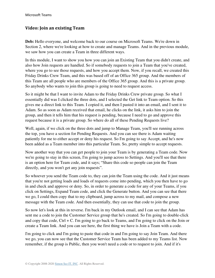#### <span id="page-20-0"></span>**Video: Join an existing Team**

**Deb:** Hello everyone, and welcome back to our course on Microsoft Teams. We're down in Section 2, where we're looking at how to create and manage Teams. And in the previous module, we saw how you can create a Team in three different ways.

In this module, I want to show you how you can join an Existing Team that you didn't create, and also how Join requests are handled. So if somebody requests to join a Team that you've created, where you go to see those requests, and how you accept them. Now, if you recall, we created this Friday Drinks Crew Team, and this was based off of an Office 365 group. And the members of this Team are all people who are members of the Office 365 group. And this is a private group. So anybody who wants to join this group is going to need to request access.

So it might be that I want to invite Adam to the Friday Drinks Crew private group. So what I essentially did was I clicked the three dots, and I selected the Get link to Team option. So this gives me a direct link to this Team. I copied it, and then I pasted it into an email, and I sent it to Adam. So as soon as Adam received that email, he clicks on the link, it asks him to join the group, and then it tells him that his request is pending, because I need to go and approve this request because it is a private group. So where do all of these Pending Requests live?

Well, again, if we click on the three dots and jump to Manage Team, you'll see running across the top, you have a section for Pending Requests. And you can see there is Adam waiting patiently for me to either accept or deny his request. So I'm going to say Accept, and he's now been added as a Team member into this particular Team. So, pretty simple to accept requests.

Now another way that you can get people to join your Team is by generating a Team code. Now we're going to stay in this screen, I'm going to jump across to Settings. And you'll see that there is an option here for Team code, and it says; "Share this code so people can join the Team directly, and you won't get any join requests".

So whoever you send the Team code to, they can join the Team using the code. And it just means that you're not getting loads and loads of requests come into pending, which you then have to go in and check and approve or deny. So, in order to generate a code for any of your Teams, if you click on Settings, Expand Team code, and click the Generate button. And you can see that there we go, I could then copy that to my clipboard, jump across to my mail, and compose a new message with the Team code. And then essentially, they can use that code to join the group.

So now let's look at this in reverse. I'm back in my Outlook email, and I can see that Adam has sent me a code to join the Customer Service group that he's created. So I'm going to double-click and copy that code, Ctrl + C. I'm going to go back to Teams, and I'm going to click on the Join or create a Team link. And you can see here, the first thing we have is Join a Team with a code.

I'm going to click and I'm going to paste that code in and I'm going to say Join Team. And there we go, you can now see that the Customer Service Team has been added to my Teams list. Now remember, if the group is Public, then you won't need a code or to request to join. And if it's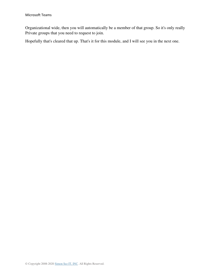Organizational wide, then you will automatically be a member of that group. So it's only really Private groups that you need to request to join.

Hopefully that's cleared that up. That's it for this module, and I will see you in the next one.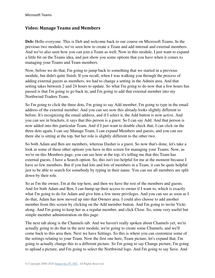#### <span id="page-22-0"></span>**Video: Manage Teams and Members**

**Deb:** Hello everyone. This is Deb and welcome back to our course on Microsoft Teams. In the previous two modules, we've seen how to create a Team and add internal and external members. And we've also seen how you can join a Team as well. Now in this module, I just want to expand a little bit on the Teams idea, and just show you some options that you have when it comes to managing your Teams and Team members.

Now, before we do that, I'm going to jump back to something that we started in a previous module, but didn't quite finish. If you recall, when I was walking you through the process of adding external guests as members, we had to change a setting in the Admin area. And that setting takes between 2 and 24 hours to update. So what I'm going to do now that a few hours has passed is that I'm going to go back in, and I'm going to add that external member into my Northwind Traders Team.

So I'm going to click the three dots, I'm going to say Add member, I'm going to type in the email address of the external member. And you can see now this already looks slightly different to before. It's recognizing the email address, and if I select it, the Add button is now active. And you can see in brackets, it says that this person is a guest. So I can say Add. And that person is now added into this particular Team. And if I just want to double check that, I can click on the three dots again, I can say Manage Team, I can expand Members and guests, and you can see there she is sitting at the top, but her role is slightly different to the other two.

So both Adam and Ben are members, whereas Dasher is a guest. So now that's done, let's take a look at some of these other options you have in this screen for managing your Teams. Now, as we're on this Members page, you can see here at the top, it's telling me that this Team has external guests, I have a Search option. So, this isn't too helpful for me at the moment because I have so few members. But if you had lots and lots of members in a Team, it can be quite helpful just to be able to search for somebody by typing in their name. You can see all members are split down by their role.

So as I'm the owner, I'm at the top here, and then we have the rest of the members and guests. And for both Adam and Ben, I can bump up their access to owner if I want to, which is exactly what I'm going to do for Adam and give him a few more privileges. And you can see as soon as I do that, Adam has now moved up into that Owners area. I could also choose to add another member from this screen by clicking on the Add member button. And I'm going to invite Vicki along. And I'm going to keep her as a regular member, and click Close. So, some very useful but simple member administration on this page.

The next tab along is the Channels tab. And we haven't really spoken about Channels yet, we're actually going to do that in the next module, we're going to create some Channels, and we'll come back to this area then. Next we have Settings. So this is where you can customize some of the settings relating to your Team. Now the first one here, Team picture, let's expand that, I'm going to actually change this to a different picture. So I'm going to say Change picture, I'm going to upload a picture, and I'm going to select the Northwind logo. And I'm going to say Save. And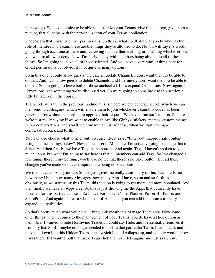there we go. So it's quite nice to be able to customize your Teams, give them a logo, give them a picture, that all helps with the personalization of your Teams application.

Underneath that I have Member permissions. So this is what I will allow anybody who has the role of member in a Team, these are the things they're allowed to do. Now, I will say it's worth going through each one of these and reviewing it and either enabling or disabling whichever ones you want to allow or deny. Now, I'm fairly happy with members being able to do all of these things. So I'm going to leave all of those selected. And you have a very similar thing here for Guest permissions but obviously not quite as many options.

So in this one, I could allow guests to create an update Channel, I don't want them to be able to do that. And I can allow guests to delete Channels, and I definitely don't want them to be able to do that. So I'm going to leave both of those unchecked. Let's expand @mentions. Now, again, @mentions isn't something we've discussed yet. So we're going to come back to this section a little bit later on in the course.

Team code we saw in the previous module, this is where we can generate a code which we can then send to colleagues, which will enable them to join whichever Team this code has been generated for without us needing to approve their request. We have a fun stuff section. So here, we're just really saying if we want to enable things like Giphys, stickers, memes, custom memes in our conversations, and you'll see how we can utilize these, when we start having a conversation back and forth.

You can also choose what to filter out. So currently, it says; "Filter out inappropriate content using one the settings below". Now mine is set to Moderate, I'm actually going to change that to Strict. And then finally, we have Tags at the bottom. And again, Tags, I haven't spoken to you much about, but what I'm going to say here is that all members can add Tags. So I've changed a few things there in my Settings, you'll also notice that there is no Save button. But all these changes you've made will save despite there being no Save button.

We then have an Analytics tab. So this just gives me really a summary of this Team, tells me how many Users, how many Messages, how many Apps I have, so on and so forth. And obviously, as we start using this Team, this section is going to get more and more populated. And then finally we have an Apps area. So this is just showing me the Apps that I currently have installed for this particular Team. So I have Forms, OneNote, Planner, Power BI, Praise, and SharePoint. And again, there's a whole load of Apps that you can add into Teams to really expand its capabilities.

So that's pretty much what you have lurking underneath this Manage Team area. Now some other things when it comes to the management of your Teams, you do have a Hide option as well. So if I wanted to hide Northwind Traders, I could say Hide, and it essentially removes it from my list. So if I maybe no longer needed to update that particular Team, I can hide it, and it moves it down into this Hidden Teams area, which I could collapse up, and nobody would know it was there. If I want to pull that back, I can click the three dots again, and just say Show.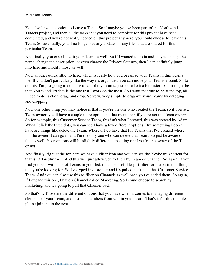You also have the option to Leave a Team. So if maybe you've been part of the Northwind Traders project, and then all the tasks that you need to complete for this project have been completed, and you're not really needed on this project anymore, you could choose to leave this Team. So essentially, you'll no longer see any updates or any files that are shared for this particular Team.

And finally, you can also edit your Team as well. So if I wanted to go in and maybe change the name, change the description, or even change the Privacy Settings, then I can definitely jump into here and modify those as well.

Now another quick little tip here, which is really how you organize your Teams in this Teams list. If you don't particularly like the way it's organized, you can move your Teams around. So to do this, I'm just going to collapse up all of my Teams, just to make it a bit easier. And it might be that Northwind Traders is the one that I work on the most. So I want that one to be at the top, all I need to do is click, drag, and drop. So very, very simple to organize your Teams by dragging and dropping.

Now one other thing you may notice is that if you're the one who created the Team, so if you're a Team owner, you'll have a couple more options in that menu than if you're not the Team owner. So for example, this Customer Service Team, this isn't what I created, this was created by Adam. When I click the three dots, you can see I have a few different options. But something I don't have are things like delete the Team. Whereas I do have that for Teams that I've created where I'm the owner. I can go in and I'm the only one who can delete that Team. So just be aware of that as well. Your options will be slightly different depending on if you're the owner of the Team or not.

And finally, right at the top here we have a Filter icon and you can see the Keyboard shortcut for that is Ctrl + Shift + F. And this will just allow you to filter by Team or Channel. So again, if you find yourself with a lot of Teams in your list, it can be useful to just filter for the particular thing that you're looking for. So I've typed in customer and it's pulled back, just that Customer Service Team. And you can also use this to filter on Channels as well once you've added them. So again, if I expand this one, I have a Channel called Marketing. So I could choose to search by marketing, and it's going to pull that Channel back.

So that's it. Those are the different options that you have when it comes to managing different elements of your Team, and also the members from within your Team. That's it for this module, please join me in the next.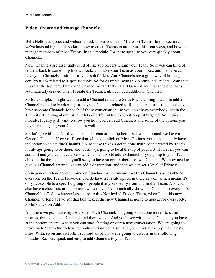#### <span id="page-25-0"></span>**Video: Create and Manage Channels**

**Deb:** Hello everyone, and welcome back to our course on Microsoft Teams. In this section, we've been taking a look so far at how to create Teams in numerous different ways, and how to manage members of those Teams. In this module, I want to speak to you very quickly about Channels.

Now, Channels are essentially kind of like sub folders within your Team. So if you can kind of relate it back to something like Outlook, you have your Team as your inbox, and then you can have your Channels as similar to your sub folders. And Channels are a great way of housing conversations related to a specific topic. So for example, with this Northwind Traders Team that I have at the top here, I have one Channel so far, that's called General and that's the one that's automatically created when I create the Team. But, I can add additional Channels.

So for example, I might want to add a Channel related to Sales Pitches, I might want to add a Channel related to Marketing, or maybe a Channel related to Budgets. And it just means that you have separate Channels for each of those conversations so you don't have everybody just in the Team itself, talking about lots and lots of different topics. So it keeps it targeted. So in this module, I really just want to show you how you can add Channels and some of the options you have for managing your Channels as well.

So, let's go with this Northwind Traders Team at the top here. As I've mentioned, we have a General Channel. Now you'll see that when you click on More Options, you don't actually have the option to delete that Channel. So, because this is a default one that's been created by Teams, it's always going to be there, and it's always going to be at the top of your list. However, you can add to it and you can have your own Channels. So to add a Channel, if you go up to your Team, click on the three dots, and you'll see you have an option there for Add Channel. We now need to give our Channel a name, we can add a description, and then we can set a level of Privacy.

So in general, I tend to keep mine on Standard, which means that this Channel is accessible to everyone on the Team. However, you do have a Private option in there as well, which means it's only accessible to a specific group of people that you specify from within that Team. And you also have a checkbox at the bottom, which says; "Automatically show this Channel in everyone's Channel lists". So, whoever has access to this Northwind Traders Team, when I add this new Channel, as long as I've got that box ticked, this new Channel is going to appear for everybody. So let's click on Add.

And there we go, I have my new Sales Pitch Channel, I'm going to add one more. So same process, three dots, add Channel, and there we go. And you'll see within each Channel you have at the bottom an area where you can start chatting or start a new conversation. We are going to move on to that in the following modules. And you also have your links at the top, your Posts, Files, Wiki, so on and so forth. As I said all of that we're going to discuss in the following modules. So, very quick and easy to add Channels to your Teams.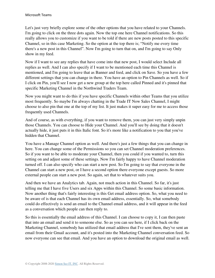Let's just very briefly explore some of the other options that you have related to your Channels. I'm going to click on the three dots again. Now the top one here Channel notifications. So this really allows you to customize if you want to be told if there are new posts posted to this specific Channel, so in this case Marketing. So the option at the top there is; "Notify me every time there's a new post in this Channel". Now I'm going to turn that on, and I'm going to say Only show in my feed.

Now if I want to see any replies that have come into that new post, I would select Include all replies as well. And I can also specify if I want to be mentioned each time this Channel is mentioned, and I'm going to leave that as Banner and feed, and click on Save. So you have a few different settings that you can change in there. You have an option to Pin Channels as well. So if I click on Pin, you'll see I now get a new group at the top here called Pinned and it's pinned that specific Marketing Channel in the Northwind Traders Team.

Now you might want to do this if you have specific Channels within other Teams that you utilize most frequently. So maybe I'm always chatting in the Trade IT Now Sales Channel, I might choose to also pin that one at the top of my list. It just makes it super easy for me to access those frequently used Channels.

And of course, as with everything, if you want to remove them, you can just very simply unpin those Channels. You can choose to Hide your Channel. And you'll see by doing that it doesn't actually hide, it just puts it in this Italic font. So it's more like a notification to you that you've hidden that Channel.

You have a Manage Channel option as well. And there's just a few things that you can change in here. You can change some of the Permissions so you can set Channel moderation preferences. So if you want to be able to moderate your Channel, then you could if you wanted to, turn this setting on and adjust some of these settings. Now I'm fairly happy to have Channel moderation turned off. I can also specify who can start a new post. So I'm going to say that everyone in the Channel can start a new post, or I have a second option there everyone except guests. So more external people can start a new post. So again, set that to whatever suits you.

And then we have an Analytics tab. Again, not much action in this Channel. So far, it's just telling me that I have five Users and six Apps within this Channel. So some basic information. Now another thing that's fairly interesting is this Get email address option. So, what you need to be aware of is that each Channel has its own email address, essentially. So, what somebody could do effectively is send an email to the Channel email address, and it will appear in the feed as a conversation which people can then reply to.

So this is essentially the email address of this Channel. I can choose to copy it, I can then paste that into an email and send it to someone else. So as you can see here, if I click back on the Marketing Channel, somebody has utilized that email address that I've sent them, they've sent an email from their Gmail account, and it's posted into the Marketing Channel conversation feed. So now everyone can see that email. And you have an option to download the original email as well.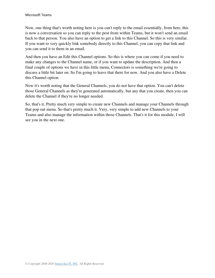Now, one thing that's worth noting here is you can't reply to the email essentially, from here, this is now a conversation so you can reply to the post from within Teams, but it won't send an email back to that person. You also have an option to get a link to this Channel. So this is very similar. If you want to very quickly link somebody directly to this Channel, you can copy that link and you can send it to them in an email.

And then you have an Edit this Channel options. So this is where you can come if you need to make any changes to the Channel name, or if you want to update the description. And then a final couple of options we have in this little menu, Connectors is something we're going to discuss a little bit later on. So I'm going to leave that there for now. And you also have a Delete this Channel option.

Now it's worth noting that the General Channels, you do not have that option. You can't delete those General Channels as they're generated automatically, but any that you create, then you can delete the Channel if they're no longer needed.

So, that's it. Pretty much very simple to create new Channels and manage your Channels through that pop out menu. So that's pretty much it. Very, very simple to add new Channels to your Teams and also manage the information within those Channels. That's it for this module, I will see you in the next one.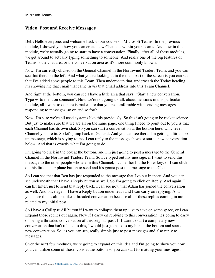#### <span id="page-28-0"></span>**Video: Post and Receive Messages**

**Deb:** Hello everyone, and welcome back to our course on Microsoft Teams. In the previous module, I showed you how you can create new Channels within your Teams. And now in this module, we're actually going to start to have a conversation. Finally, after all of these modules, we get around to actually typing something to someone. And really one of the big features of Teams is the chat area or the conversation area as it's more commonly known.

Now, I'm currently clicked on the General Channel in the Northwind Traders Team, and you can see that there on the left. And what you're looking at in the main part of the screen is you can see that I've added some people to this Team. Then underneath that, underneath the Today heading, it's showing me that email that came in via that email address into this Team Channel.

And right at the bottom, you can see I have a little area that says; "Start a new conversation. Type @ to mention someone". Now we're not going to talk about mentions in this particular module, all I want to do here is make sure that you're comfortable with sending messages, responding to messages, so on and so forth.

Now, I'm sure we've all used systems like this previously. So this isn't going to be rocket science. But just to make sure that we are all on the same page, one thing I need to point out to you is that each Channel has its own chat. So you can start a conversation at the bottom here, whichever Channel you are in. So let's jump back to General. And you can see there, I'm getting a little pop up message, which is saying to me, I can reply to the message above or start a new conversation below. And that is exactly what I'm going to do.

I'm going to click in the box at the bottom, and I'm just going to post a message to the General Channel in the Northwind Traders Team. So I've typed out my message, if I want to send this message to the other people who are in this Channel, I can either hit the Enter key, or I can click on this little paper plane button to send and it's gonna post that message to the Channel.

So I can see that that Ben has just responded to the message that I've put in there. And you can see underneath that I have a Reply button as well. So I'm going to click on Reply. And again, I can hit Enter, just to send that reply back. I can see now that Adam has joined the conversation as well. And once again, I have a Reply button underneath and I can carry on replying. And you'll see this is almost like a threaded conversation because all of these replies coming in are related to my initial post.

So I have a Collapse All button if I want to collapse them up just to save on some space, or I can Expand those replies out again. Now if I carry on replying to this conversation, it's going to carry on being a threaded conversation of this original post. If I want to start a completely new conversation that isn't related to this, I would just go back to my box at the bottom and start a new conversation. So, as you can see, really simple just to post messages and also reply to messages.

Over the next few modules, we're going to expand on this idea and I'm going to show you how you can utilize some of those icons at the bottom so you can start formatting your messages,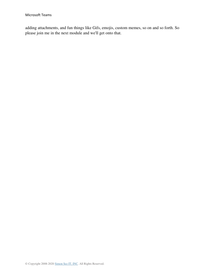adding attachments, and fun things like Gifs, emojis, custom memes, so on and so forth. So please join me in the next module and we'll get onto that.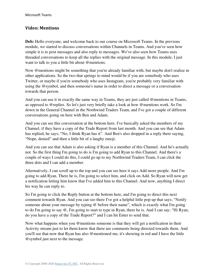#### <span id="page-30-0"></span>**Video: Mentions**

**Deb:** Hello everyone, and welcome back to our course on Microsoft Teams. In the previous module, we started to discuss conversations within Channels in Teams. And you've seen how simple it is to post messages and also reply to messages. We've also seen how Teams uses threaded conversations to keep all the replies with the original message. In this module, I just want to talk to you a little bit about @mentions.

Now @mentions might be something that you're already familiar with, but maybe don't realize in other applications. So the two that springs to mind would be if you are somebody who uses Twitter, or maybe if you're somebody who uses Instagram, you're probably very familiar with using the @symbol, and then someone's name in order to direct a message or a conversation towards that person.

And you can use it in exactly the same way in Teams, they are just called @mentions in Teams, as opposed to @replies. So let's just very briefly take a look at how @mentions work. So I'm down in the General Channel in the Northwind Traders Team, and I've got a couple of different conversations going on here with Ben and Adam.

And you can see this conversation at the bottom here, I've basically asked the members of my Channel, if they have a copy of the Trade Report from last month. And you can see that Adam has replied, he says; "No, I think Ryan has it". And Ben's also dropped in a reply there saying, "Nope, denied" and then a little bit of a laughy emoji.

And you can see that Adam is also asking if Ryan is a member of this Channel. And he's actually not. So the first thing I'm going to do is I'm going to add Ryan to this Channel. And there's a couple of ways I could do this, I could go up to my Northwind Traders Team, I can click the three dots and I can add a member.

Alternatively, I can scroll up to the top and you can see here it says Add more people. And I'm going to add Ryan. There he is, I'm going to select him, and click on Add. So Ryan will now get a notification letting him know that I've added him to this Channel. And now, anything I direct his way he can reply to.

So I'm going to click the Reply button at the bottom here, and I'm going to direct this next comment towards Ryan. And you can see there I've got a helpful little pop up that says; "Notify someone about your message by typing @ before their name", which is exactly what I'm going to do I'm going to say @, I'm going to start to type in Ryan, there he is. And I can say; "Hi Ryan, do you have a copy of the Trade Report?" and I can hit Enter to send that.

Now what happens when you @mentions someone is that they will get a notification in their Activity stream just to let them know that there are comments being directed towards them. And you'll see that now that Ryan has also @mentioned me, it's showing in red and I have the little @symbol just next to the message.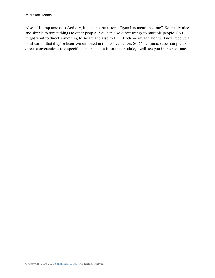Also, if I jump across to Activity, it tells me the at top, "Ryan has mentioned me". So, really nice and simple to direct things to other people. You can also direct things to multiple people. So I might want to direct something to Adam and also to Ben. Both Adam and Ben will now receive a notification that they've been @mentioned in this conversation. So @mentions, super simple to direct conversations to a specific person. That's it for this module, I will see you in the next one.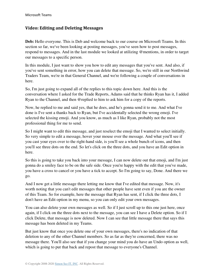#### <span id="page-32-0"></span>**Video: Editing and Deleting Messages**

**Deb:** Hello everyone. This is Deb and welcome back to our course on Microsoft Teams. In this section so far, we've been looking at posting messages, you've seen how to post messages, respond to messages. And in the last module we looked at utilizing @mentions, in order to target our messages to a specific person.

In this module, I just want to show you how to edit any messages that you've sent. And also, if you've sent something in error, how you can delete that message. So, we're still in our Northwind Traders Team, we're in that General Channel, and we're following a couple of conversations in here.

So, I'm just going to expand all of the replies to this topic down here. And this is the conversation where I asked for the Trade Reports, Adams said that he thinks Ryan has it, I added Ryan to the Channel, and then @replied to him to ask him for a copy of the reports.

Now, he replied to me and said yes, that he does, and he's gonna send it to me. And what I've done is I've sent a thanks back to Ryan, but I've accidentally selected the wrong emoji. I've selected the kissing emoji. And you know, as much as I like Ryan, probably not the most professional thing for me to send.

So I might want to edit this message, and just reselect the emoji that I wanted to select initially. So very simple to edit a message, hover your mouse over the message. And what you'll see if you cast your eyes over to the right-hand side, is you'll see a whole bunch of icons, and then you'll see three dots on the end. So let's click on the three dots, and you have an Edit option in here.

So this is going to take you back into your message, I can now delete out that emoji, and I'm just gonna do a smiley face to be on the safe side. Once you're happy with the edit that you've made, you have a cross to cancel or you have a tick to accept. So I'm going to say, Done. And there we go.

And I now get a little message there letting me know that I've edited that message. Now, it's worth noting that you can't edit messages that other people have sent even if you are the owner of this Team. So for example, here the message that Ryan has sent, if I click the three dots, I don't have an Edit option in my menu, so you can only edit your own messages.

You can also delete your own messages as well. So if I just scroll up to this one just here, once again, if I click on the three dots next to the message, you can see I have a Delete option. So if I click Delete, that message is now deleted. Now I can see that little message there that says this message has been deleted in my Teams.

But just know that once you delete one of your own messages, there's no indication of that deletion to any of the other Channel members. So as far as they're concerned, there was no message there. You'll also see that if you change your mind you do have an Undo option as well, which is going to put that back and repost that message to everyone's Channel.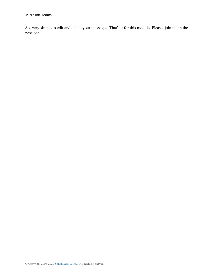So, very simple to edit and delete your messages. That's it for this module. Please, join me in the next one.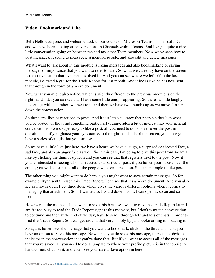#### <span id="page-34-0"></span>**Video: Bookmark and Like**

**Deb:** Hello everyone, and welcome back to our course on Microsoft Teams. This is still, Deb, and we have been looking at conversations in Channels within Teams. And I've got quite a nice little conversation going on between me and my other Team members. Now we've seen how to post messages, respond to messages, @mention people, and also edit and delete messages.

What I want to talk about in this module is liking messages and also bookmarking or saving messages of importance that you want to refer to later. So what we currently have on the screen is the conversation that I've been involved in. And you can see where we left off in the last module, I'd asked Ryan for the Trade Report for last month. And it looks like he has now sent that through in the form of a Word document.

Now what you might also notice, which is slightly different to the previous module is on the right-hand side, you can see that I have some little emojis appearing. So there's a little laughy face emoji with a number two next to it, and then we have two thumbs up as we move further down the conversation.

So these are likes or reactions to posts. And it just lets you know that people either like what you've posted, or they find something particularly funny, adds a bit of interest into your general conversations. So it's super easy to like a post, all you need to do is hover over the post in question, and if you glance your eyes across to the right-hand side of the screen, you'll see you have a series of emojis that you can use.

So we have a little like just here, we have a heart, we have a laugh, a surprised or shocked face, a sad face, and also an angry face as well. So in this case, I'm going to give this post from Adam a like by clicking the thumbs up icon and you can see that that registers next to the post. Now if you're interested in seeing who has reacted to a particular post, if you hover your mouse over the emoji, you will see a list of all of the people who sent a reaction. So, super simple to like posts.

The other thing you might want to do here is you might want to save certain messages. So for example, Ryan sent through this Trade Report, I can see that it's a Word document. And you also see as I hover over, I get three dots, which gives me various different options when it comes to managing that attachment. So if I wanted to, I could download it, I can open it, so on and so forth.

However, at the moment, I just want to save this because I want to read the Trade Report later. I am far too busy to read the Trade Report right at this moment, but I don't want the conversation to continue and then at the end of the day, have to scroll through lots and lots of chats in order to find that Trade Report. So I can get around that very simply by just bookmarking it or saving it.

So again, hover over the message that you want to bookmark, click on the three dots, and you have an option to Save this message. Now, once you do save this message, there is no obvious indicator in the conversation that you've done that. But if you want to access all of the messages that you've saved, all you need to do is jump up to where your profile picture is in the top righthand corner, click on it, and you'll see you have a Save option in here.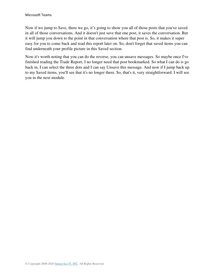Now if we jump to Save, there we go, it's going to show you all of those posts that you've saved in all of those conversations. And it doesn't just save that one post, it saves the conversation. But it will jump you down to the point in that conversation where that post is. So, it makes it super easy for you to come back and read this report later on. So, don't forget that saved items you can find underneath your profile picture in this Saved section.

Now it's worth noting that you can do the reverse, you can unsave messages. So maybe once I've finished reading the Trade Report, I no longer need that post bookmarked. So what I can do is go back in, I can select the three dots and I can say Unsave this message. And now if I jump back up to my Saved items, you'll see that it's no longer there. So, that's it, very straightforward. I will see you in the next module.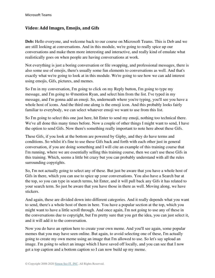# **Video: Add Images, Emojis, and Gifs**

**Deb:** Hello everyone, and welcome back to our course on Microsoft Teams. This is Deb and we are still looking at conversations. And in this module, we're going to really spice up our conversations and make them more interesting and interactive, and really kind of emulate what realistically goes on when people are having conversations at work.

Not everything is just a boring conversation or file swapping, and professional messages, there is also some use of emojis, there's usually some fun elements to conversations as well. And that's exactly what we're going to look at in this module. We're going to see how we can add interest using emojis, Gifs, pictures, and memes.

So I'm in my conversation, I'm going to click on my Reply button, I'm going to type my message, and I'm going to @mention Ryan, and select him from the list. I've typed in my message, and I'm gonna add an emoji. So, underneath where you're typing, you'll see you have a whole host of icons. And the third one along is the emoji icon. And this probably looks fairly familiar to everybody, we can select whatever emoji we want to use from this list.

So I'm going to select this one just here, hit Enter to send my emoji, nothing too technical there. We've all done this many times before. Now a couple of other things I might want to send, I have the option to send Gifs. Now there's something really important to note here about these Gifs.

These Gifs, if you look at the bottom are powered by Giphy, and they do have terms and conditions. So whilst it's fine to use these Gifs back and forth with each other just in general conversation, if you are doing something and I will cite an example of this training course that I'm running, where we are essentially selling this training course, then we can't use these Gifs in this training. Which, seems a little bit crazy but you can probably understand with all the rules surrounding copyrights.

So, I'm not actually going to select any of these. But just be aware that you have a whole host of Gifs in there, which you can use to spice up your conversations. You also have a Search bar at the top, so you can type in search terms, hit Enter, and it will pull back any Gifs it has related to your search term. So just be aware that you have those in there as well. Moving along, we have stickers.

And again, these are divided down into different categories. And it really depends what you want to send, there's a whole host of them in here. You have a popular section at the top, which you might want to have a little scroll through. And once again, I'm not going to use any of these in the conversations due to copyright, but I'm pretty sure that you get the idea, you can just select it, and it will add it to the conversation.

Now you do have an option here to create your own meme. And you'll see again, some popular memes that you may have seen online. But again, to avoid selecting one of these, I'm actually going to create my own meme using an image that I'm allowed to use. So let's say upload an image. I'm going to select an image which I have saved off locally, and you can see that I now get a top caption and a bottom caption so I can now build up my meme.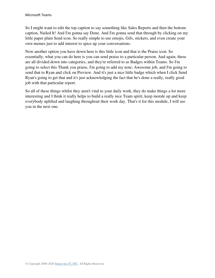So I might want to edit the top caption to say something like Sales Reports and then the bottom caption, Nailed It! And I'm gonna say Done. And I'm gonna send that through by clicking on my little paper plain Send icon. So really simple to use emojis, Gifs, stickers, and even create your own memes just to add interest to spice up your conversations.

Now another option you have down here is this little icon and that is the Praise icon. So essentially, what you can do here is you can send praise to a particular person. And again, these are all divided down into categories, and they're referred to as Badges within Teams. So I'm going to select this Thank you praise, I'm going to add my note; Awesome job, and I'm going to send that to Ryan and click on Preview. And it's just a nice little badge which when I click Send Ryan's going to get that and it's just acknowledging the fact that he's done a really, really good job with that particular report.

So all of these things whilst they aren't vital to your daily work, they do make things a lot more interesting and I think it really helps to build a really nice Team spirit, keep morale up and keep everybody uplifted and laughing throughout their work day. That's it for this module, I will see you in the next one.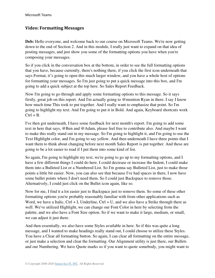#### **Video: Formatting Messages**

**Deb:** Hello everyone, and welcome back to our course on Microsoft Teams. We're now getting down to the end of Section 2. And in this module, I really just want to expand on that idea of posting messages, and just show you some of the formatting options you have when you're composing your messages.

So if you click in the conversation box at the bottom, in order to see the full formatting options that you have, because currently, there's nothing there, if you click the first icon underneath that says Format, it's going to open this much larger window, and you have a whole host of options for formatting your messages. So I'm just going to put a quick message into this box, and I'm going to add a quick subject at the top here. So Sales Report Feedback.

Now I'm going to go through and apply some formatting options to this message. So it says firstly, great job on this report. And I'm actually going to @mention Ryan in there. I say I know how much time This took to put together. And I really want to emphasize that point. So I'm going to highlight my text. And I'm going to put it in Bold. And again, Keyboard shortcuts work  $Ctrl + B.$ 

I've then got underneath, I have some feedback for next month's report. I'm going to add some text in here that says, @Ben and @Adam, please feel free to contribute also. And maybe I want to make this really stand out in my message. So I'm going to highlight it, and I'm going to use the Text Highlight color, and I'm going to say yellow. And then underneath I have three points that I want them to think about changing before next month Sales Report is put together. And these are going to be a lot easier to read if I put them into some kind of list.

So again, I'm going to highlight my text, we're going to go up to my formatting options, and I have a few different things I could do here. I could decrease or increase the Indent, I could make them into a Bulleted List or a Numbered List. So I'm gonna say Bulleted List, just to make those points a little bit easier. Now, you can also see that because I've had spaces in there, I now have some bullet points where I don't need them. So I could just Backspace to remove those. Alternatively, I could just click on the Bullet icon again, like so.

Now for me, I find it a lot easier just to Backspace just to remove them. So some of these other formatting options you're probably reasonably familiar with from other applications such as Word, we have a Italic,  $Ctrl + I$ , Underline,  $Ctrl + U$ , and we also have a Strike through there as well. We've utilized Highlight, we can change our Font Color in here by selecting from the palette, and we also have a Font Size option. So if we want to make it large, medium, or small, we can adjust it just there.

And then essentially, we also have some Styles available in here. So if this was quite a long message, and I wanted to make headings really stand out, I could choose to utilize these Styles. You have a Clear all formatting button. So again, I can clear all formatting on the entire message, or just make a selection and clear the formatting. Our Alignment utility is just there, our Bullets and our Numbering. We have Quote marks so if you want to quote somebody, you might want to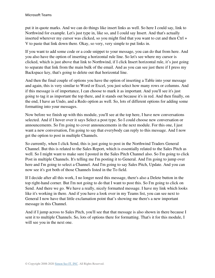put it in quote marks. And we can do things like insert links as well. So here I could say, link to Northwind for example. Let's just type in, like so, and I could say Insert. And that's actually inserted wherever my cursor was clicked, so you might find that you want to cut and then Ctrl + V to paste that link down there. Okay, so very, very simple to put links in.

If you want to add some code or a code snippet to your message, you can do that from here. And you also have the option of inserting a horizontal rule line. So let's see where my cursor is clicked, which is just above that link to Northwind, if I click Insert horizontal rule, it's just going to separate that link from the main bulk of the email. And as you can see just there if I press my Backspace key, that's going to delete out that horizontal line.

And then the final couple of options you have the option of inserting a Table into your message and again, this is very similar to Word or Excel, you just select how many rows or columns. And if this message is of importance, I can choose to mark it as important. And you'll see it's just going to tag it as important the top there, and it stands out because it's in red. And then finally, on the end, I have an Undo, and a Redo option as well. So, lots of different options for adding some formatting into your messages.

Now before we finish up with this module, you'll see at the top here, I have new conversations selected. And if I hover over it says Select a post type. So I could choose new conversation or announcements. So I'm going to cover announcements in the next module. For this one, I just want a new conversation, I'm going to say that everybody can reply to this message. And I now get the option to post in multiple Channels.

So currently, when I click Send, this is just going to post in the Northwind Traders General Channel. But this is related to the Sales Report, which is essentially related to the Sales Pitch as well. So I might want to make sure I posted in the Sales Pitch Channel also. So I'm going to click Post in multiple Channels. It's telling me I'm posting it to General. And I'm going to jump over here and I'm going to select a Channel. And I'm going to say Sales Pitch, Update. And you can now see it's got both of those Channels listed in the To field.

If I decide after all this work, I no longer need this message, there's also a Delete button in the top right-hand corner. But I'm not going to do that I want to post this. So I'm going to click on Send. And there we go. We have a really, nicely formatted message. I have my link which looks like it's working in there. And if you have a look over in my Teams list, you can see next to General I now have that little exclamation point that's showing me there's a new important message in this Channel.

And if I jump across to Sales Pitch, you'll see that that message is also shown in there because I sent it to multiple Channels. So, lots of options there for formatting. That's it for this module, I will see you in the next one.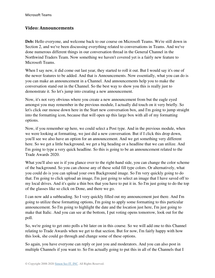#### **Video: Announcements**

**Deb:** Hello everyone, and welcome back to our course on Microsoft Teams. We're still down in Section 2, and we've been discussing everything related to conversations in Teams. And we've done numerous different things in our conversation thread in the General Channel in the Northwind Traders Team. Now something we haven't covered yet is a fairly new feature to Microsoft Teams.

When I say new, it did come out last year, they started to roll it out. But I would say it's one of the newer features to be added. And that is Announcements. Now essentially, what you can do is you can make an announcement in a Channel. And announcements help you to make the conversation stand out in the Channel. So the best way to show you this is really just to demonstrate it. So let's jump into creating a new announcement.

Now, it's not very obvious where you create a new announcement from but the eagle eyed amongst you may remember in the previous module, I actually did touch on it very briefly. So let's click our mouse down here in the Start new conversation box, and I'm going to jump straight into the formatting icon, because that will open up this large box with all of my formatting options.

Now, if you remember up here, we could select a Post type. And in the previous module, when we were looking at formatting, we just did a new conversation. But if I click this drop down, you'll see we also have an option for an announcement. And we get something very different here. So we get a little background, we get a big heading or a headline that we can utilize. And I'm going to type a very quick headline. So this is going to be an announcement related to the Trade Awards 2020.

What you'll also see is if you glance over to the right-hand side, you can change the color scheme of the background. So you can choose any of these solid fill type colors. Or alternatively, what you could do is you can upload your own Background image. So I'm very quickly going to do that. I'm going to click upload an image, I'm just going to select an image that I have saved off to my local drives. And it's quite a thin box that you have to put it in. So I'm just going to do the top of the glasses like so click on Done, and there we go.

I can now add a subheading. So I very quickly filled out my announcement just there. And I'm going to utilize these formatting options, I'm going to apply some formatting to this particular announcement. So I'm going to highlight the date and the location just here, I'm just going to make that Italic. And you can see at the bottom, I put voting opens tomorrow, look out for the poll.

So, we're going to get onto polls a bit later on in this course. So we will add one to this Channel relating to Trade Awards when we get to that section. But for now, I'm fairly happy with how this look, she could go through and change some of these options.

So again, you have everyone can reply or just you and moderators. And you can also post in multiple Channels if you want to. So I'm actually going to put this in all of the Channels that I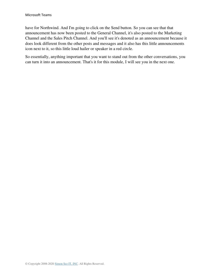have for Northwind. And I'm going to click on the Send button. So you can see that that announcement has now been posted to the General Channel, it's also posted to the Marketing Channel and the Sales Pitch Channel. And you'll see it's denoted as an announcement because it does look different from the other posts and messages and it also has this little announcements icon next to it, so this little loud hailer or speaker in a red circle.

So essentially, anything important that you want to stand out from the other conversations, you can turn it into an announcement. That's it for this module, I will see you in the next one.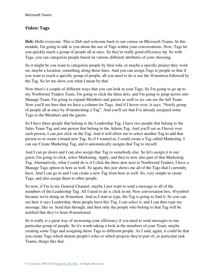#### **Video: Tags**

**Deb:** Hello everyone. This is Deb and welcome back to our course on Microsoft Teams. In this module, I'm going to talk to you about the use of Tags within your conversations. Now, Tags let you quickly reach a group of people all at once. So they're really good efficiency tip. So with Tags, you can categorize people based on various different attributes of your choosing.

So it might be you want to categorize people by their role, or maybe a specific project they work on, maybe a location, something along those lines. And you can assign Tags to people so that if you want to reach a specific group of people, all you need to do is use the @mention followed by the Tag. So let me show you what I mean by that.

Now there's a couple of different ways that you can look at your Tags. So I'm going to go up to my Northwind Traders Team, I'm going to click the three dots, and I'm going to jump across into Manage Team. I'm going to expand Members and guests as well so we can see the full Team. Now you'll see here that we have a column for Tags. And if I hover over, it says; "Notify group of people all at once by @mentioning a Tag". And you'll see that I've already assigned some Tags to the Members and the guests.

So I have three people that belong to the Leadership Tag, I have two people that belong to the Sales Team Tag and one person that belong to the Admin Tag. And you'll see as I hover over each person, I can just click on the Tag. And it will allow me to select another Tag to add that person to or create a brand new Tag. So if I wanted to, I could create a Tag called Marketing. I can say Create Marketing Tag, and it automatically assigns that Tag to myself.

And I can go down and I can also assign that Tag to somebody else. So let's assign it to our guest, I'm going to click, select Marketing, Apply, and they're now also part of that Marketing Tag. Alternatively, what I could do is if I click the three dots next to Northwind Traders, I have a Manage Tags option in here as well. So again, this just shows me all of the Tags that I currently have. And I can go in and I can create a new Tag from here as well. So, very simple to create Tags, and also assign them to other people.

So now, if I'm in my General Channel, maybe I just want to send a message to all of the members of the Leadership Tag. All I need to do is click in my New conversation box, @symbol because we're doing an @mention. And as I start to type, the Tag is going to find it. So you can see here it says Leadership, three people have this Tag, I can select it, and I can then type my message, like so. Send that through, and then only the people who belong to that Tag will be notified that they've been @mentioned.

So it really is a great way of increasing your efficiency if you need to send messages to one particular group of people. So it's worth taking a look at the members of your Team, maybe creating some Tags and assigning those Tags to different people. As I said, again, it could be that you create Tags which denote people's roles or which projects they're part of, or particular task Teams, things like that.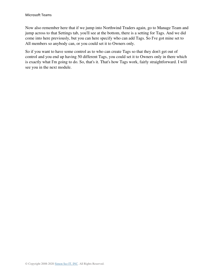Now also remember here that if we jump into Northwind Traders again, go to Manage Team and jump across to that Settings tab, you'll see at the bottom, there is a setting for Tags. And we did come into here previously, but you can here specify who can add Tags. So I've got mine set to All members so anybody can, or you could set it to Owners only.

So if you want to have some control as to who can create Tags so that they don't get out of control and you end up having 50 different Tags, you could set it to Owners only in there which is exactly what I'm going to do. So, that's it. That's how Tags work, fairly straightforward. I will see you in the next module.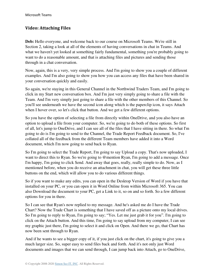# **Video: Attaching Files**

**Deb:** Hello everyone, and welcome back to our course on Microsoft Teams. We're still in Section 2, taking a look at all of the elements of having conversations in chat in Teams. And what we haven't yet looked at something fairly fundamental, something you're probably going to want to do a reasonable amount, and that is attaching files and pictures and sending those through in a chat conversation.

Now, again, this is a very, very simple process. And I'm going to show you a couple of different examples. And I'm also going to show you how you can access any files that have been shared in your conversation quickly and easily.

So again, we're staying in this General Channel in the Northwind Traders Team, and I'm going to click in my Start new conversation box. And I'm just very simply going to share a file with the Team. And I'm very simply just going to share a file with the other members of this Channel. So you'll see underneath we have the second icon along which is the paperclip icon, it says Attach when I hover over, so let's click that button. And we get a few different options.

So you have the option of selecting a file from directly within OneDrive, and you also have an option to upload a file from your computer. So, we're going to do both of these options. So first of all, let's jump to OneDrive, and I can see all of the files that I have sitting in there. So what I'm going to do is I'm going to send to the Channel, the Trade Report Feedback document. So, I've collated all of the feedback from the different Team members have added it into a Word document, which I'm now going to send back to Ryan.

So I'm going to select the Trade Report, I'm going to say Upload a copy. That's now uploaded, I want to direct this to Ryan. So we're going to @mention Ryan, I'm going to add a message. Once I'm happy, I'm going to click Send. And away that goes, really, really simple to do. Now, as I mentioned before, when you do receive an attachment in chat, you will get these three little buttons on the end, which will allow you to do various different things.

So if you want to make any edits, you can open in the Desktop Version of Word if you have that installed on your PC, or you can open it in Word Online from within Microsoft 365. You can also Download the document to your PC, get a Link to it, so on and so forth. So a few different options for you in there.

So I can see that Ryan's now replied to my message. And he's asked me do I have the Trade Chart? Now the Trade Chart is something that I have saved off as a picture onto my local drives. So I'm going to reply to Ryan, I'm going to say; "Yes. Let me just grab it for you". I'm going to click on the Attach button. And this time, I'm going to say upload from my computer, I can see my graphic just there, I'm going to select it and click on Open. And there we go, that Chart has now been sent through to Ryan.

And if he wants to see a bigger copy of it, if you just click on the chart, it's going to give you a much larger size. So, super easy to send files back and forth. And it's not only just Word documents and images that we can send through, I can jump back into Attach, go to OneDrive,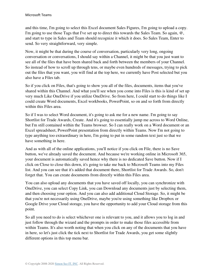and this time, I'm going to select this Excel document Sales Figures, I'm going to upload a copy. I'm going to use those Tags that I've set up to direct this towards the Sales Team. So again,  $\omega$ , and start to type in Sales and Team should recognize it which it does. So Sales Team, Enter to send. So very straightforward, very simple.

Now, it might be that during the course of conversation, particularly very long, ongoing conversation or conversations, I should say within a Channel, it might be that you just want to see all of the files that have been shared back and forth between the members of your Channel. So instead of how to scroll up through tens, or maybe even hundreds of messages, trying to pick out the files that you want, you will find at the top here, we currently have Post selected but you also have a Files tab.

So if you click on Files, that's going to show you all of the files, documents, items that you've shared within this Channel. And what you'll see when you come into Files is this is kind of set up very much Like OneDrive if you utilize OneDrive. So from here, I could start to do things like I could create Word documents, Excel workbooks, PowerPoint, so on and so forth from directly within this Files area.

So if I was to select Word document, it's going to ask me for a new name. I'm going to say Shortlist for Trade Awards, Create. And it's going to essentially jump me across to Word Online, but I'm still contained within the Teams browser. So I can really work on a Word document or an Excel spreadsheet, PowerPoint presentation from directly within Teams. Now I'm not going to type anything too extraordinary in here, I'm going to put in some random text just so that we have something in here.

And as with all of the online applications, you'll notice if you click on File, there is no Save button, we've already saved the document. And because we're working online in Microsoft 365, your document is automatically saved hence why there is no dedicated Save button. Now if I click on Close to close this down, it's going to take me back to Microsoft Teams into my Files list. And you can see that it's added that document there, Shortlist for Trade Awards. So, don't forget that. You can create documents from directly within this Files area.

You can also upload any documents that you have saved off locally, you can synchronize with OneDrive, you can select Copy Link, you can Download any documents just by selecting them, and then choosing your option. And you can also add additional Cloud Storage. So, it might be that you're not necessarily using OneDrive, maybe you're using something like Dropbox or Google Drive your Cloud storage, you have the opportunity to add your Cloud storage from this point.

So all you need to do is select whichever one is relevant to you, and it allows you to log in and just follow through the wizard and the prompts in order to make those files accessible from within Teams. It's also worth noting that when you click on any of the documents that you have in here, so let's just click the tick next to Shortlist for Trade Awards, you get some slightly different options in this top menu bar.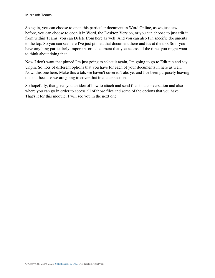So again, you can choose to open this particular document in Word Online, as we just saw before, you can choose to open it in Word, the Desktop Version, or you can choose to just edit it from within Teams, you can Delete from here as well. And you can also Pin specific documents to the top. So you can see here I've just pinned that document there and it's at the top. So if you have anything particularly important or a document that you access all the time, you might want to think about doing that.

Now I don't want that pinned I'm just going to select it again, I'm going to go to Edit pin and say Unpin. So, lots of different options that you have for each of your documents in here as well. Now, this one here, Make this a tab, we haven't covered Tabs yet and I've been purposely leaving this out because we are going to cover that in a later section.

So hopefully, that gives you an idea of how to attach and send files in a conversation and also where you can go in order to access all of those files and some of the options that you have. That's it for this module, I will see you in the next one.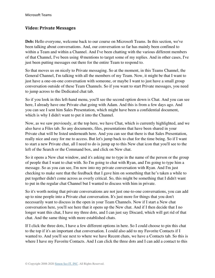#### **Video: Private Messages**

**Deb:** Hello everyone, welcome back to our course on Microsoft Teams. In this section, we've been talking about conversations. And, our conversation so far has mainly been confined to within a Team and within a Channel. And I've been chatting with the various different members of that Channel, I've been using @mentions to target some of my replies. And in other cases, I've just been putting messages out there for the entire Team to respond to.

So that moves us on nicely to Private messaging. So at the moment, in this Teams Channel, the General Channel, I'm talking with all the members of my Team. Now, it might be that I want to just have a one-on-one conversation with someone, or maybe I want to just have a small group conversation outside of these Team Channels. So if you want to start Private messages, you need to jump across to the Dedicated chat tab.

So if you look in this left-hand menu, you'll see the second option down is Chat. And you can see here, I already have one Private chat going with Adam. And this is from a few days ago. And you can see I sent him Sales Presentation, which might have been a confidential document, which is why I didn't want to put it into the Channel.

Now, as we saw previously, at the top here, we have Chat, which is currently highlighted, and we also have a Files tab. So any documents, files, presentations that have been shared in your Private chat will be listed underneath here. And you can see that there is that Sales Presentation, really nice and easy for me to access. But let's jump back to chat for the time being. So if I want to start a new Private chat, all I need to do is jump up to this New chat icon that you'll see to the left of the Search or the Command box, and click on New chat.

So it opens a New chat window, and it's asking me to type in the name of the person or the group of people that I want to chat with. So I'm going to chat with Ryan, and I'm going to type him a message. So as you can see, I'm now into my private conversation with Ryan. And I'm just checking to make sure that the feedback that I gave him on something that he's taken a while to put together didn't come across as overly critical. So, this might be something that I didn't want to put in the regular chat Channel but I wanted to discuss with him in private.

So it's worth noting that private conversations are not just one-to-one conversations, you can add up to nine people into a Private chat conversation. It's just more for things that you don't necessarily want to discuss in the open in your Team Channels. Now if I start a New chat conversation here, you'll see here that it opens up the New chat. And if I then decide that I no longer want this chat, I have my three dots, and I can just say Discard, which will get rid of that chat. And the same thing with more established chats.

If I click the three dots, I have a few different options in here. So I could choose to pin this chat to the top if it's an important chat conversation. I could also add to my Favorite Contacts if I wanted to. And you'll see next to where we have Recent chats, we have a Contacts tab. So this is where I have my Favorite Contacts. And I can click the three dots and I can add a contact to this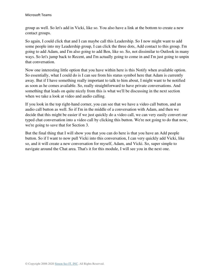group as well. So let's add in Vicki, like so. You also have a link at the bottom to create a new contact groups.

So again, I could click that and I can maybe call this Leadership. So I now might want to add some people into my Leadership group, I can click the three dots, Add contact to this group. I'm going to add Adam, and I'm also going to add Ben, like so. So, not dissimilar to Outlook in many ways. So let's jump back to Recent, and I'm actually going to come in and I'm just going to unpin that conversation.

Now one interesting little option that you have within here is this Notify when available option. So essentially, what I could do is I can see from his status symbol here that Adam is currently away. But if I have something really important to talk to him about, I might want to be notified as soon as he comes available. So, really straightforward to have private conversations. And something that leads on quite nicely from this is what we'll be discussing in the next section when we take a look at video and audio calling.

If you look in the top right-hand corner, you can see that we have a video call button, and an audio call button as well. So if I'm in the middle of a conversation with Adam, and then we decide that this might be easier if we just quickly do a video call, we can very easily convert our typed chat conversation into a video call by clicking this button. We're not going to do that now, we're going to save that for Section 3.

But the final thing that I will show you that you can do here is that you have an Add people button. So if I want to now pull Vicki into this conversation, I can very quickly add Vicki, like so, and it will create a new conversation for myself, Adam, and Vicki. So, super simple to navigate around the Chat area. That's it for this module, I will see you in the next one.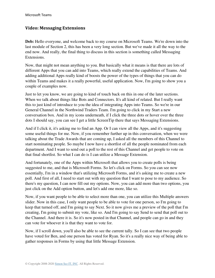#### **Video: Messaging Extensions**

**Deb:** Hello everyone, and welcome back to my course on Microsoft Teams. We're down into the last module of Section 2, this has been a very long section. But we've made it all the way to the end now. And really, the final thing to discuss in this section is something called Messaging Extensions.

Now, that might not mean anything to you. But basically what it means is that there are lots of different Apps that you can add into Teams, which really extend the capabilities of Teams. And adding additional Apps really kind of boosts the power of the types of things that you can do within Teams and makes it a really powerful, useful application. Now, I'm going to show you a couple of examples now.

Just to let you know, we are going to kind of touch back on this in one of the later sections. When we talk about things like Bots and Connectors. It's all kind of related. But I really want this to just kind of introduce to you the idea of integrating Apps into Teams. So we're in our General Channel in the Northwind Traders Team. I'm going to click in my Start a new conversation box. And in my icons underneath, if I click the three dots or hover over the three dots I should say, you can see I get a little ScreenTip there that says Messaging Extensions.

And if I click it, it's asking me to find an App. Or I can view all the Apps, and it's suggesting some useful things for me. Now, if you remember further up in this conversation, when we were talking about the Trade Awards that are coming up, I asked all the members of this Channel to start nominating people. So maybe I now have a shortlist of all the people nominated from each department. And I want to send out a poll to the rest of this Channel and get people to vote on that final shortlist. So what I can do is I can utilize a Message Extension.

And fortunately, one of the Apps within Microsoft that allows you to create polls is being suggested to me, and that is Microsoft Forms. So let's click on Forms. So you can see now essentially, I'm in a window that's utilizing Microsoft Forms, and it's asking me to create a new poll. And first of all, I need to start out with my question that I want to pose to my audience. So there's my question, I can now fill out my options. Now, you can add more than two options, you just click on the Add option button, and let's add one more, like so.

Now, if you want people to be able to select more than one, you can utilize this Multiple answers slider. Now in this case, I only want people to be able to vote for one person, so I'm going to keep that turned off, and I'm going to say Next. So it now gives me a preview of the poll that I'm creating, I'm going to submit my vote, like so. And I'm going to say Send to send that poll out to the Channel. And there it is. So it's now posted in that Channel, and people can go in and they can vote for whoever it is that they want to vote for.

Now, if I scroll down, you'll also be able to see the current tally. So I can see that two people have voted for Ben, and one person has voted for Ryan. So it's a really nice way of being able to gather responses in Forms by using that little Message Extension.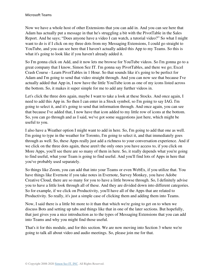Now we have a whole host of other Extensions that you can add in. And you can see here that Adam has actually put a message in that he's struggling a bit with the PivotTable in the Sales Report. And he says; "Does anyone have a video I can watch, a tutorial video?" So what I might want to do is if I click on my three dots from my Messaging Extensions, I could go straight to YouTube, and you can see here that I haven't actually added this App to my Teams. So this is what it's going to look like if you haven't already added it.

So I'm gonna click on Add, and it now lets me browse for YouTube videos. So I'm gonna go to a great company that I know, Simon Sez IT. I'm gonna say PivotTables, and there we go; Excel Crash Course - Learn PivotTables in 1 Hour. So that sounds like it's going to be perfect for Adam and I'm going to send that video straight through. And you can now see that because I've actually added that App in, I now have the little YouTube icon as one of my icons listed across the bottom. So, it makes it super simple for me to add any further videos in.

Let's click the three dots again, maybe I want to take a look at these Stocks. And once again, I need to add this App in. So then I can enter in a Stock symbol, so I'm going to say IAG. I'm going to select it, and it's going to send that information through. And once again, you can see that because I've added that, I now have that icon added to my little row of icons at the bottom. So, you can go through and as I said, we've got some suggestions just here, which might be useful to you.

I also have a Weather option I might want to add in here. So, I'm going to add that one as well. I'm going to type in the weather for Toronto, I'm going to select it, and that immediately goes through as well. So, these Apps really just add a richness to your conversation experience. And if we click on the three dots again, these aren't the only ones you have access to, if you click on More Apps, you'll see there are so many of them in here. So, it really depends what you're going to find useful, what your Team is going to find useful. And you'll find lots of Apps in here that you've probably used separately.

So things like Zoom, you can add that into your Teams or even WebEx, if you utilize that. You have things like Evernote if you take notes in Evernote, Survey Monkey, you have Adobe Creative Cloud, there are so many for you to have a little browse through. So, I definitely advise you to have a little look through all of these. And they are divided down into different categories. So for example, if we click on Productivity, you'll have all of the Apps that are related to Productivity. So really, it's just a simple case of clicking them and adding them into Teams.

Now, I said there is a little bit more to it than that which we're going to get on to when we discuss Bots and setting up tabs and things like that in one of the later sections. But hopefully, that just gives you a nice introduction as to the types of Messaging Extensions that you can add into Teams and why you might find those useful.

That's it for this module, and for this section. We are now moving into Section 3 where we're going to talk all about video and audio meetings. So, please join me for that.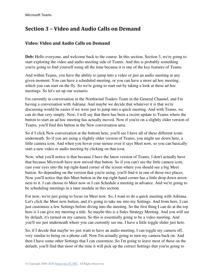# **Section 3 – Video and Audio Calls on Demand**

#### **Video: Video and Audio Calls on Demand**

**Deb:** Hello everyone, and welcome back to the course. In this section, Section 3, we're going to start exploring the video and audio meeting side of Teams. And this is probably something you're going to find yourself using all the time because it is one of the key features of Teams.

And within Teams, you have the ability to jump into a video or just an audio meeting at any given moment. You can have a scheduled meeting, or you can have a more ad hoc meeting, which you can start on the fly. So we're going to start out by taking a look at these ad hoc meetings. So let's set up our scenario.

I'm currently in conversation in the Northwind Traders Team in the General Channel, and I'm having a conversation with Adriana. And maybe we decide that whatever it is that we're discussing would be easier if we were just to jump into a quick meeting. And with Teams, we can do that very simply. Now, I will say that there has been a recent update to Teams where the button to start an ad hoc meeting has actually moved. Now if you're on a slightly older version of Teams, you'll find this button in the New conversation area.

So if I click New conversation at the bottom here, you'll see I have all of these different icons underneath. So if you are using a slightly older version of Teams, you might see down here, a little camera icon. And when you hover your mouse over it says Meet now, so you can basically start a new video or audio meeting by clicking on that icon.

Now, what you'll notice is that because I have the latest version of Teams, I don't actually have that because Microsoft have now moved that button. So if you can't see the little camera icon, cast your eyes into the top right-hand corner of the screen where you should see a big Meet button. So depending on the version that you're using, you'll find it in one of those two places. Now you'll notice that this Meet button in the top right-hand corner has a little drop down arrow next to it. I can choose to Meet now or I can Schedule a meeting in advance. And we're going to be scheduling meetings in a later module in this section.

For now, we're just going to focus on Meet now. So, I want to do a quick meeting with Adriana. Let's click the Meet now button, and it's going to take me into my Settings. And from here, I can just customize a few Settings before diving into the meeting. So the first thing I can do at the top here is I can give my meeting a title. So maybe this is a Sales Strategy Meeting. And you will see by default, it's turned on my camera. So this is essentially going to be a video meeting. And you'll see just underneath where you can currently see me, I have a little toggle slider just here.

So, if I decide that maybe we just want to have an audio meeting, I can toggle my camera off, very similar to being on a phone call. Now I'm actually going to turn my camera back on. And then I have some other Settings that I can customize. So I'm going to leave most of these on the default, you'll find that most of the time it will pick up the correct Settings that you're going to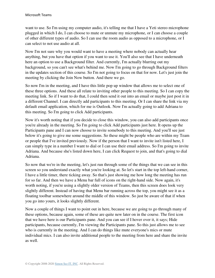want to use. So I'm using my computer audio, it's telling me that I have a Yeti stereo microphone plugged in which I do, I can choose to mute or unmute my microphone, or I can choose a couple of other different types of audio. So I can use the room audio as opposed to a microphone, or I can select to not use audio at all.

Now I'm not sure why you would want to have a meeting where nobody can actually hear anything, but you have that option if you want to use it. You'll also see that I have underneath here an option to use a Background filter. And currently, I'm actually blurring out my background, so you can't see what's behind me. Now I'm going to go through Background filters in the updates section of this course. So I'm not going to focus on that for now. Let's just join the meeting by clicking the Join Now button. And there we go.

So now I'm in the meeting, and I have this little pop up window that allows me to select one of these three options. And these all relate to inviting other people to this meeting. So I can copy the meeting link. So if I want to do that, I could then send it out into an email or maybe just post it in a different Channel. I can directly add participants to this meeting. Or I can share the link via my default email application, which for me is Outlook. Now I'm actually going to add Adriana to this meeting. So I'm going to click Add participants.

Now it's worth noting that if you decide to close this window, you can also add participants once you're already in the meeting. So I'm going to click Add participants just here. It opens up the Participants pane and I can now choose to invite somebody to this meeting. And you'll see just below it's going to give me some suggestions. So these might be people who are within my Team or people that I've invited previously. Now if the person that I want to invite isn't listed here, I can simply type in a number I want to dial or I can use their email address. So I'm going to invite Adriana. And because she's listed down here, I can click Request to join, and that's going to dial Adriana.

So now that we're in the meeting, let's just run through some of the things that we can see in this screen so you understand exactly what you're looking at. So let's start in the top left-hand corner, I have a little timer, there ticking away. So that's just showing me how long the meeting has run for so far. And then we have a Menu bar full of icons on the right-hand side. Now again, it's worth noting, if you're using a slightly older version of Teams, then this screen does look very slightly different. Instead of having that Menu bar running across the top, you might see it as a floating toolbar somewhere around the middle of this window. So just be aware of that if when you go into yours, it looks slightly different.

Now a couple of things I want to point out in here, because we are going to go through many of these options, because again, some of these are quite new later on in the course. The first icon that we have here is our Participants pane. And you can see if I hover over it, it says; Hide participants, because currently, I'm viewing the Participants pane. So this just allows me to see who is currently in the meeting. And I can do things like mute everyone's mics or mute individual mics. I can also invite additional people to the meeting from here and share the invite as well.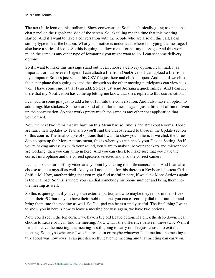The next little icon on this toolbar is Show conversation. So this is basically going to open up a chat panel on the right-hand side of the screen. So it's telling me the time that this meeting started. And if I want to have a conversation with the people who are also on this call, I can simply type it in at the bottom. What you'll notice is underneath where I'm typing the message, I also have a series of icons. So this is going to allow me to format my message. And this works much the same as any other type of formatting you might want to do. I can set some delivery options.

So if I want to make this message stand out, I can choose a delivery option, I can mark it as Important or maybe even Urgent. I can attach a file from OneDrive or I can upload a file from my computer. So let's just select this CSV file just here and click on open. And then if we click the paper plane that's going to send that through so the other meeting participants can view it as well. I have some emojis that I can add. So let's just send Adriana a quick smiley. And I can see there that my Notification has come up letting me know that she's replied to this conversation.

I can add in some gifs just to add a bit of fun into the conversation. And I also have an option to add things like stickers. So these are kind of similar to means again, just a little bit of fun to liven up the conversation. So chat works pretty much the same as any other chat application that you've used.

Now the next two items that we have on this Menu bar, so Emojis and Breakout Rooms. Those are fairly new updates to Teams. So you'll find the videos related to those in the Update section of this course. The final couple of options that I want to show you in here. If we click the three dots to open up the More Actions menu, this is where you can check your Device Setting. So if you're having any issues with your sound, you want to make sure your speakers and microphone are working, then you can jump in here. And you can check to make sure that you have the correct microphone and the correct speakers selected and also the correct camera.

I can choose to turn off my video at any point by clicking the little camera icon. And I can also choose to mute myself as well. And you'll notice that for this there is a Keyboard shortcut Ctrl + Shift + M. Now, another thing that you might find useful in here, if we click More Actions again, is the Dial pad. So this is where you can dial somebody his phone number and bring them into the meeting as well.

So this is quite good if you've got an external participant who maybe they're not in the office or not at their PC, but they do have their mobile phone, you can essentially dial their number and bring them into the meeting as well. So Dial pad can be extremely useful. The final thing I want to show you in here is how to leave a meeting because again, we have two options.

Now you'll see in the top corner, we have a big old Leave button. If I click the drop down, I can choose to Leave or I can End the meeting. Now what's the difference between these two? Well, if I was to leave the meeting, the meeting is still going to carry on. I've just chosen to exit the meeting. So maybe whatever I was interested in or maybe whatever I'd come into the meeting to talk about was now over, I can just discreetly leave the meeting and that meeting can carry on.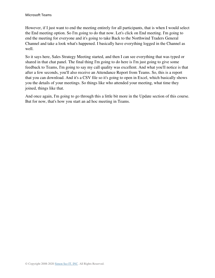However, if I just want to end the meeting entirely for all participants, that is when I would select the End meeting option. So I'm going to do that now. Let's click on End meeting. I'm going to end the meeting for everyone and it's going to take Back to the Northwind Traders General Channel and take a look what's happened. I basically have everything logged in the Channel as well.

So it says here, Sales Strategy Meeting started, and then I can see everything that was typed or shared in that chat panel. The final thing I'm going to do here is I'm just going to give some feedback to Teams, I'm going to say my call quality was excellent. And what you'll notice is that after a few seconds, you'll also receive an Attendance Report from Teams. So, this is a report that you can download. And it's a CSV file so it's going to open in Excel, which basically shows you the details of your meetings. So things like who attended your meeting, what time they joined, things like that.

And once again, I'm going to go through this a little bit more in the Update section of this course. But for now, that's how you start an ad hoc meeting in Teams.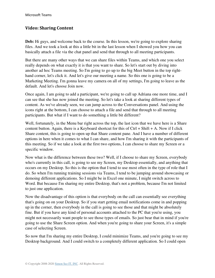#### **Video: Sharing Content**

**Deb:** Hi guys, and welcome back to the course. In this lesson, we're going to explore sharing files. And we took a look at this a little bit in the last lesson when I showed you how you can basically attach a file via the chat panel and send that through to all meeting participants.

But there are many other ways that we can share files within Teams, and which one you select really depends on what exactly it is that you want to share. So let's start out by diving into another ad hoc Teams meeting. So I'm going to go up to the big Meet button in the top righthand corner, let's click it. And let's give our meeting a name. So this one is going to be a Marketing Meeting. I'm gonna leave my camera on all of my settings, I'm going to leave as the default. And let's choose Join now.

Once again, I am going to add a participant, we're going to call up Adriana one more time, and I can see that she has now joined the meeting. So let's take a look at sharing different types of content. As we've already seen, we can jump across to the Conversations panel. And using the icons right at the bottom, I can choose to attach a file and send that through to all meeting participants. But what if I want to do something a little bit different?

Well, fortunately, in the Menu bar right across the top, the last icon that we have here is a Share content button. Again, there is a Keyboard shortcut for this of  $Ctrl + Shift + A$ . Now if I click Share content, this is going to open up that Share content pane. And I have a number of different options in here when it comes to what I can share, and how I'm sharing it with the participants of this meeting. So if we take a look at the first two options, I can choose to share my Screen or a specific window.

Now what is the difference between these two? Well, if I choose to share my Screen, everybody who's currently in this call, is going to see my Screen, my Desktop essentially, and anything that occurs on my Desktop. So this is the option that I tend to use most often in the type of role that I do. So when I'm running training sessions via Teams, I tend to be jumping around showcasing or demoing different applications. So I might be in Excel one minute, I might switch across to Word. But because I'm sharing my entire Desktop, that's not a problem, because I'm not limited to just one application.

Now the disadvantage of this option is that everybody on the call can essentially see everything that's going on on your Desktop. So if you start getting email notifications come in and popping up in the corner, then everybody in the call is going to see those and that might be absolutely fine. But if you have any kind of personal accounts attached to the PC that you're using, you might not necessarily want people to see those types of emails. So just bear that in mind if you're going to use the Share Screen option. And when you're going to share your Screen, it's a simple case of selecting Screen.

So now that I'm sharing my entire Desktop, I could minimize Teams, and you're going to see my Desktop background. And I could switch to a completely different application. So I could open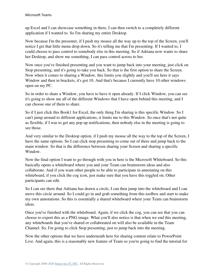up Excel and I can showcase something in there, I can then switch to a completely different application if I wanted to. So I'm sharing my entire Desktop.

Now because I'm the presenter, if I push my mouse all the way up to the top of the Screen, you'll notice I get that little menu drop down. So it's telling me that I'm presenting. If I wanted to, I could choose to pass control to somebody else in this meeting. So if Adriana now wants to share her Desktop, and show me something, I can pass control across to her.

Now once you've finished presenting and you want to jump back into your meeting, just click on Stop presenting, and it's going to take you back. So that is the first option to share the Screen. Now when it comes to sharing a Window, this limits you slightly and you'll see here it says Window and then in brackets, it's got 10. And that's because I currently have 10 other windows open on my PC.

So in order to share a Window, you have to have it open already. If I click Window, you can see it's going to show me all of the different Windows that I have open behind this meeting, and I can choose one of them to share.

So if I just click this Book1 for Excel, the only thing I'm sharing is this specific Window. So I can't jump around to different applications, it limits me to this Window. So once that's not quite as flexible, if I was to get any pop up notifications, then nobody else in the meeting is going to see those.

And very similar to the Desktop option, if I push my mouse all the way to the top of the Screen, I have the same options. So I can click stop presenting to come out of there and jump back to the main window. So that is the difference between sharing your Screen and sharing a specific Window.

Now the final option I want to go through with you in here is the Microsoft Whiteboard. So this basically opens a whiteboard where you and your Team can brainstorm ideas and also collaborate. And if you want other people to be able to participate in annotating on this whiteboard, if you click the cog icon, just make sure that you have this toggled on; Other participants can edit.

So I can see there that Adriana has drawn a circle, I can then jump into the whiteboard and I can move this circle around. So I could go in and grab something from this toolbox and start to make my own annotations. So this is essentially a shared whiteboard where your Team can brainstorm ideas.

Once you've finished with the whiteboard. Again, if we click the cog, you can see that you can choose to export this as a PNG image. What you'll also notice is that when we end this meeting, any whiteboards that you've shared or collaborated on will also be available in the Team Channel. So, I'm going to click Stop presenting, just to jump back into the meeting.

Now the other options that we have underneath here for sharing content relate to PowerPoint Live. And again, this is a reasonably new feature of Team so you're going to find the tutorial for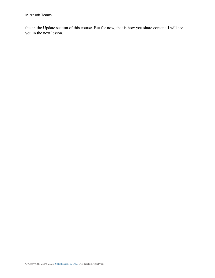this in the Update section of this course. But for now, that is how you share content. I will see you in the next lesson.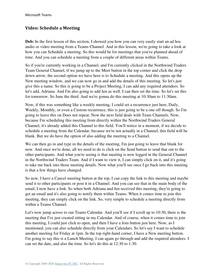#### **Video: Schedule a Meeting**

**Deb:** In the first lesson of this section, I showed you how you can very easily start an ad hoc audio or video meeting from a Teams Channel. And in this lesson, we're going to take a look at how you can Schedule a meeting. So this would be for meetings that you've planned ahead of time. And you can schedule a meeting from a couple of different areas within Teams.

So if you're currently working in a Channel, and I'm currently clicked in the Northwind Traders Team General Channel, if we jump up to the Meet button in the top corner and click the drop down arrow, the second option we have here is to Schedule a meeting. And this opens up the New meeting window, and we can now go in and add the details of this meeting. So let's just give this a name. So this is going to be a Project Meeting, I can add any required attendees. So let's add, Adriana. And I'm also going to add Jen as well. I can then set the time. So let's set this for tomorrow. So June the third. And we're gonna do this meeting at 10:30am to 11:30am.

Now, if this was something like a weekly meeting, I could set a recurrence just here, Daily, Weekly, Monthly, or even a Custom recurrence, this is just going to be a one off though. So I'm going to leave this on Does not repeat. Now the next field deals with Team Channels. Now, because I'm scheduling this meeting from directly within the Northwind Traders General Channel, it's already added this Channel to this field. You'll notice in a moment, if we decide to schedule a meeting from the Calendar, because we're not actually in a Channel, this field will be blank. But we do have the option of also adding the meeting to a Channel.

We can then go in and type in the details of the meeting, I'm just going to leave that blank for now. And once we're done, all we need to do is click on the Send button to send that out to the other participants. And what you're seeing is that meeting is now logged in the General Channel in the Northwind Traders Team. And if I want to view it, I can simply click on it, and it's going to take me back into those meeting details. Now what you'll see once I go back into this meeting is that a few things have changed.

So now, I have a Cancel meeting button at the top, I can copy the link to this meeting and maybe send it to other participants or post it in a Channel. And you can see that in the main body of the email, I now have a link. So when both Adriana and Jen received this meeting, they're going to get an email and it's also going to notify them within Teams. When it comes time to join this meeting, they can simply click on the link. So, very simple to schedule a meeting directly from within a Teams Channel.

Let's now jump across to our Teams Calendar. And you'll see if I scroll up to 10:30, there is the meeting that I've just created sitting in my Calendar. And of course, when it comes time to join this meeting, I could just click to open, and then I have a Join button just here. Now, as I mentioned, you can also schedule directly from your Calendars. So let's say I want to schedule another meeting for Friday at 1pm. In the top right-hand corner, I have a New meeting button. I'm going to say this is a Lunch Meeting, I can again go through and add the required attendees. I can set the date, and also the time. So let's do this at 12:30 to 1:30.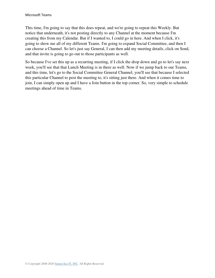This time, I'm going to say that this does repeat, and we're going to repeat this Weekly. But notice that underneath, it's not posting directly to any Channel at the moment because I'm creating this from my Calendar. But if I wanted to, I could go in here. And when I click, it's going to show me all of my different Teams. I'm going to expand Social Committee, and then I can choose a Channel. So let's just say General, I can then add my meeting details, click on Send, and that invite is going to go out to those participants as well.

So because I've set this up as a recurring meeting, if I click the drop down and go to let's say next week, you'll see that that Lunch Meeting is in there as well. Now if we jump back to our Teams, and this time, let's go to the Social Committee General Channel, you'll see that because I selected this particular Channel to post the meeting to, it's sitting just there. And when it comes time to join, I can simply open up and I have a Join button in the top corner. So, very simple to schedule meetings ahead of time in Teams.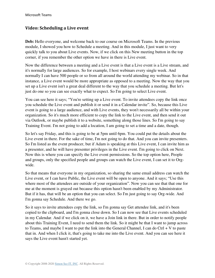#### **Video: Scheduling a Live event**

**Deb:** Hello everyone, and welcome back to our course on Microsoft Teams. In the previous module, I showed you how to Schedule a meeting. And in this module, I just want to very quickly talk to you about Live events. Now, if we click on this New meeting button in the top corner, if you remember the other option we have in there is Live event.

Now the difference between a meeting and a Live event is that a Live event is a Live stream, and it's normally for large audiences. So for example, I host webinars every single week. And normally I can have 500 people or so from all around the world attending my webinar. So in that instance, a Live event would be more appropriate as opposed to a meeting. Now the way that you set up a Live event isn't a great deal different to the way that you schedule a meeting. But let's just do one so you can see exactly what to expect. So I'm going to select Live event.

You can see here it says; "You're setting up a Live event. To invite attendees copy the link once you schedule the Live event and publish it or send it in a Calendar invite". So, because this Live event is going to a large audience, and with Live events, they won't necessarily all be within your organization. So it's much more efficient to copy the link to the Live event, and then send it out via Outlook, or maybe publish it to a website, something along those lines. So I'm going to say Training Event. I'm not going to add a location, I am going to set a time and a date, though.

So let's say Friday, and this is going to be at 5pm until 6pm. You could put the details about the Live event in there. For the sake of time, I'm not going to do that. And you can invite presenters. So I'm listed as the event producer, but if Adam is speaking at this Live event, I can invite him as a presenter, and he will have presenter privileges in the Live event. I'm going to click on Next. Now this is where you can specify the Live event permissions. So the top option here, People and groups, only the specified people and groups can watch the Live event, I can set it to Orgwide.

So that means that everyone in my organization, so sharing the same email address can watch the Live event, or I can have Public, the Live event will be open to anyone. And it says; "Use this where most of the attendees are outside of your organization". Now you can see that that one for me at the moment is grayed out because this option hasn't been enabled by my Administrator. But if it has, that will be an option that you can select. So I'm just going to say Org-wide. And I'm gonna say Schedule. And there we go.

So it says to invite attendees copy the link, so I'm gonna say Get attendee link, and it's been copied to the clipboard, and I'm gonna close down. So I can now see that Live events scheduled in my Calendar. And if we click on it, we have a Join link in there. But in order to notify people about this Training Event, I need to send them the link. So it might be that I want to jump across to Teams, and maybe I want to put the link into the General Channel, I can do  $Ctrl + V$  to paste that in. And when I click it, that's going to take me into the Live event. And you can see here it says the Live event hasn't started yet.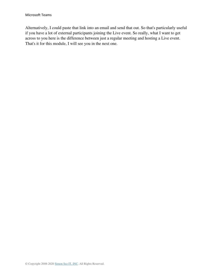Alternatively, I could paste that link into an email and send that out. So that's particularly useful if you have a lot of external participants joining the Live event. So really, what I want to get across to you here is the difference between just a regular meeting and hosting a Live event. That's it for this module, I will see you in the next one.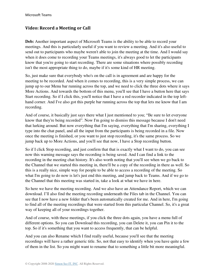#### **Video: Record a Meeting or Call**

**Deb:** Another important aspect of Microsoft Teams is the ability to be able to record your meetings. And this is particularly useful if you want to review a meeting. And it's also useful to send out to participants who maybe weren't able to join the meeting at the time. And I would say when it does come to recording your Teams meetings, it's always good to let the participants know that you're going to start recording. There are some situations where possibly recording isn't the most appropriate thing to do, maybe if it's some kind of HR meeting.

So, just make sure that everybody who's on the call is in agreement and are happy for the meeting to be recorded. And when it comes to recording, this is a very simple process, we can jump up to our Menu bar running across the top, and we need to click the three dots where it says More Actions. And towards the bottom of this menu, you'll see that I have a button here that says Start recording. So if I click this, you'll notice that I have a red recorder indicated in the top lefthand corner. And I've also got this purple bar running across the top that lets me know that I am recording.

And of course, it basically just says there what I just mentioned to you; "Be sure to let everyone know that they're being recorded". Now I'm going to dismiss this message because I don't need that lurking around. But now everything that I'm saying, everything that I'm sharing, everything I type into the chat panel, and all the input from the participants is being recorded in a file. Now once the meeting is finished, or you want to just stop recording, it's the same process. So we jump back up to More Actions, and you'll see that now, I have a Stop recording button.

So if I click Stop recording, and just confirm that that is exactly what I want to do, you can see now this warning message says the recording is being saved. And I can find a link to the recording in the meeting chat history. It's also worth noting that you'll see when we go back to the Channel that we started this meeting in, there'll be a copy of the recording in there as well. So this is a really nice, simple way for people to be able to access a recording of the meeting. So what I'm going to do now is let's just end this meeting, and jump back to Teams. And if we go to the Channel that this meeting was started in, take a look at what we have in here.

So here we have the meeting recording. And we also have an Attendance Report, which we can download. I'll also find the meeting recording underneath the Files tab in the Channel. You can see that I now have a new folder that's been automatically created for me. And in here, I'm going to find all of the meeting recordings that were started from this particular Channel. So, it's a great way of keeping all of your recordings together.

And of course, with these meetings, if you click the three dots again, you have a menu full of different options. So you can Download this recording, you can Delete it, you can Pin it to the top. So if it's something that you want to access frequently, that can be helpful.

And you can also Rename which I find really useful, because you'll see that the meeting recordings will have a rather generic title. So, not that easy to identify when you have quite a few of them in the list. So you might want to rename that to something a little bit more meaningful.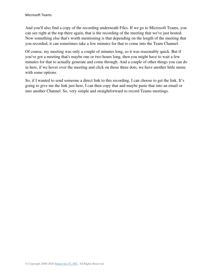And you'll also find a copy of the recording underneath Files. If we go to Microsoft Teams, you can see right at the top there again, that is the recording of the meeting that we've just hosted. Now something else that's worth mentioning is that depending on the length of the meeting that you recorded, it can sometimes take a few minutes for that to come into the Team Channel.

Of course, my meeting was only a couple of minutes long, so it was reasonably quick. But if you've got a meeting that's maybe one or two hours long, then you might have to wait a few minutes for that to actually generate and come through. And a couple of other things you can do in here, if we hover over the meeting and click on those three dots, we have another little menu with some options.

So, if I wanted to send someone a direct link to this recording, I can choose to get the link. It's going to give me the link just here, I can then copy that and maybe paste that into an email or into another Channel. So, very simple and straightforward to record Teams meetings.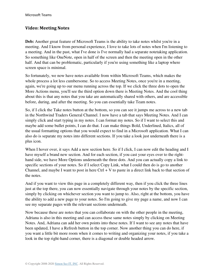#### **Video: Meeting Notes**

**Deb:** Another great feature of Microsoft Teams is the ability to take notes whilst you're in a meeting. And I know from personal experience, I love to take lots of notes when I'm listening to a meeting. And in the past, what I've done is I've normally had a separate notetaking application. So something like OneNote, open in half of the screen and then the meeting open in the other half. And that can be problematic, particularly if you're using something like a laptop where screen space is minimal.

So fortunately, we now have notes available from within Microsoft Teams, which makes the whole process a lot less cumbersome. So to access Meeting Notes, once you're in a meeting, again, we're going up to our menu running across the top. If we click the three dots to open the More Actions menu, you'll see the third option down there is Meeting Notes. And the cool thing about this is that any notes that you take are automatically shared with others, and are accessible before, during, and after the meeting. So you can essentially take Team notes.

So, if I click the Take notes button at the bottom, so you can see it jumps me across to a new tab in the Northwind Traders General Channel. I now have a tab that says Meeting Notes. And I can simply click and start typing in my notes. I can format my notes. So if I want to select this and maybe add some bullet points, I can do that. I can make things Bold, Underlined, Italics, all of the usual formatting options that you would expect to find in a Microsoft application. What I can also do is separate my notes into different sections. If you take a look just underneath there is a plus icon.

When I hover over, it says Add a new section here. So if I click, I can now edit the heading and I have myself a brand new section. And for each section, if you cast your eyes over to the righthand side, we have More Options underneath the three dots. And you can actually copy a link to specific sections of your notes. So if I select Copy Link, what I could then do is go to another Channel, and maybe I want to post in here Ctrl  $+V$  to paste in a direct link back to that section of the notes.

And if you want to view this page in a completely different way, then if you click the three lines just at the top there, you can now essentially navigate through your notes by the specific section, simply by clicking on whichever section you want to jump to. Also, right at the bottom, you have the ability to add a new page to your notes. So I'm going to give my page a name, and now I can see my separate pages with the relevant sections underneath.

Now because these are notes that you can collaborate on with the other people in the meeting, Adriana is also in this meeting and can access these same notes simply by clicking on Meeting Notes. And, Adriana can add her own points into these notes. If I want to see any notes that have been updated, I have a Refresh button in the top corner. Now another thing you can do here, if you want a little bit more room when it comes to writing and organizing your notes, if you take a look in the top right-hand corner, there is a diagonal or double headed arrow.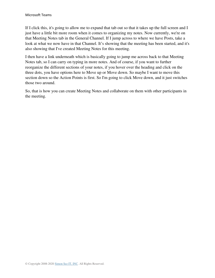If I click this, it's going to allow me to expand that tab out so that it takes up the full screen and I just have a little bit more room when it comes to organizing my notes. Now currently, we're on that Meeting Notes tab in the General Channel. If I jump across to where we have Posts, take a look at what we now have in that Channel. It's showing that the meeting has been started, and it's also showing that I've created Meeting Notes for this meeting.

I then have a link underneath which is basically going to jump me across back to that Meeting Notes tab, so I can carry on typing in more notes. And of course, if you want to further reorganize the different sections of your notes, if you hover over the heading and click on the three dots, you have options here to Move up or Move down. So maybe I want to move this section down so the Action Points is first. So I'm going to click Move down, and it just switches those two around.

So, that is how you can create Meeting Notes and collaborate on them with other participants in the meeting.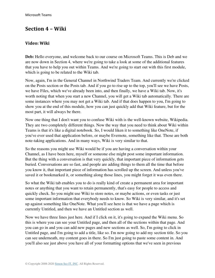# **Section 4 – Wiki**

#### **Video: Wiki**

**Deb:** Hello everyone, and welcome back to our course on Microsoft Teams. This is Deb and we are now down in Section 4, where we're going to take a look at some of the additional features that you have to help you out within Teams. And we're going to start out with this first module, which is going to be related to the Wiki tab.

Now, again, I'm in the General Channel in Northwind Traders Team. And currently we're clicked on the Posts section or the Posts tab. And if you go to rise up to the top, you'll see we have Posts, we have Files, which we've already been into, and then finally, we have a Wiki tab. Now, it's worth noting that when you start a new Channel, you will get a Wiki tab automatically. There are some instances where you may not get a Wiki tab. And if that does happen to you, I'm going to show you at the end of this module, how you can just quickly add that Wiki feature, but for the most part, it will always be there.

Now one thing that I don't want you to confuse Wiki with is the well-known website, Wikipedia. They are two completely different things. Now the way that you need to think about Wiki within Teams is that it's like a digital notebook. So, I would liken it to something like OneNote, if you've ever used that application before, or maybe Evernote, something like that. Those are both note-taking applications. And in many ways, Wiki is very similar to that.

So the reasons you might use Wiki would be if you are having a conversation within your Channel, as I have been here, myself or someone else might post some important information. But the thing with a conversation is that very quickly, that important piece of information gets buried. Conversations are so fast, and people are adding things to them all the time that before you know it, that important piece of information has scrolled up the screen. And unless you've saved it or bookmarked it, or something along those lines, you might forget it was even there.

So what the Wiki tab enables you to do is really kind of create a permanent area for important notes or anything that you want to retain permanently, that's easy for people to access and quickly check. So you might use Wiki to store notes, or maybe actions, or even tasks or just some important information that everybody needs to know. So Wiki is very similar, and it's set up against something like OneNote. What you'll see here is that we have a page which is currently Untitled, and then we have an Untitled section as well.

Now we have three lines just here. And if I click on it, it's going to expand the Wiki menu. So this is where you can see your Untitled page, and then all of the sections within that page. And you can go in and you can add new pages and new sections as well. So, I'm going to click in Untitled page, and I'm going to add a title, like so. I'm now going to add my section title. So you can see underneath, my content goes in there. So I'm just going to paste some content in. And you'll also see just above you have all of your formatting options that we've seen in previous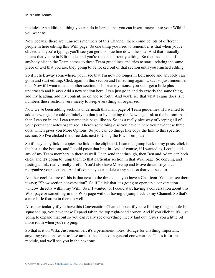modules. An additional thing you can do in here is that you can insert images into your Wiki if you want to.

Now because there are numerous members of this Channel, there could be lots of different people in here editing this Wiki page. So one thing you need to remember is that when you're clicked and you're typing, you'll see you get this blue line down the side. And that basically means that you're in Edit mode, and you're the one currently editing. So that means that if anybody else in the Team comes to these Team guidelines and tries to start updating the same piece of text that you are, they going to be locked out of that section until you finished editing.

So if I click away somewhere, you'll see that I'm now no longer in Edit mode and anybody can go in and start editing. Click again in this section and I'm editing again. Okay, so just remember that. Now if I want to add another section, if I hover my mouse you see I get a little plus underneath and it says Add a new section here. I can just go in and do exactly the same thing, add my heading, add my content, so on and so forth. And you'll see that what Teams does is it numbers these sections very nicely to keep everything all organized.

Now we've been adding sections underneath this main page of Team guidelines. If I wanted to add a new page, I could definitely do that just by clicking the New page link at the bottom. And then I can go in and I can rename this page, like so. So it's a really nice way of keeping all of your permanent notes organized. There's something else you have in here you have these three dots, which gives you More Options. So you can do things like copy the link to this specific section. So I've clicked the three dots next to Using the Pitch Template.

So if I say copy link, it copies the link to the clipboard, I can then jump back to my posts, click in the box at the bottom, and I could paste that link in. And of course, if I wanted to, I could add any of my Team members in there as well. I can send that through, then Ben and Adam can both click, and it's going to jump them to that particular section in that Wiki page. So copying and pasting a link, really, really useful. You'd also have Move up and Move down, so you can reorganize your sections. And of course, you can delete any section that you need to.

Another cool feature of this is that next to the three dots, you have a Chat icon. You can see there it says; "Show section conversation". So if I click that, it's going to open up a conversation window directly within my Wiki. So if I wanted to, I could start having a conversation about this Wiki page or something in this Wiki page without having to jump back to my Channel. So that's a nice little feature in there as well.

Also, particularly if you have this Conversation Channel open, if you're finding things a little bit squashed up, you have these Expand tab in the top right-hand corner. And if you click it, it's just going to expand that out so you can really see everything nicely laid out. Gives you a little bit more room when you're typing.

So that is it on Wiki. Just remember, it's a permanent notes, storage for anything important, anything you don't want to lose amidst the chaos of a general conversation. That's it for this module, and we'll see you in the next one.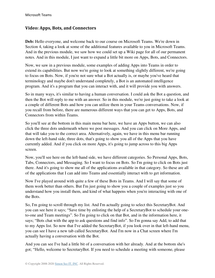## **Video: Apps, Bots, and Connectors**

**Deb:** Hello everyone, and welcome back to our course on Microsoft Teams. We're down in Section 4, taking a look at some of the additional features available to you in Microsoft Teams. And in the previous module, we saw how we could set up a Wiki page for all of our permanent notes. And in this module, I just want to expand a little bit more on Apps, Bots, and Connectors.

Now, we saw in a previous module, some examples of adding Apps into Teams in order to extend its capabilities. But now we're going to look at something slightly different, we're going to focus on Bots. Now, if you're not sure what a Bot actually is, or maybe you've heard that terminology and maybe don't understand completely, a Bot is an automated intelligence program. And it's a program that you can interact with, and it will provide you with answers.

So in many ways, it's similar to having a human conversation. I could ask the Bot a question, and then the Bot will reply to me with an answer. So in this module, we're just going to take a look at a couple of different Bots and how you can utilize them in your Teams conversations. Now, if you recall from before, there are numerous different ways that you can get to Apps, Bots, and Connectors from within Teams.

So you'll see at the bottom in this main menu bar here, we have an Apps button, we can also click the three dots underneath where we post messages. And you can click on More Apps, and that will take you to the correct area. Alternatively, again, we have in this menu bar running down the left-hand side, three dots, that's going to show you all of the Apps that you have currently added. And if you click on more Apps, it's going to jump across to this big Apps screen.

Now, you'll see here on the left-hand side, we have different categories. So Personal Apps, Bots, Tabs, Connectors, and Messaging. So I want to focus on Bots. So I'm going to click on Bots just there. And it's going to show me all of the applications available in that category. So these are all of the applications that I can add into Teams and essentially interact with to get information.

Now I've played around with quite a few of these Bots in Teams. And I will say that some of them work better than others. But I'm just going to show you a couple of examples just so you understand how you install them, and kind of what happens when you're interacting with one of the Bots.

So, I'm going to scroll through my list. And I'm actually going to select this SecretaryBot. And you can see here it says; "Save time by enlisting the help of a SecretaryBot to schedule your oneto-one and Team meetings". So I'm going to click on that Bot, and in the information here, it says; "Bots chat with the app to ask questions and find info". So I'm gonna say Add, to add that to my Apps list. So now that I've added the SecretaryBot, if you look over in that left-hand menu, you can see I have a new tab called SecretaryBot. And I'm now in a Chat screen where I'm actually having a conversation with the Bot.

And you can see I've had a little bit of a conversation with her already. And at the bottom she's got; "Hello, welcome to SecretaryBot. If you need to schedule a meeting with someone, please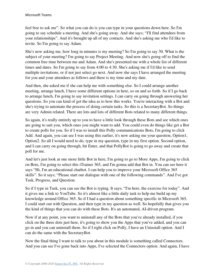feel free to ask me". So what you can do is you can type in your questions down here. So I'm going to say schedule a meeting. And she's going away. And she says; "I'll find attendees from your relationships". And it's brought up all of my contacts. And she's asking me who I'd like to invite. So I'm going to say Adam.

She's now asking me, how long in minutes is my meeting? So I'm going to say 30. What is the subject of your meeting? I'm going to say Project Meeting. And now she's going off to find the common free time between me and Adam. And she's presented me with a whole list of different times and dates. So I'm going to say from 4:00 to 4:30. She's asking me if I'd like to send multiple invitations, or if not just select go next. And now she says I have arranged the meeting for you and your attendees as follows and there is my time and my date.

And then, she asked me if she can help me with something else. So I could arrange another meeting, arrange lunch, I have some different options in here, so on and so forth. So if I go back to arrange lunch, I'm going to say invitation settings. I can carry on going through answering her questions. So you can kind of get the idea as to how this works. You're interacting with a Bot and she's trying to automate the process of doing certain tasks. So this is a SecretaryBot. So things are very Admin related. There are lots and lots of different Bots related to many different things.

So again, it's really entirely up to you to have a little look through these Bots and see which ones are going to suit you, which ones you might want to add. You could even do things like get a Bot to create polls for you. So if I was to install this Polly communications Bots, I'm going to click Add. And again, you can see I was using this earlier, it's now asking me your question, Option1, Option2. So all I would need to do, type in my question, type in my first option. Second option, and I can carry on going through, hit Enter, and that PollyBot is going to go away and create that poll for me.

And let's just look at one more little Bot in here, I'm going to go to More Apps, I'm going to click on Bots, I'm going to select this iTrainer 365, and I'm gonna add that Bot in. You can see here it says "Hi, I'm an educational chatbot. I can help you to improve your Microsoft Office 365 skills". So it says; "Please start our dialogue with one of the following commands". And I've got Task, Progress, and Question.

So if I type in Task, you can see the Bot is typing. It says; "I'm here, the exercise for today". And it gives me a link to YouTube. So it's almost like a little daily task to help me build up my knowledge around Office 365. So if I had a question about something specific in Microsoft 365, I could start out with Question, and then type in my question as well. So hopefully that gives you the kind of things that you can do with these Bots. It's an automated, AI-driven program.

Now if at any point, you want to uninstall any of the Bots that you've already installed, if you click on the three dots just here, it's going to show you the Apps that you've added, and you can go in and you can uninstall them. So if I right click on Polly, I have an Uninstall option. And I can do the same with the SecretaryBot.

Now the final thing I want to talk to you about in this module is something called Connectors. And you can see I've gone back into Apps, I've selected the Connectors option. And again, I have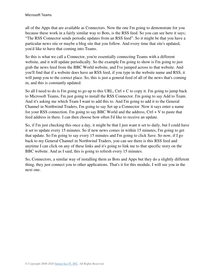all of the Apps that are available as Connectors. Now the one I'm going to demonstrate for you because these work in a fairly similar way to Bots, is the RSS feed. So you can see here it says; "The RSS Connector sends periodic updates from an RSS feed". So it might be that you have a particular news site or maybe a blog site that you follow. And every time that site's updated, you'd like to have that coming into Teams.

So this is what we call a Connector, you're essentially connecting Teams with a different website, and it will update periodically. So the example I'm going to show is I'm going to just grab the news feed from the BBC World website, and I've jumped across to that website. And you'll find that if a website does have an RSS feed, if you type in the website name and RSS, it will jump you to the correct place. So, this is just a general feed of all of the news that's coming in, and this is constantly updated.

So all I need to do is I'm going to go up to this URL,  $Ctrl + C$  to copy it. I'm going to jump back to Microsoft Teams, I'm just going to install the RSS Connector. I'm going to say Add to Team. And it's asking me which Team I want to add this to. And I'm going to add it to the General Channel in Northwind Traders, I'm going to say Set up a Connector. Now it says enter a name for your RSS connection. I'm going to say BBC World and the address,  $Ctrl + V$  to paste that feed address in there. I can then choose how often I'd like to receive an update.

So, if I'm just checking this once a day, it might be that I just want it set to daily, but I could have it set to update every 15 minutes. So if new news comes in within 15 minutes, I'm going to get that update. So I'm going to say every 15 minutes and I'm going to click Save. So now, if I go back to my General Channel in Northwind Traders, you can see there is this RSS feed and anytime I can click on any of these links and it's going to link me to that specific story on the BBC website. And as I said, this is going to refresh every 15 minutes.

So, Connectors, a similar way of installing them as Bots and Apps but they do a slightly different thing, they just connect you to other applications. That's it for this module, I will see you in the next one.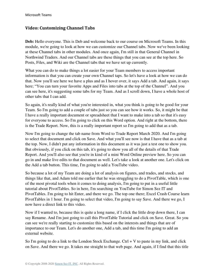#### **Video: Customizing Channel Tabs**

**Deb:** Hello everyone. This is Deb and welcome back to our course on Microsoft Teams. In this module, we're going to look at how we can customize our Channel tabs. Now we've been looking at these Channel tabs in other modules. And once again, I'm still in that General Channel in Northwind Traders. And our Channel tabs are these things that you can see at the top here. So Posts, Files, and Wiki are the Channel tabs that we have set up currently.

What you can do to make things a lot easier for your Team members to access important information is that you can create your own Channel taps. So let's have a look at how we can do that. Now you'll see here we have a plus and as I hover over, it says Add a tab. And again, it says here; "You can turn your favorite Apps and Files into tabs at the top of the Channel". And you can see here, it's suggesting some tabs for my Team. And as I scroll down, I have a whole host of other tabs that I can add.

So again, it's really kind of what you're interested in, what you think is going to be good for your Team. So I'm going to add a couple of tabs just so you can see how it works. So, it might be that I have a really important document or spreadsheet that I want to make into a tab so that it's easy for everyone to access. So I'm going to click on this Word option. And right at the bottom, there is the Trade Report. Now, this is a really important report so I'm going to add that as a tab.

Now I'm going to change the tab name from Word to Trade Report March 2020. And I'm going to select that document and click on Save. And what you'll see now is that I have that as a tab at the top. Now, I didn't put any information in this document as it was just a test one to show you. But obviously, if you click on this tab, it's going to show you all of the details of that Trade Report. And you'll also see that you're in kind of a mini Word Online preview here. So you can go in and make live edits to that document as well. Let's take a look at another one. Let's click on the Add a tab button. This time, I'm going to add a YouTube video.

So because a lot of my Team are doing a lot of analysis on figures, and trades, and stocks, and things like that, and Adam told me earlier that he was struggling to do a PivotTable, which is one of the most pivotal tools when it comes to doing analysis, I'm going to put in a useful little tutorial about PivotTables. So in here, I'm searching on YouTube for Simon Sez IT and PivotTables. I'm going to hit Enter, and there we go. The top one there; Excel Crash Course learn PivotTables in 1 hour. I'm going to select that video, I'm going to say Save. And there we go, I now have a direct link to this video.

Now if I wanted to, because this is quite a long name, if I click the little drop down there, I can say Rename. And I'm just going to call this PivotTable Tutorial and click on Save. Great. So you can see we're really starting to customize this based on the interests and things that are of importance to our Team. Let's do another one, Add a tab, and this time I'm going to add an external website.

So I'm going to do a link to the London Stock Exchange. Ctrl  $+$  V to paste in my link, and click on Save. And there we go. It takes me straight to that web page. And again, if I find that this title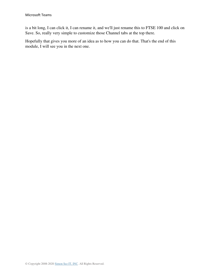is a bit long, I can click it, I can rename it, and we'll just rename this to FTSE 100 and click on Save. So, really very simple to customize those Channel tabs at the top there.

Hopefully that gives you more of an idea as to how you can do that. That's the end of this module, I will see you in the next one.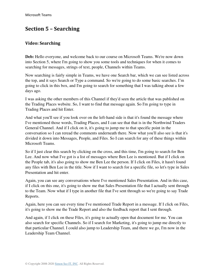# **Section 5 – Searching**

#### **Video: Searching**

**Deb:** Hello everyone, and welcome back to our course on Microsoft Teams. We're now down into Section 5, where I'm going to show you some tools and techniques for when it comes to searching for messages, strings of text, people, Channels within Teams.

Now searching is fairly simple in Teams, we have one Search bar, which we can see listed across the top, and it says Search or Type a command. So we're going to do some basic searches. I'm going to click in this box, and I'm going to search for something that I was talking about a few days ago.

I was asking the other members of this Channel if they'd seen the article that was published on the Trading Places website. So, I want to find that message again. So I'm going to type in Trading Places and hit Enter.

And what you'll see if you look over on the left-hand side is that it's found the message where I've mentioned those words, Trading Places, and I can see that that is in the Northwind Traders General Channel. And if I click on it, it's going to jump me to that specific point in the conversation so I can reread the comments underneath there. Now what you'll also see is that it's divided it down into Messages, People, and Files. So I can search for any of these things within Microsoft Teams.

So if I just clear this search by clicking on the cross, and this time, I'm going to search for Ben Lee. And now what I've got is a list of messages where Ben Lee is mentioned. But if I click on the People tab, it's also going to show me Ben Lee the person. If I click on Files, it hasn't found any files with Ben Lee in the title. Now if I want to search for a specific file, so let's type in Sales Presentation and hit enter.

Again, you can see any conversations where I've mentioned Sales Presentation. And in this case, if I click on this one, it's going to show me that Sales Presentation file that I actually sent through to the Team. Now what if I type in another file that I've sent through so we're going to say Trade Reports.

Again, here you can see every time I've mentioned Trade Report in a message. If I click on Files, it's going to show me the Trade Report and also the feedback report that I sent through.

And again, if I click on these Files, it's going to actually open that document for me. You can also search for specific Channels. So if I search for Marketing, it's going to jump me directly to that particular Channel. I could also jump to Leadership Team, and there we go, I'm now in the Leadership Team Channel.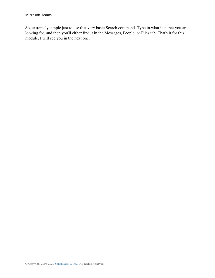So, extremely simple just to use that very basic Search command. Type in what it is that you are looking for, and then you'll either find it in the Messages, People, or Files tab. That's it for this module, I will see you in the next one.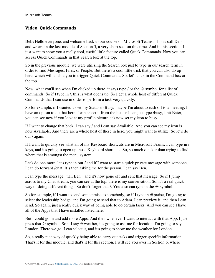#### **Video: Quick Commands**

**Deb:** Hello everyone, and welcome back to our course on Microsoft Teams. This is still Deb, and we are in the last module of Section 5, a very short section this time. And in this section, I just want to show you a really cool, useful little feature called Quick Commands. Now you can access Quick Commands in that Search box at the top.

So in the previous module, we were utilizing the Search box just to type in our search term in order to find Messages, Files, or People. But there's a cool little trick that you can also do up here, which will enable you to trigger Quick Commands. So, let's click in the Command box at the top.

Now, what you'll see when I'm clicked up there, it says type / or the @ symbol for a list of commands. So if I type in /, this is what opens up. So I get a whole host of different Quick Commands that I can use in order to perform a task very quickly.

So for example, if I wanted to set my Status to Busy, maybe I'm about to rush off to a meeting, I have an option to do that here. I can select it from the list, or I can just type /busy, I hit Enter, you can see now if you look at my profile picture, it's now set my icon to busy.

If I want to change that back, I can say / and I can say Available. And you can see my icon is now Available. And there are a whole host of these in here, you might want to utilize. So let's do our / again.

If I want to quickly see what all of my Keyboard shortcuts are in Microsoft Teams, I can type in / keys, and it's going to open up those Keyboard shortcuts. So, so much quicker than trying to find where that is amongst the menu system.

Let's do one more, let's type in our / and if I want to start a quick private message with someone, I can do forward /chat. It's then asking me for the person, I can say Ben.

I can type the message; "Hi, Ben", and it's now gone off and sent that message. So if I jump across to my Chat stream, you can see at the top, there is my conversation. So, it's a real quick way of doing different things. So don't forget that /. You also can type in the @ symbol.

So for example, if I want to send some praise to somebody, so if I type in @praise, I'm going to select the leadership badge, and I'm going to send that to Adam. I can preview it, and then I can send. So again, just a really quick way of being able to do certain tasks. And you can see I have all of the Apps that I have installed listed here.

But I could go in and add more Apps. And then whenever I want to interact with that App, I just press that @ symbol. So if I say @weather, it's going to ask me for location, I'm going to say London. There we go. I can select it, and it's going to show me the weather for London.

So, a really nice way of quickly being able to carry out tasks and trigger specific information. That's it for this module, and that's it for this section. I will see you over in Section 6, where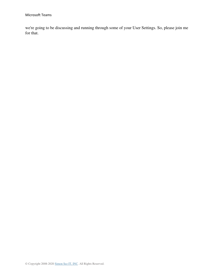we're going to be discussing and running through some of your User Settings. So, please join me for that.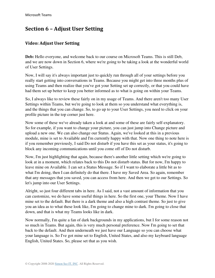# **Section 6 – Adjust User Setting**

### **Video: Adjust User Setting**

**Deb:** Hello everyone, and welcome back to our course on Microsoft Teams. This is still Deb, and we are now down in Section 6, where we're going to be taking a look at the wonderful world of User Settings.

Now, I will say it's always important just to quickly run through all of your settings before you really start getting into conversations in Teams. Because you might get into three months plus of using Teams and then realize that you've got your Setting set up correctly, or that you could have had them set up better to keep you better informed as to what is going on within your Teams.

So, I always like to review these fairly on in my usage of Teams. And there aren't too many User Settings within Teams, but we're going to look at them so you understand what everything is, and the things that you can change. So, to go up to your User Settings, you need to click on your profile picture in the top corner just here.

Now some of these we've already taken a look at and some of these are fairly self-explanatory. So for example, if you want to change your picture, you can just jump into Change picture and upload a new one. We can also change our Status. Again, we've looked at this in a previous module, mine is set to Available and I'm currently happy with that. Now one thing to note here is if you remember previously, I said Do not disturb if you have this set as your status, it's going to block any incoming communications until you come off of Do not disturb.

Now, I'm just highlighting that again, because there's another little setting which we're going to look at in a moment, which relates back to this Do not disturb status. But for now, I'm happy to leave mine on Available. I can set a Status Message. So if I want to elaborate a little bit as to what I'm doing, then I can definitely do that there. I have my Saved Area. So again, remember that any messages that you saved, you can access from here. And then we get to our Settings. So let's jump into our User Settings.

Alright, so just four different tabs in here. As I said, not a vast amount of information that you can customize, we do have some useful things in here. So the first one, your Theme. Now I have mine set to the default. But there is a dark theme and also a high contrast theme. So just to give you an idea as to what these look like, I'm going to change mine to dark. I'm going to close that down, and that is what my Teams looks like in dark.

Now normally, I'm quite a fan of dark backgrounds in my applications, but I for some reason not so much in Teams. But again, this is very much personal preference. Now I'm going to set that back to the default. And then underneath we just have our Language so you can choose what your language is. So I've got mine set to English, United States, and also my keyboard language English, United States. So, please set that as you wish.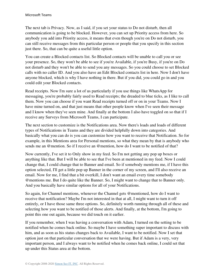The next tab is Privacy. Now, as I said, if you set your status to Do not disturb, then all communication is going to be blocked. However, you can set up Priority access from here. So anybody you add into Priority access, it means that even though you're on Do not disturb, you can still receive messages from this particular person or people that you specify in this section just there. So, that can be quite a useful little option.

You can create a Blocked contacts list. So Blocked contacts will be unable to call you or see your presence. So, they won't be able to see if you're Available, if you're Busy, if you're on Do not disturb and they won't be able to send you any messages. So you could choose to set Blocked calls with no caller ID. And you also have an Edit Blocked contacts list in here. Now I don't have anyone blocked, which is why I have nothing in there. But if you did, you could go in and you could edit your Blocked contacts.

Read receipts. Now I'm sure a lot of us particularly if you use things like WhatsApp for messaging, you're probably fairly used to Read receipts; the dreaded to blue ticks, as I like to call them. Now you can choose if you want Read receipts turned off or on in your Teams. Now I have mine turned on, and that just means that other people know when I've seen their message and I know when they've seen mine. And finally at the bottom I also have toggled on so that if I receive any Surveys from Microsoft Teams, I can participate.

The next section to customize is the Notifications area. Now there's loads and loads of different types of Notifications in Teams and they are divided helpfully down into categories. And basically what you can do is you can customize how you want to receive that Notification. So for example, in this Mentions area for Personal mentions, so what they mean by that is anybody who sends me an @mention. So if I receive an @mention, how do I want to be notified of that?

Now currently, I've set it to Only show in my feed. So I'm not getting any pop up boxes or anything like that. But I will be able to see that I've been at mentioned in my feed. Now I could change that, I could change that to Banner and email. So if somebody mentions me, if I have this option selected, I'll get a little pop up Banner in the corner of my screen, and I'll also receive an email. Now for me, I find that a bit overkill, I don't want an email every time somebody @mentions me. But I do quite like the Banner. So, I might want to change that to Banner only. And you basically have similar options for all of your Notifications.

So again, for Channel mentions, whenever the Channel gets @mentioned, how do I want to receive that notification? Maybe I'm not interested in that at all, I might want to turn it off entirely, or I have those same three options. So, definitely worth running through all of these and selecting how you want to be notified of those alerts. And finally, at the bottom, I'm going to point this one out again, because we did touch on it earlier.

If you remember, when I was having a conversation with Adam, I turned on the setting to be notified when he comes back online. So maybe I have something super important to discuss with him, and as soon as his status changes back to Available, I want to be notified. Now I set that option just on that particular conversation that we were having. But if Adam is a very, very important person, and I always want to be notified when he comes back online, I could set that up under this Status area at the bottom.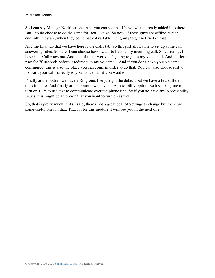So I can say Manage Notifications. And you can see that I have Adam already added into there. But I could choose to do the same for Ben, like so. So now, if these guys are offline, which currently they are, when they come back Available, I'm going to get notified of that.

And the final tab that we have here is the Calls tab. So this just allows me to set up some call answering rules. So here, I can choose how I want to handle my incoming call. So currently, I have it as Call rings me. And then if unanswered, it's going to go to my voicemail. And, I'll let it ring for 20 seconds before it redirects to my voicemail. And if you don't have your voicemail configured, this is also the place you can come in order to do that. You can also choose just to forward your calls directly to your voicemail if you want to.

Finally at the bottom we have a Ringtone. I've just got the default but we have a few different ones in there. And finally at the bottom, we have an Accessibility option. So it's asking me to turn on TTY to use text to communicate over the phone line. So if you do have any Accessibility issues, this might be an option that you want to turn on as well.

So, that is pretty much it. As I said, there's not a great deal of Settings to change but there are some useful ones in that. That's it for this module, I will see you in the next one.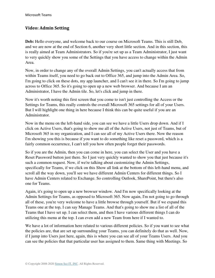#### **Video: Admin Setting**

**Deb:** Hello everyone, and welcome back to our course on Microsoft Teams. This is still Deb, and we are now at the end of Section 6, another very short little section. And in this section, this is really aimed at Team Administrators. So if you're set up as a Team Administrator, I just want to very quickly show you some of the Settings that you have access to change within the Admin Area.

Now, in order to change any of the overall Admin Settings, you can't actually access that from within Teams itself, you need to go back out to Office 365, and jump into the Admin Area. So, I'm going to click on these dots, my app launcher, and I can't see it in there. So I'm going to jump across to Office 365. So it's going to open up a new web browser. And because I am an Administrator, I have the Admin tile. So, let's click and jump in there.

Now it's worth noting this first screen that you come to isn't just controlling the Access or the Settings for Teams, this really controls the overall Microsoft 365 settings for all of your Users. But I will highlight one thing in here because I think this can be quite useful if you are an Administrator.

Now in the menu on the left-hand side, you can see we have a little Users drop down. And if I click on Active Users, that's going to show me all of the Active Users, not just of Teams, but of Microsoft 365 in my organization, and I can see all of my Active Users there. Now the reason I'm showing you this is because if you want to do something like reset a password, which is a fairly common occurrence, I can't tell you how often people forget their passwords.

So if you are the Admin, then you can come in here, you can select the User and you have a Reset Password button just there. So I just very quickly wanted to show you that just because it's such a common request. Now, if we're talking about customizing the Admin Settings, specifically for Teams, if we click on this Show all link at the bottom of this left-hand menu, and scroll all the way down, you'll see we have different Admin Centers for different things. So I have Admin Centers related to Exchange. So controlling Outlook, SharePoint, but there's also one for Teams.

Again, it's going to open up a new browser window. And I'm now specifically looking at the Admin Settings for Teams, as opposed to Microsoft 365. Now again, I'm not going to go through all of these, you're very welcome to have a little browse through yourself. But if we expand this Teams one at the top, I can say Manage Teams. And that's going to show me a list of all of the Teams that I have set up. I can select them, and then I have various different things I can do utilizing this menu at the top. I can even add a new Team from here if I wanted to.

We have a lot of information here related to various different policies. So if you want to see what the policies are, that are set up surrounding your Teams, you can definitely do that as well. Now, if I jump into Users just here, again, this is where you can see all of your Teams Users. And you can see the policies that that particular user has assigned to them. Same thing with Meetings. So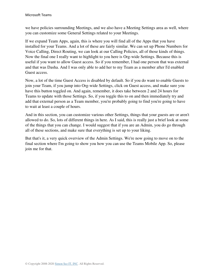we have policies surrounding Meetings, and we also have a Meeting Settings area as well, where you can customize some General Settings related to your Meetings.

If we expand Team Apps, again, this is where you will find all of the Apps that you have installed for your Teams. And a lot of these are fairly similar. We can set up Phone Numbers for Voice Calling, Direct Routing, we can look at our Calling Policies, all of those kinds of things. Now the final one I really want to highlight to you here is Org-wide Settings. Because this is useful if you want to allow Guest access. So if you remember, I had one person that was external and that was Dasha. And I was only able to add her to my Team as a member after I'd enabled Guest access.

Now, a lot of the time Guest Access is disabled by default. So if you do want to enable Guests to join your Team, if you jump into Org-wide Settings, click on Guest access, and make sure you have this button toggled on. And again, remember, it does take between 2 and 24 hours for Teams to update with those Settings. So, if you toggle this to on and then immediately try and add that external person as a Team member, you're probably going to find you're going to have to wait at least a couple of hours.

And in this section, you can customize various other Settings, things that your guests are or aren't allowed to do. So, lots of different things in here. As I said, this is really just a brief look at some of the things that you can change. I would suggest that if you are an Admin, you do go through all of these sections, and make sure that everything is set up to your liking.

But that's it, a very quick overview of the Admin Settings. We're now going to move on to the final section where I'm going to show you how you can use the Teams Mobile App. So, please join me for that.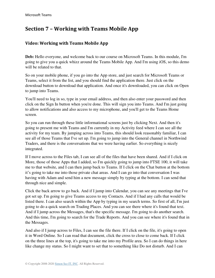# **Section 7 – Working with Teams Mobile App**

### **Video: Working with Teams Mobile App**

**Deb:** Hello everyone, and welcome back to our course on Microsoft Teams. In this module, I'm going to give you a quick whizz around the Teams Mobile App. And I'm using iOS, so this demo will be related to that.

So on your mobile phone, if you go into the App store, and just search for Microsoft Teams or Teams, select it from the list, and you should find the application there. Just click on the download button to download that application. And once it's downloaded, you can click on Open to jump into Teams.

You'll need to log in so, type in your email address, and then also enter your password and then click on the Sign In button when you're done. This will sign you into Teams. And I'm just going to allow notifications and also access to my microphone, and you'll get to the Teams Home screen.

So you can run through these little informational screens just by clicking Next. And then it's going to present me with Teams and I'm currently in my Activity feed where I can see all the activity for my team. By jumping across into Teams, this should look reasonably familiar, I can see all of those Teams that I've set up. I'm going to jump into the General channel in Northwind Traders, and there is the conversations that we were having earlier. So everything is nicely integrated.

If I move across to the Files tab, I can see all of the files that have been shared. And if I click on More, those of those Apps that I added, so I'm quickly going to jump into FTSE 100, it will take me to that website, and I can then jump back to Teams. If I click on the Chat button at the bottom it's going to take me into those private chat areas. And I can go into that conversation I was having with Adam and send him a new message simply by typing at the bottom. I can send that through nice and simple.

Click the back arrow to go back. And if I jump into Calendar, you can see any meetings that I've got set up. I'm going to give Teams access to my Contacts. And if I had any calls that would be listed there. I can also search within the App by typing in my search terms. So first of all, I'm just going to do a quick search on Trading Places. And you can see there where it's found that text. And if I jump across the Messages, that's the specific message. I'm going to do another search. And this time, I'm going to search for the Trade Reports. And you can see where it's found that in the Messages.

And also if I jump across to Files, I can see the file there. If I click on the file, it's going to open it in Word Online. So I can read that document, click the cross to close to come back. If I click on the three lines at the top, it's going to take me into my Profile area. So I can do things in here like change my status. So I might want to set that to something like Do not disturb. And I can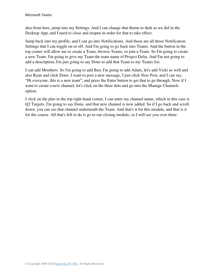also from here, jump into my Settings. And I can change that theme to dark as we did in the Desktop App, and I need to close and reopen in order for that to take effect.

Jump back into my profile, and I can go into Notifications. And those are all those Notification Settings that I can toggle on or off. And I'm going to go back into Teams. And the button in the top corner will allow me to create a Team, browse Teams, or join a Team. So I'm going to create a new Team. I'm going to give my Team the team name of Project Delta. And I'm not going to add a description, I'm just going to say Done to add that Team to my Teams list.

I can add Members. So I'm going to add Ben, I'm going to add Adam, let's add Vicki as well and also Ryan and click Done. I want to post a new message, I just click New Post, and I can say; "Hi everyone, this is a new team", and press the Enter button to get that to go through. Now if I want to create a new channel, let's click on the three dots and go into the Manage Channels option.

I click on the plus in the top right-hand corner, I can enter my channel name, which in this case is Q2 Targets. I'm going to say Done, and that new channel is now added. So if I go back and scroll down, you can see that channel underneath the Team. And that's it for this module, and that is it for the course. All that's left to do is go to our closing module, so I will see you over there.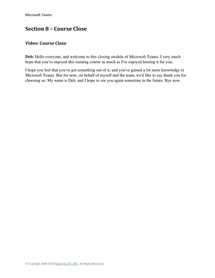## **Section 8 – Course Close**

#### **Video: Course Close**

Deb: Hello everyone, and welcome to this closing module of Microsoft Teams. I very much hope that you've enjoyed this training course as much as I've enjoyed hosting it for you.

I hope you feel that you've got something out of it, and you've gained a lot more knowledge in Microsoft Teams. But for now, on behalf of myself and the team, we'd like to say thank you for choosing us. My name is Deb, and I hope to see you again sometime in the future. Bye now.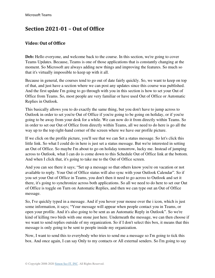# **Section 2021-01 – Out of Office**

### **Video: Out of Office**

**Deb:** Hello everyone, and welcome back to the course. In this section, we're going to cover Teams Updates. Because, Teams is one of those applications that is constantly changing at the moment. So Microsoft are always adding new things and improving the features. So much so that it's virtually impossible to keep up with it all.

Because in general, the courses tend to go out of date fairly quickly. So, we want to keep on top of that, and just have a section where we can post any updates since this course was published. And the first update I'm going to go through with you in this section is how to set your Out of Office from Teams. So, most people are very familiar or have used Out of Office or Automatic Replies in Outlook.

This basically allows you to do exactly the same thing, but you don't have to jump across to Outlook in order to set you're Out of Office if you're going to be going on holiday, or if you're going to be away from your desk for a while. We can now do it from directly within Teams. So in order to set our Out of Office from directly within Teams, all we need to do here is go all the way up to the top right-hand corner of the screen where we have our profile picture.

If we click on the profile picture, you'll see that we can Set a status message. So let's click this little link. So what I could do in here is just set a status message. But we're interested in setting an Out of Office. So maybe I'm about to go on holiday tomorrow, lucky me. Instead of jumping across to Outlook, what I can do is come down to this Schedule Out of Office link at the bottom. And when I click that, it's going to take me to the Out of Office screen.

And you can see there it says; "Set up a message so that others know you're on vacation or not available to reply. Your Out of Office status will also sync with your Outlook Calendar". So if you set your Out of Office in Teams, you don't then it need to go across to Outlook and set it there, it's going to synchronize across both applications. So all we need to do here to set our Out of Office is toggle on Turn on Automatic Replies, and then we can type out an Out of Office message.

So, I've quickly typed in a message. And if you hover your mouse over the i icon, which is just some information, it says; "Your message will appear when people contact you in Teams, or open your profile. And it's also going to be sent as an Automatic Reply in Outlook". So we're kind of killing two birds with one stone just here. Underneath the message, we can then choose if we want to send replies outside of my organization. So if I don't select this box, it means that this message is only going to be sent to people inside my organization.

Now, I want to send this to everybody who tries to send me a message so I'm going to tick this box. And once again, I can say Only to my contacts or All external senders. So I'm going to say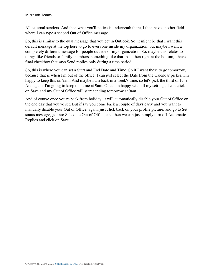All external senders. And then what you'll notice is underneath there, I then have another field where I can type a second Out of Office message.

So, this is similar to the dual message that you get in Outlook. So, it might be that I want this default message at the top here to go to everyone inside my organization, but maybe I want a completely different message for people outside of my organization. So, maybe this relates to things like friends or family members, something like that. And then right at the bottom, I have a final checkbox that says Send replies only during a time period.

So, this is where you can set a Start and End Date and Time. So if I want these to go tomorrow, because that is when I'm out of the office, I can just select the Date from the Calendar picker. I'm happy to keep this on 9am. And maybe I am back in a week's time, so let's pick the third of June. And again, I'm going to keep this time at 9am. Once I'm happy with all my settings, I can click on Save and my Out of Office will start sending tomorrow at 9am.

And of course once you're back from holiday, it will automatically disable your Out of Office on the end day that you've set. But if say you come back a couple of days early and you want to manually disable your Out of Office, again, just click back on your profile picture, and go to Set status message, go into Schedule Out of Office, and then we can just simply turn off Automatic Replies and click on Save.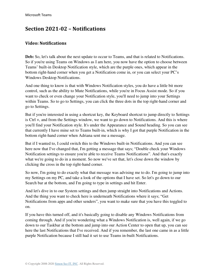## **Section 2021-02 – Notifications**

### **Video: Notifications**

**Deb:** So, let's talk about the next update to occur to Teams, and that is related to Notifications. So if you're using Teams on Windows as I am here, you now have the option to choose between Teams' built-in Desktop Notification style, which are the purple ones, which appear in the bottom right-hand corner when you get a Notification come in, or you can select your PC's Windows Desktop Notifications.

And one thing to know is that with Windows Notification styles, you do have a little bit more control, such as the ability to Mute Notifications, while you're in Focus Assist mode. So if you want to check or even change your Notification style, you'll need to jump into your Settings within Teams. So to go to Settings, you can click the three dots in the top right-hand corner and go to Settings.

But if you're interested in using a shortcut key, the Keyboard shortcut to jump directly to Settings is Ctrl +, and from the Settings window, we want to go down to Notifications. And this is where you'll find your Notification style. It's under the Appearance and Sound heading. So you can see that currently I have mine set to Teams built-in, which is why I got that purple Notification in the bottom right-hand corner when Adriana sent me a message.

But if I wanted to, I could switch this to the Windows built-in Notifications. And you can see here now that I've changed that, I'm getting a message that says; "Double check your Windows Notification settings to ensure you're able to receive Teams Notifications". And that's exactly what we're going to do in a moment. So now we've set that, let's close down the window by clicking the cross in the top right-hand corner.

So now, I'm going to do exactly what that message was advising me to do. I'm going to jump into my Settings on my PC, and take a look of the options that I have set. So let's go down to our Search bar at the bottom, and I'm going to type in settings and hit Enter.

And let's dive in to our System settings and then jump straight into Notifications and Actions. And the thing you want to check here is underneath Notifications where it says; "Get Notifications from apps and other senders", you want to make sure that you have this toggled to on.

If you have this turned off, and it's basically going to disable any Windows Notifications from coming through. And if you're wondering what a Windows Notification is, well again, if we go down to our Taskbar at the bottom and jump into our Action Center to open that up, you can see here the last Notifications that I've received. And if you remember, the last one came in as a little purple Notification because I still had it set to use Teams in-built Notifications.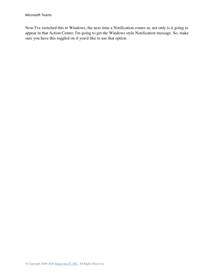Now I've switched this to Windows, the next time a Notification comes in, not only is it going to appear in that Action Center, I'm going to get the Windows style Notification message. So, make sure you have this toggled on if you'd like to use that option.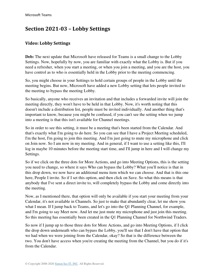# **Section 2021-03 – Lobby Settings**

#### **Video: Lobby Settings**

**Deb:** The next update that Microsoft have released for Teams is a small change to the Lobby Settings. Now, hopefully by now, you are familiar with exactly what the Lobby is. But if you need a refresher, when you start a meeting, or when you join a meeting, and you are the host, you have control as to who is essentially held in the Lobby prior to the meeting commencing.

So, you might choose in your Settings to hold certain groups of people in the Lobby until the meeting begins. But now, Microsoft have added a new Lobby setting that lets people invited to the meeting to bypass the meeting Lobby.

So basically, anyone who receives an invitation and that includes a forwarded invite will join the meeting directly, they won't have to be held in that Lobby. Now, it's worth noting that this doesn't include a distribution list, people must be invited individually. And another thing that's important to know, because you might be confused, if you can't see the setting when we jump into a meeting is that this isn't available for Channel meetings.

So in order to see this setting, it must be a meeting that's been started from the Calendar. And that's exactly what I'm going to do here. So you can see that I have a Project Meeting scheduled, I'm the host, I'm going to join this meeting. And I'm just going to mute my microphone and click on Join now. So I am now in my meeting. And in general, if I want to use a setting like this, I'll log in maybe 10 minutes before the meeting start time, and I'll jump in here and I will change my Settings.

So if we click on the three dots for More Actions, and go into Meeting Options, this is the setting you need to change, so where it says Who can bypass the Lobby? What you'll notice is that in this drop down, we now have an additional menu item which we can choose. And that is this one here, People I invite. So if I set this option, and then click on Save. So what this means is that anybody that I've sent a direct invite to, will completely bypass the Lobby and come directly into the meeting.

Now, as I mentioned there, that option will only be available if you start your meeting from your Calendar, it's not available in Channels. So just to make that abundantly clear, let me show you what I mean. If I jump back to Teams, and let's go into the Q1 Planning Channel, for example, and I'm going to say Meet now. And let me just mute my microphone and just join this meeting. So this meeting has essentially been created in the Q1 Planning Channel for Northwind Traders.

So now if I jump up to those three dots for More Actions, and go into Meeting Options, if I click the drop down underneath who can bypass the Lobby, you'll see that I don't have that option that we had when we were joining from the Calendar, okay? So that is the difference between the two. You don't have access when you're creating the meeting from the Channel, but you do if it's from the Calendar.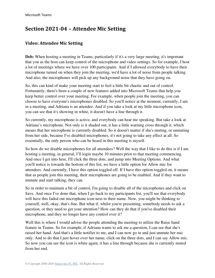# **Section 2021-04 – Attendee Mic Setting**

### **Video: Attendee Mic Setting**

**Deb:** When hosting a meeting in Teams, particularly if it's a very large meeting, it's important that you as the host can keep control of the microphone and video settings. So for example, I host a lot of meetings where we have over 100 participants. And if I allowed everybody to have their microphone turned on when they join the meeting, we'd have a lot of noise from people talking. And also, the microphones will pick up any background noise that they have going on.

So, this can kind of make your meeting start to feel a little bit chaotic and out of control. Fortunately, there's been a couple of new features added into Microsoft Teams that help you keep better control over your meeting. For example, when people join the meeting, you can choose to have everyone's microphones disabled. So you'll notice at the moment, currently, I am in a meeting, and Adriana is an attendee. And if you take a look at my little microphone icon, you can see that it's showing in white, it doesn't have a line through it.

So currently, my microphone is active, and everybody can hear me speaking. But take a look at Adriana's microphone. Not only is it shaded out, it has a little warning cross through it, which means that her microphone is currently disabled. So it doesn't matter if she's muting, or unmuting from her side, because I've disabled microphones, it's not going to take any effect at all. So essentially, the only person who can be heard in this meeting is myself.

So how do we disable microphones for all attendees? Well the way that I like to do this is if I am hosting a meeting, in general, I'll login maybe 10 minutes prior to that meeting commencing. And once I get into here, I'll click the three dots, and jump into Meeting Options. And what you'll notice is towards the bottom of this list, we have a little option for Allow mic for attendees. And currently, I have this option toggled off. If I have this option toggled on, it means that as people join this meeting, their microphones are going to be enabled. And if they want to unmute and start talking, they can.

So in order to maintain a bit of control, I'm going to disable all of the microphones and click on Save. And once I've done that, when I go back to my participants list, you'll see that everybody will have this faded out microphone icon next to their name. Now, you might be thinking to yourself, well, okay, that's fine. But what if, whilst you're presenting, somebody needs to ask a question, or they need to get your attention? How can they do that if you've disabled their microphone, and they no longer have any control over it?

Well this is where I would advise the people attending the meeting to utilize the Raise hand feature in Teams. So for example, if Adriana wants to ask me a question, I can see that she's raised her hand. And that's a little notifier to me, and I can now go in and just unmute her mic only. And to do that I just hover over her name, click on the three dots, and I can say Allow mic. So now you can see the icon is white again, it has a line through because she is currently muted from her end.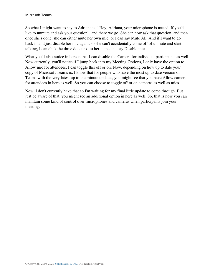So what I might want to say to Adriana is, "Hey, Adriana, your microphone is muted. If you'd like to unmute and ask your question", and there we go. She can now ask that question, and then once she's done, she can either mute her own mic, or I can say Mute All. And if I want to go back in and just disable her mic again, so she can't accidentally come off of unmute and start talking, I can click the three dots next to her name and say Disable mic.

What you'll also notice in here is that I can disable the Camera for individual participants as well. Now currently, you'll notice if I jump back into my Meeting Options, I only have the option to Allow mic for attendees, I can toggle this off or on. Now, depending on how up to date your copy of Microsoft Teams is, I know that for people who have the most up to date version of Teams with the very latest up to the minute updates, you might see that you have Allow camera for attendees in here as well. So you can choose to toggle off or on cameras as well as mics.

Now, I don't currently have that so I'm waiting for my final little update to come through. But just be aware of that, you might see an additional option in here as well. So, that is how you can maintain some kind of control over microphones and cameras when participants join your meeting.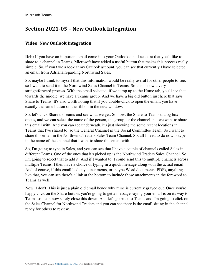# **Section 2021-05 – New Outlook Integration**

#### **Video: New Outlook Integration**

**Deb:** If you have an important email come into your Outlook email account that you'd like to share to a channel in Teams, Microsoft have added a useful button that makes this process really simple. So, if you take a look at my Outlook account, you can see that currently I have selected an email from Adriana regarding Northwind Sales.

So, maybe I think to myself that this information would be really useful for other people to see, so I want to send it to the Northwind Sales Channel in Teams. So this is now a very straightforward process. With the email selected, if we jump up to the Home tab, you'll see that towards the middle, we have a Teams group. And we have a big old button just here that says Share to Teams. It's also worth noting that if you double-click to open the email, you have exactly the same button on the ribbon in the new window.

So, let's click Share to Teams and see what we get. So now, the Share to Teams dialog box opens, and we can select the name of the person, the group, or the channel that we want to share this email with. And you can see underneath, it's just showing me some recent locations in Teams that I've shared to, so the General Channel in the Social Committee Team. So I want to share this email in the Northwind Traders Sales Team Channel. So, all I need to do now is type in the name of the channel that I want to share this email with.

So, I'm going to type in Sales, and you can see that I have a couple of channels called Sales in different Teams. One of the ones that it's picked up is the Northwind Traders Sales Channel. So I'm going to select that to add it. And if I wanted to, I could send this to multiple channels across multiple Teams. I then have a choice of typing in a quick message along with the actual email. And of course, if this email had any attachments, or maybe Word documents, PDFs, anything like that, you can see there's a link at the bottom to include those attachments in the foreword to Teams as well.

Now, I don't. This is just a plain old email hence why mine is currently grayed out. Once you're happy click on the Share button, you're going to get a message saying your email is on its way to Teams so I can now safely close this down. And let's go back to Teams and I'm going to click on the Sales Channel for Northwind Traders and you can see there is the email sitting in the channel ready for others to review.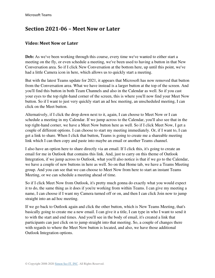### **Section 2021-06 – Meet Now or Later**

#### **Video: Meet Now or Later**

**Deb:** As we've been working through this course, every time we've wanted to either start a meeting on the fly, or even schedule a meeting, we've been used to having a button in that New Conversation area. So if I click New Conversation at the bottom here, up until this point, we've had a little Camera icon in here, which allows us to quickly start a meeting.

But with the latest Teams update for 2021, it appears that Microsoft has now removed that button from the Conversation area. What we have instead is a larger button at the top of the screen. And you'll find this button in both Team Channels and also in the Calendar as well. So if you cast your eyes to the top right-hand corner of the screen, this is where you'll now find your Meet Now button. So if I want to just very quickly start an ad hoc meeting, an unscheduled meeting, I can click on the Meet button.

Alternatively, if I click the drop down next to it, again, I can choose to Meet Now or I can schedule a meeting in my Calendar. If we jump across to the Calendar, you'll also see that in the top right-hand corner, we have a Meet Now button here as well. So if I click Meet Now, I get a couple of different options. I can choose to start my meeting immediately. Or, if I want to, I can get a link to share. When I click that button, Teams is going to create me a shareable meeting link which I can then copy and paste into maybe an email or another Teams channel.

I also have an option here to share directly via an email. If I click this, it's going to create an email for me in Outlook that contains this link. And, just to carry on this theme of Outlook Integration, if we jump across to Outlook, what you'll also notice is that if we go to the Calendar, we have a couple of new buttons in here as well. So on that Home tab, we have a Teams Meeting group. And you can see that we can choose to Meet Now from here to start an instant Teams Meeting, or we can schedule a meeting ahead of time.

So if I click Meet Now from Outlook, it's pretty much gonna do exactly what you would expect it to do, the same thing as it does if you're working from within Teams. I can give my meeting a name, I can choose if I want my Camera turned off or on, and then I can click Join now to jump straight into an ad hoc meeting.

If we go back to Outlook again and click the other button, which is New Teams Meeting, that's basically going to create me a new email. I can give it a title, I can type in who I want to send it to with the start and end times. And you'll see in the body of email, it's created a link that participants can just click on to jump straight into that meeting. So, a couple of changes there with regards to where the Meet Now button is located, and also, we have those additional Outlook Integration options.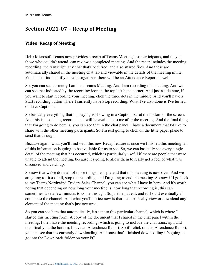# **Section 2021-07 – Recap of Meeting**

### **Video: Recap of Meeting**

**Deb:** Microsoft Teams now provides a recap of Teams Meetings, so participants, and maybe those who couldn't attend, can review a completed meeting. And the recap includes the meeting recording, the transcript, any chat that's occurred, and also shared files. And these are automatically shared in the meeting chat tab and viewable in the details of the meeting invite. You'll also find that if you're an organizer, there will be an Attendance Report as well.

So, you can see currently I am in a Teams Meeting. And I am recording this meeting. And we can see that indicated by the recording icon in the top left-hand corner. And just a side note, if you want to start recording your meeting, click the three dots in the middle. And you'll have a Start recording button where I currently have Stop recording. What I've also done is I've turned on Live Captions.

So basically everything that I'm saying is showing in a Caption bar at the bottom of the screen. And this is also being recorded and will be available to me after the meeting. And the final thing that I'm going to do here is, you can see that in the chat panel, I have a document that I'd like to share with the other meeting participants. So I'm just going to click on the little paper plane to send that through.

Because again, what you'll find with this new Recap feature is once we finished this meeting, all of this information is going to be available for us to see. So, we can basically see every single detail of the meeting that has occurred, which is particularly useful if there are people that were unable to attend the meeting, because it's going to allow them to really get a feel of what was discussed and catch up.

So now that we've done all of those things, let's pretend that this meeting is now over. And we are going to first of all, stop the recording, and I'm going to end the meeting. So now if I go back to my Teams Northwind Traders Sales Channel, you can see what I have in here. And it's worth noting that depending on how long your meeting is, how long that recording is, this can sometimes take a few minutes to come through. So just be patient, and it should eventually all come into the channel. And what you'll notice now is that I can basically view or download any element of the meeting that's just occurred.

So you can see here that automatically, it's sent to this particular channel, which is where I started this meeting from. A copy of the document that I shared in the chat panel within the meeting, I then have the meeting recording, which is going to include the chat transcript, and then finally, at the bottom, I have an Attendance Report. So if I click on this Attendance Report, you can see that it's currently downloading. And once that's finished downloading it's going to go into the Downloads folder on your PC.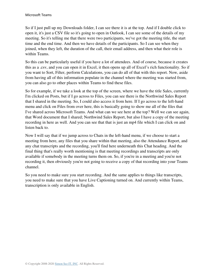So if I just pull up my Downloads folder, I can see there it is at the top. And if I double click to open it, it's just a CSV file so it's going to open in Outlook, I can see some of the details of my meeting. So it's telling me that there were two participants, we've got the meeting title, the start time and the end time. And then we have details of the participants. So I can see when they joined, when they left, the duration of the call, their email address, and then what their role is within Teams.

So this can be particularly useful if you have a lot of attendees. And of course, because it creates this as a .csv, and you can open it in Excel, it then opens up all of Excel's rich functionality. So if you want to Sort, Filter, perform Calculations, you can do all of that with this report. Now, aside from having all of this information populate in the channel where the meeting was started from, you can also go to other places within Teams to find these files.

So for example, if we take a look at the top of the screen, where we have the title Sales, currently I'm clicked on Posts, but if I go across to Files, you can see there is the Northwind Sales Report that I shared in the meeting. So, I could also access it from here. If I go across to the left-hand menu and click on Files from over here, this is basically going to show me all of the files that I've shared across Microsoft Teams. And what can we see here at the top? Well we can see again, that Word document that I shared; Northwind Sales Report, but also I have a copy of the meeting recording in here as well. And you can see that that is just an mp4 file which I can click on and listen back to.

Now I will say that if we jump across to Chats in the left-hand menu, if we choose to start a meeting from here, any files that you share within that meeting, also the Attendance Report, and any chat transcripts and the recording, you'll find here underneath this Chat heading. And the final thing that's really worth mentioning is that meeting recordings and transcripts are only available if somebody in the meeting turns them on. So, if you're in a meeting and you're not recording it, then obviously you're not going to receive a copy of that recording into your Teams channel.

So you need to make sure you start recording. And the same applies to things like transcripts, you need to make sure that you have Live Captioning turned on. And currently within Teams, transcription is only available in English.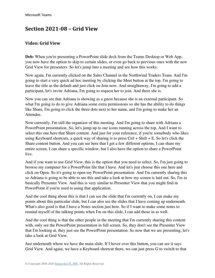### **Section 2021-08 – Grid View**

#### **Video: Grid View**

**Deb:** When you're presenting a PowerPoint slide deck from the Teams Desktop or Web App, you now have the option to skip to certain slides, or even go back to previous ones with the new Grid View for presenters. So let's jump into a meeting and see how this works.

Now again, I'm currently clicked on the Sales Channel in the Northwind Traders Team. And I'm going to start a very quick ad hoc meeting by clicking the Meet button at the top. I'm going to leave the title as the default and just click on Join now. And straightaway, I'm going to add a participant, let's invite Adriana, I'm going to request her to join. And there she is.

Now you can see that Adriana is showing as a guest because she is an external participant. So what I'm going to do to give Adriana some extra permissions so she has the ability to do things like Share, I'm going to click the three dots next to her name, and I'm going to make her an Attendee.

Now currently, I'm still the organizer of this meeting. And I'm going to share with Adriana a PowerPoint presentation. So, let's jump up to our icons running across the top. And I want to select this one here that Share content. And just for your reference, if you're somebody who likes using Keyboard shortcuts, a quick way of sharing is to press Ctrl + Shift + E. So let's click the Share content button. And you can see here that I get a few different options, I can share my entire screen, I can share a specific window, but I also have the option to share a PowerPoint live.

And if you want to use Grid View, this is the option that you need to select. So, I'm just going to browse my computer for a PowerPoint file that I have. And let's just choose this one here and click on Open. So it's going to open my PowerPoint presentation. And I'm currently sharing this so Adriana is going to be able to see this and take a look at how my screen is laid out. So, I'm in basically Presenter View. And this is very similar to Presenter View that you might find in PowerPoint if you're used to using that application.

And the cool thing about this is that I can see the slide that I'm currently on, I can make my points about this particular slide, but I can also see the slides that I have coming up underneath. What's also good is that I have a Notes section just here. So if I want to make some notes to remind myself of the talking points when I'm on this slide, I can add those in as well.

And the cool thing is that the other people in the meeting that I'm currently sharing this content with, only see the PowerPoint presentation in full screen. So, they don't see the Presenter View that I'm looking at, they just see the PowerPoint presentation. So now that we are presenting, let's take a look at Grid View.

Just underneath where we have the main slide. If I hover over this button, you can see it says Grid View. And again, we have a Keyboard shortcut there, we can just press G to switch to that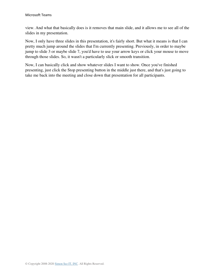view. And what that basically does is it removes that main slide, and it allows me to see all of the slides in my presentation.

Now, I only have three slides in this presentation, it's fairly short. But what it means is that I can pretty much jump around the slides that I'm currently presenting. Previously, in order to maybe jump to slide 3 or maybe slide 7, you'd have to use your arrow keys or click your mouse to move through those slides. So, it wasn't a particularly slick or smooth transition.

Now, I can basically click and show whatever slides I want to show. Once you've finished presenting, just click the Stop presenting button in the middle just there, and that's just going to take me back into the meeting and close down that presentation for all participants.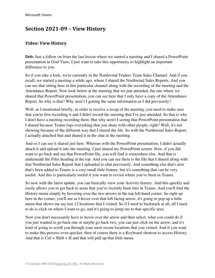### **Section 2021-09 – View History**

### **Video: View History**

**Deb:** Just a follow on from the last lesson where we started a meeting and I shared a PowerPoint presentation in Grid View, I just want to take this opportunity to highlight an important difference to you.

So if you take a look, we're currently in the Northwind Traders Team Sales Channel. And if you recall, we started a meeting a while ago, where I shared the Northwind Sales Reports. And you can see that sitting here in this particular channel along with the recording of the meeting and the Attendance Report. Now look below at the meeting that we just attended, the one where we shared that PowerPoint presentation, you can see here that I only have a copy of the Attendance Report. So why is that? Why aren't I getting the same information as I did previously?

Well, as I mentioned briefly, in order to receive a recap of the meeting, you need to make sure that you're first recording it and I didn't record the meeting that I've just attended. So that is why I don't have a meeting recording there. But why aren't I seeing that PowerPoint presentation that I shared because Teams logs everything that you share with other people, right? Well, it's not showing because of the different way that I shared the file. So with the Northwind Sales Report, I actually attached that and shared it in the chat in the meeting.

And so I can see it shared just here. Whereas with the PowerPoint presentation, I didn't actually attach it and upload it into the meeting, I just shared my PowerPoint screen. Now, if you did want to go back and see that PowerPoint file, you will find it somewhere else. And that is underneath the Files heading at the top. And you can see there is the file that I shared along with that Northwind Sales Report that I uploaded to chat previously. And something else that's new that's been added to Teams is a very small little feature, but it's something that can be very useful. And this is particularly useful if you want to revisit where you've been in Teams.

So now with the latest update, you can basically view your Activity history. And this quickly and easily allows you to get back to areas that you've recently been into in Teams. And you'll find the History menu simply by hovering over the two arrows in the top left-hand corner. So right up here in the corner, you'll see as I hover over that left facing arrow, it's going to pop up a little menu that shows me my last 12 locations that I visited. So if I need to backtrack at all, all I need to do is click on where I want to go, and it's going to jump me to that specific area.

Now you don't necessarily have to hover over the arrow and then select, what you could do if you just wanted to go back one or maybe go back two, you can just click on the arrow, and it's kind of going to scroll you through your most recent locations that you visited. And if you want to make this process even quicker, then of course there is a Keyboard shortcut to access History. And that is  $Ctrl + Shift + H$  and that will pull up that little menu.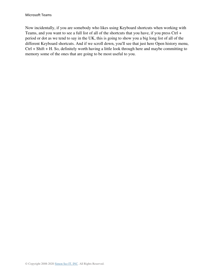Now incidentally, if you are somebody who likes using Keyboard shortcuts when working with Teams, and you want to see a full list of all of the shortcuts that you have, if you press Ctrl + period or dot as we tend to say in the UK, this is going to show you a big long list of all of the different Keyboard shortcuts. And if we scroll down, you'll see that just here Open history menu, Ctrl + Shift + H. So, definitely worth having a little look through here and maybe committing to memory some of the ones that are going to be most useful to you.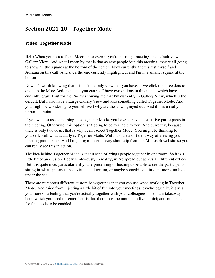## **Section 2021-10 – Together Mode**

#### **Video: Together Mode**

**Deb:** When you join a Team Meeting, or even if you're hosting a meeting, the default view is Gallery View. And what I mean by that is that as new people join this meeting, they're all going to show a little squares at the bottom of the screen. Now currently, there's just myself and Adriana on this call. And she's the one currently highlighted, and I'm in a smaller square at the bottom.

Now, it's worth knowing that this isn't the only view that you have. If we click the three dots to open up the More Actions menu, you can see I have two options in this menu, which have currently grayed out for me. So it's showing me that I'm currently in Gallery View, which is the default. But I also have a Large Gallery View and also something called Together Mode. And you might be wondering to yourself well why are these two grayed out. And this is a really important point.

If you want to use something like Together Mode, you have to have at least five participants in the meeting. Otherwise, this option isn't going to be available to you. And currently, because there is only two of us, that is why I can't select Together Mode. You might be thinking to yourself, well what actually is Together Mode. Well, it's just a different way of viewing your meeting participants. And I'm going to insert a very short clip from the Microsoft website so you can really see this in action.

The idea behind Together Mode is that it kind of brings people together in one room. So it is a little bit of an illusion. Because obviously in reality, we're spread out across all different offices. But it is quite nice, particularly if you're presenting or hosting to be able to see the participants sitting in what appears to be a virtual auditorium, or maybe something a little bit more fun like under the sea.

There are numerous different custom backgrounds that you can use when working in Together Mode. And aside from injecting a little bit of fun into your meetings, psychologically, it gives you more of a feeling that you're actually together with your colleagues. The main takeaway here, which you need to remember, is that there must be more than five participants on the call for this mode to be enabled.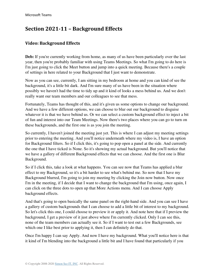# **Section 2021-11 – Background Effects**

### **Video: Background Effects**

**Deb:** If you're currently working from home, as many of us have been particularly over the last year, then you're probably familiar with using Teams Meetings. So what I'm going to do here is I'm just going to click the Meet button and jump into a quick meeting. Because there's a couple of settings in here related to your Background that I just want to demonstrate.

Now as you can see, currently, I am sitting in my bedroom at home and you can kind of see the background, it's a little bit dark. And I'm sure many of us have been in the situation where possibly we haven't had the time to tidy up and it kind of looks a mess behind us. And we don't really want our team members and our colleagues to see that mess.

Fortunately, Teams has thought of this, and it's given us some options to change our background. And we have a few different options, we can choose to blur out our background to disguise whatever it is that we have behind us. Or we can select a custom background effect to inject a bit of fun and interest into our Team Meetings. Now there's two places where you can go to turn on these backgrounds, and the first one is as you join the meeting.

So currently, I haven't joined the meeting just yet. This is where I can adjust my meeting settings prior to entering the meeting. And you'll notice underneath where my video is, I have an option for Background filters. So if I click this, it's going to pop open a panel at the side. And currently the one that I have ticked is None. So it's showing my actual background. But you'll notice that we have a gallery of different Background effects that we can choose. And the first one is Blur Background.

So if I click this, take a look at what happens. You can see now that Teams has applied a blur effect to my Background, so it's a bit harder to see what's behind me. So now that I have my Background blurred, I'm going to join my meeting by clicking the Join now button. Now once I'm in the meeting, if I decide that I want to change the background that I'm using, once again, I can click on the three dots to open up that More Actions menu. And I can choose Apply background effects.

And that's going to open basically the same panel on the right-hand side. And you can see I have a gallery of custom backgrounds that I can choose to add a little bit of interest to my background. So let's click this one, I could choose to preview it or apply it. And note here that if I preview the background, I get a preview of it just above where I'm currently clicked. Only I can see this, none of the team members can actually see it. So if I want to test out a few Backgrounds, see which one I like best prior to applying it, then I can definitely do that.

Once I'm happy I can say Apply. And now I have my background. What you'll notice here is that it kind of I'm blending into the background a little bit and I have found that particularly if you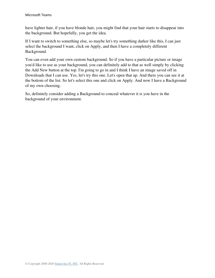have lighter hair, if you have blonde hair, you might find that your hair starts to disappear into the background. But hopefully, you get the idea.

If I want to switch to something else, so maybe let's try something darker like this, I can just select the background I want, click on Apply, and then I have a completely different Background.

You can even add your own custom background. So if you have a particular picture or image you'd like to use as your background, you can definitely add to that as well simply by clicking the Add New button at the top. I'm going to go in and I think I have an image saved off in Downloads that I can use. Yes, let's try this one. Let's open that up. And there you can see it at the bottom of the list. So let's select this one and click on Apply. And now I have a Background of my own choosing.

So, definitely consider adding a Background to conceal whatever it is you have in the background of your environment.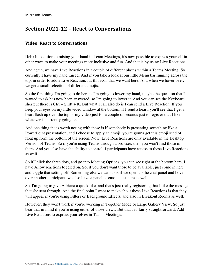# **Section 2021-12 – React to Conversations**

#### **Video: React to Conversations**

**Deb:** In addition to raising your hand in Team Meetings, it's now possible to express yourself in other ways to make your meetings more inclusive and fun. And that is by using Live Reactions.

And again, we have Live Reactions in a couple of different places within a Teams Meeting. So currently I have my hand raised. And if you take a look at our little Menu bar running across the top, in order to add a Live Reaction, it's this icon that we want here. And when we hover over, we get a small selection of different emojis.

So the first thing I'm going to do here is I'm going to lower my hand, maybe the question that I wanted to ask has now been answered, so I'm going to lower it. And you can see the Keyboard shortcut there is Ctrl + Shift + K. But what I can also do is I can send a Live Reaction. If you keep your eyes on my little video window at the bottom, if I send a heart, you'll see that I get a heart flash up over the top of my video just for a couple of seconds just to register that I like whatever is currently going on.

And one thing that's worth noting with these is if somebody is presenting something like a PowerPoint presentation, and I choose to apply an emoji, you're gonna get this emoji kind of float up from the bottom of the screen. Now, Live Reactions are only available in the Desktop Version of Teams. So if you're using Teams through a browser, then you won't find those in there. And you also have the ability to control if participants have access to these Live Reactions as well.

So if I click the three dots, and go into Meeting Options, you can see right at the bottom here, I have Allow reactions toggled on. So, if you don't want those to be available, just come in here and toggle that setting off. Something else we can do is if we open up the chat panel and hover over another participant, we also have a panel of emojis just here as well.

So, I'm going to give Adriana a quick like, and that's just really registering that I like the message that she sent through. And the final point I want to make about these Live Reactions is that they will appear if you're using Filters or Background Effects, and also in Breakout Rooms as well.

However, they won't work if you're working in Together Mode or Large Gallery View. So just bear that in mind if you're using either of those views. But that's it, fairly straightforward. Add Live Reactions to express yourselves in Teams Meetings.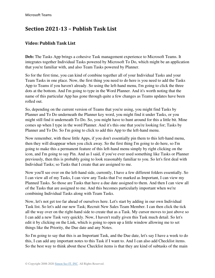# **Section 2021-13 – Publish Task List**

### **Video: Publish Task List**

**Deb:** The Tasks App brings a cohesive Task management experience to Microsoft Teams. It integrates together Individual Tasks powered by Microsoft To Do, which might be an application that you're familiar with, and also Team Tasks powered by Planner.

So for the first time, you can kind of combine together all of your Individual Tasks and your Team Tasks in one place. Now, the first thing you need to do here is you need to add the Tasks App to Teams if you haven't already. So using the left-hand menu, I'm going to click the three dots at the bottom. And I'm going to type in the Word Planner. And it's worth noting that the name of this particular App has gone through quite a few changes as Teams updates have been rolled out.

So, depending on the current version of Teams that you're using, you might find Tasks by Planner and To Do underneath the Planner key word, you might find it under Tasks, or you might still find it underneath To Do. So, you might have to hunt around for this a little bit. Mine comes up when I type in the word Planner. And it's this one that you're looking for; Tasks by Planner and To Do. So I'm going to click to add this App to the left-hand menu.

Now remember, with these little Apps, if you don't essentially pin them to this left-hand menu, then they will disappear when you click away. So the first thing I'm going to do here, so I'm going to make this a permanent feature of this left-hand menu simply by right clicking on the icon, and I'm going to say Pin. And as I said, if you've ever used something like Tasks or Planner previously, then this is probably going to look reasonably familiar to you. So let's first deal with Individual Tasks; so Tasks that I create that are assigned to me.

Now you'll see over on the left-hand side, currently, I have a few different folders essentially. So I can view all of my Tasks, I can view any Tasks that I've marked as Important, I can view my Planned Tasks. So those are Tasks that have a due date assigned to them. And then I can view all of the Tasks that are assigned to me. And this becomes particularly important when we're combining Individual Tasks along with Team Tasks.

Now, let's not get too far ahead of ourselves here. Let's start by adding in our own Individual Task list. So let's add our new Task; Recruit New Sales Team Member. I can then click the tick all the way over on the right-hand side to create that as a Task. My cursor moves to just above so I can add a new Task very quickly. Now, I haven't really given this Task much detail. So let's edit it by clicking on the Link, which is going to open up a little window allowing me to set things like the Priority, the Due date and any Notes.

So I'm going to say that this is an Important Task, and the Due date, let's say I have a week to do this, I can add any important notes to this Task if I want to. And I can also add Checklist items. So the best way to think about these Checklist items is that they are kind of subtasks of the main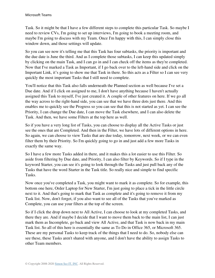Task. So it might be that I have a few different steps to complete this particular Task. So maybe I need to review CVs, I'm going to set up interviews, I'm going to book a meeting room, and maybe I'm going to discuss with my Team. Once I'm happy with this, I can simply close this window down, and those settings will update.

So you can see now it's telling me that this Task has four subtasks, the priority is important and the due date is June the third. And as I complete those subtasks, I can keep this updated simply by clicking on the main Task, and I can go in and I can check off the items as they're completed. Now that I've marked a Task as Important, if I go back over to the left-hand side and click on the Important Link, it's going to show me that Task in there. So this acts as a Filter so I can see very quickly the most important Tasks that I still need to complete.

You'll notice that this Task also falls underneath the Planned section as well because I've set a Due date. And if I click on assigned to me, I don't have anything because I haven't actually assigned this Task to myself, I've just created it. A couple of other features on here. If we go all the way across to the right-hand side, you can see that we have three dots just there. And this enables me to quickly see the Progress so you can see that this is not started as yet. I can see the Priority, I can change the Due date, I can move the Task elsewhere, and I can also delete the Task. And then, we have some Filters at the top here as well.

So if you have a very long list of Tasks, you can choose to display all the Active Tasks or just see the ones that are Completed. And then in the Filter, we have lots of different options in here. So again, we can choose to view Tasks that are due today, tomorrow, next week, or we can even filter them by their Priority. So I'm quickly going to go in and just add a few more Tasks in exactly the same way.

So I have a few more Tasks added in there, and it makes this a lot easier to use this Filter. So aside from filtering by Due date, and Priority, I can also filter by Keywords. So if I type in the keyword Starter, you can see it's going to look through the Tasks and just pull back any of the Tasks that have the word Starter in the Task title. So really nice and simple to find specific Tasks.

Now once you've completed a Task, you might want to mark it as complete. So for example, this bottom one here, Order Laptop for New Starter, I'm just going to place a tick in the little circle next to it. And that's going to mark that Task as complete and it's going to remove it from my Task list. Now, don't forget, if you also want to see all of the Tasks that you've marked as Complete, you can use your filters at the top of the screen.

So if I click the drop down next to All Active, I can choose to look at my completed Tasks, and there they are. And if maybe I decide that I want to move them back to the main list, I can just mark them as Incomplete, go back and view All Active, and that Task is now back in my main Task list. So all of this here is essentially the same as To Do in Office 365, or Microsoft 365. These are my personal Tasks to keep track of the things that I need to do. So, nobody else can see these, these Tasks aren't shared with anyone, and I don't have the ability to assign Tasks to other Team members.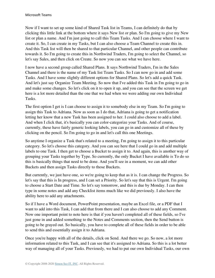Now if I want to set up some kind of Shared Task list in Teams, I can definitely do that by clicking this little link at the bottom where it says New list or plan. So I'm going to give my New list or plan a name. And I'm just going to call this Team Tasks. And I can choose where I want to create it. So, I can create in my Tasks, but I can also choose a Team Channel to create this in. And this Task list will then be shared to that particular Channel, and other people can contribute towards it. So I'm going to create this in Northwind Traders, I'm going to select the Channel, so let's say Sales, and then click on Create. So now you can see what we have here.

I now have a second group called Shared Plans. It says Northwind Traders, I'm in the Sales Channel and there is the name of my Task list Team Tasks. So I can now go in and add some Tasks. And I have some slightly different options for Shared Plans. So let's add a quick Task. And let's just say Organize Team Meeting. So now that I've added this Task in I'm going to go in and make some changes. So let's click on it to open it up, and you can see that the screen we get here is a lot more detailed than the one that we had when we were adding our own Individual Tasks.

The first option I get is I can choose to assign it to somebody else in my Team. So I'm going to assign this Task to Adriana. Now as soon as I do that, Adriana is going to get a notification letting her know that a new Task has been assigned to her. I could also choose to add a label. And when I click that, it's basically you can color-categorize your Tasks. And of course, currently, these have fairly generic looking labels, you can go in and customize all of these by clicking on the pencil. So I'm going to go in and let's call this one Meetings.

So anytime I organize a Task that's related to a meeting, I'm going to assign it to this particular category. So let's choose this category. And you can see here that I could go in and add multiple labels to one Task. I then get to choose a Bucket to assign it to. And again, this is another way of grouping your Tasks together by Type. So currently, the only Bucket I have available is To do so this is basically things that need to be done. And you'll see in a moment, we can add other Buckets and then assign Tasks directly to those Buckets.

But currently, we just have one, so we're going to keep that as it is. I can change the Progress. So let's say that this is In progress, and I can set a Priority. So let's say that this is Urgent. I'm going to choose a Start Date and Time. So let's say tomorrow, and this is due by Monday. I can then type in some notes and add any Checklist items much like we did previously. I also have the ability here to add any attachments.

So if I have a Word document, PowerPoint presentation, maybe an Excel file, or a PDF that I want to add into this Task, I can add that from there and I can also choose to add any Comment. Now one important point to note here is that if you haven't completed all of these fields, so I've just gone in and added something to the Notes and Comments section, then the Send button is going to be grayed out. So basically, you have to complete all of these fields in order to be able to send this and essentially assign it to Adriana.

Once you're happy with all of the details, click on Send. And there we go. So now, a lot more information related to this Task, and I can see that it's assigned to Adriana. So this is a lot better way of managing all of your Tasks. Previously, we had to put our own Individual Tasks, our own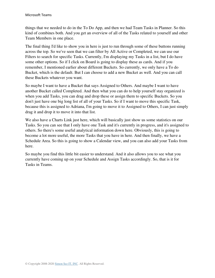things that we needed to do in the To Do App, and then we had Team Tasks in Planner. So this kind of combines both. And you get an overview of all of the Tasks related to yourself and other Team Members in one place.

The final thing I'd like to show you in here is just to run through some of these buttons running across the top. So we've seen that we can filter by All Active or Completed, we can use our Filters to search for specific Tasks. Currently, I'm displaying my Tasks in a list, but I do have some other options. So if I click on Board is going to display these as cards. And if you remember, I mentioned earlier about different Buckets. So currently, we only have a To do Bucket, which is the default. But I can choose to add a new Bucket as well. And you can call these Buckets whatever you want.

So maybe I want to have a Bucket that says Assigned to Others. And maybe I want to have another Bucket called Completed. And then what you can do to help yourself stay organized is when you add Tasks, you can drag and drop these or assign them to specific Buckets. So you don't just have one big long list of all of your Tasks. So if I want to move this specific Task, because this is assigned to Adriana, I'm going to move it to Assigned to Others, I can just simply drag it and drop it to move it into that list.

We also have a Charts Link just here, which will basically just show us some statistics on our Tasks. So you can see that I only have one Task and it's currently in progress, and it's assigned to others. So there's some useful analytical information down here. Obviously, this is going to become a lot more useful, the more Tasks that you have in here. And then finally, we have a Schedule Area. So this is going to show a Calendar view, and you can also add your Tasks from here.

So maybe you find this little bit easier to understand. And it also allows you to see what you currently have coming up on your Schedule and Assign Tasks accordingly. So, that is it for Tasks in Teams.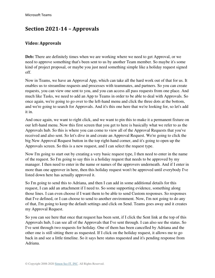## **Section 2021-14 – Approvals**

## **Video: Approvals**

**Deb:** There are definitely times when we are working where we need to get Approval, or we need to approve something that's been sent to us by another Team member. So maybe it's some kind of project proposal, or maybe you just need something simple like a holiday request signed off.

Now in Teams, we have an Approval App, which can take all the hard work out of that for us. It enables us to streamline requests and processes with teammates, and partners. So you can create requests, you can view one sent to you, and you can access all pass requests from one place. And much like Tasks, we need to add an App to Teams in order to be able to deal with Approvals. So once again, we're going to go over to the left-hand menu and click the three dots at the bottom, and we're going to search for Approvals. And it's this one here that we're looking for, so let's add it in.

And once again, we want to right click, and we want to pin this to make it a permanent fixture on our left-hand menu. Now this first screen that you get to here is basically what we refer to as the Approvals hub. So this is where you can come to view all of the Approval Requests that you've received and also sent. So let's dive in and create an Approval Request. We're going to click the big New Approval Request button in the top right-hand corner, and it's going to open up the Approvals screen. So this is a new request, and I can select the request type.

Now I'm going to start out by creating a very basic request type, I then need to enter in the name of the request. So I'm going to say this is a holiday request that needs to be approved by my manager. I then need to enter in the name or names of the approvers underneath. And if I enter in more than one approver in here, then this holiday request won't be approved until everybody I've listed down here has actually approved it.

So I'm going to send this to Adriana, and then I can add in some additional details for this request, I can add an attachment if I need to. So some supporting evidence, something along those lines. I can even choose if I want them to be able to send Custom responses. So responses that I've defined, or I can choose to send to another environment. Now, I'm not going to do any of that, I'm going to keep the default settings and click on Send. Teams goes away and it creates my Approval Request.

So you can see here that once that request has been sent, if I click the Sent link at the top of this Approvals hub, I can see all of the Approvals that I've sent through. I can also see the status. So I've sent through two requests for holiday. One of them has been cancelled by Adriana and the other one is still sitting there as requested. If I click on the holiday request, it allows me to go back in and see a little timeline. So it says here status requested and it's pending response from Adriana.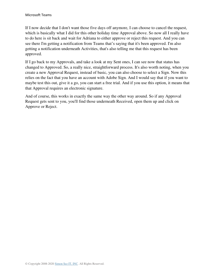If I now decide that I don't want those five days off anymore, I can choose to cancel the request, which is basically what I did for this other holiday time Approval above. So now all I really have to do here is sit back and wait for Adriana to either approve or reject this request. And you can see there I'm getting a notification from Teams that's saying that it's been approved. I'm also getting a notification underneath Activities, that's also telling me that this request has been approved.

If I go back to my Approvals, and take a look at my Sent ones, I can see now that status has changed to Approved. So, a really nice, straightforward process. It's also worth noting, when you create a new Approval Request, instead of basic, you can also choose to select a Sign. Now this relies on the fact that you have an account with Adobe Sign. And I would say that if you want to maybe test this out, give it a go, you can start a free trial. And if you use this option, it means that that Approval requires an electronic signature.

And of course, this works in exactly the same way the other way around. So if any Approval Request gets sent to you, you'll find those underneath Received, open them up and click on Approve or Reject.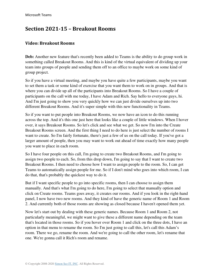## **Section 2021-15 – Breakout Rooms**

## **Video: Breakout Rooms**

**Deb:** Another new feature that's recently been added to Teams is the ability to do group work in something called Breakout Rooms. And this is kind of the virtual equivalent of dividing up your team into groups of people and sending them off to an office to maybe work on some kind of group project.

So if you have a virtual meeting, and maybe you have quite a few participants, maybe you want to set them a task or some kind of exercise that you want them to work on in groups. And that is where you can divide up all of the participants into Breakout Rooms. So I have a couple of participants on the call with me today, I have Adam and Rich. Say hello to everyone guys, hi. And I'm just going to show you very quickly how we can just divide ourselves up into two different Breakout Rooms. And it's super simple with this new functionality in Teams.

So if you want to put people into Breakout Rooms, we now have an icon to do this running across the top. And it's this one just here that looks like a couple of little windows. When I hover over, it says Breakout Rooms. So let's click and see what we get. So now I'm into the Create Breakout Rooms screen. And the first thing I need to do here is just select the number of rooms I want to create. So I'm fairly fortunate, there's just a few of us on the call today. If you've got a larger amount of people, then you may want to work out ahead of time exactly how many people you want to place in each room.

So I have four people on this call, I'm going to create two Breakout Rooms, and I'm going to assign two people to each. So, from this drop down, I'm going to say that I want to create two Breakout Rooms. I then need to choose how I want to assign people to the room. So, I can get Teams to automatically assign people for me. So if I don't mind who goes into which room, I can do that, that's probably the quickest way to do it.

But if I want specific people to go into specific rooms, then I can choose to assign them manually. And that's what I'm going to do here, I'm going to select that manually option and click on Create rooms. Teams goes away, it creates our rooms. And if you look in the right-hand panel, I now have two new rooms. And they kind of have the generic name of Room 1 and Room 2. And currently both of those rooms are showing as closed because I haven't opened them yet.

Now let's start out by dealing with these generic names. Because Room 1 and Room 2, not particularly meaningful, we might want to give these a different name depending on the team that's located in those rooms. So if you hover over Room 1 and click on the three dots, I have an option in that menu to rename the room. So I'm just going to call this, let's call this Adam's room. There we go, rename the room. And we're going to call the other room, let's rename that one. We're gonna call it Rich's room and rename.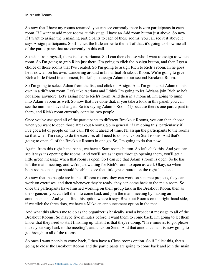So now that I have my rooms renamed, you can see currently there is zero participants in each room. If I want to add more rooms at this stage, I have an Add room button just above. So now, if I want to assign the remaining participants to each of these rooms, you can see just above it says Assign participants. So if I click the little arrow to the left of that, it's going to show me all of the participants that are currently in this call.

So aside from myself, there is also Adrianna. So I can then choose who I want to assign to which room. So I'm going to grab Rich just there, I'm going to click the Assign button, and then I get a choice of those rooms that I've created. So I'm going to assign Rich to Rich's room. In he goes, he is now all on his own, wandering around in his virtual Breakout Room. We're going to give Rich a little friend in a moment, but let's just assign Adam to our second Breakout Room.

So I'm going to select Adam from the list, and click on Assign. And I'm gonna put Adam on his own in a different room. Let's take Adriana and I think I'm going to let Adriana join Rich so he's not alone anymore. Let's assign her to Rich's room. And then in a moment, I'm going to jump into Adam's room as well. So now that I've done that, if you take a look in this panel, you can see the numbers have changed. So it's saying Adam's Room (1) because there's one participant in there, and Rich's room currently contains two people.

Once you've assigned all of the participants to different Breakout Rooms, you can then choose when you want to open those Breakout Rooms. So in general, if I'm doing this, particularly if I've got a lot of people on this call, I'll do it ahead of time. I'll assign the participants to the rooms so that when I'm ready to do the exercise, all I need to do is click on Start rooms. And that's going to open all of the Breakout Rooms in one go. So, I'm going to do that now.

Again, from this right-hand panel, we have a Start rooms button. So let's click this. And you can see it says it's opening the rooms. And you'll see as it goes through opening them, you'll get a little green message when that room is open. So I can see that Adam's room is open. So he has left the main meeting, and we're just waiting for Rich's room to open as well. Okay, so when both rooms open, you should be able to see that little green button on the right-hand side.

So now that the people are in the different rooms, they can work on separate projects, they can work on exercises, and then whenever they're ready, they can come back to the main room. So once the participants have finished working on their group task in the Breakout Room, then as the organizer, you can tell them to come back and join the main meeting by making an announcement. And you'll find this option where it says Breakout Rooms on the right-hand side, if we click the three dots, we have a Make an announcement option in the menu.

And what this allows me to do as the organizer is basically send a broadcast message to all of the Breakout Rooms. So maybe five minutes before, I want them to come back, I'm going to let them know that they need to start finishing up what it is that they're doing. "Five minutes to go, please make your way back to the meeting", and click on Send. And that announcement is now going to go through to all of the rooms.

So once I want people to come back, I then have a Close rooms option. So if I click this, that's going to close the Breakout Rooms and the participants are going to come back and join the main